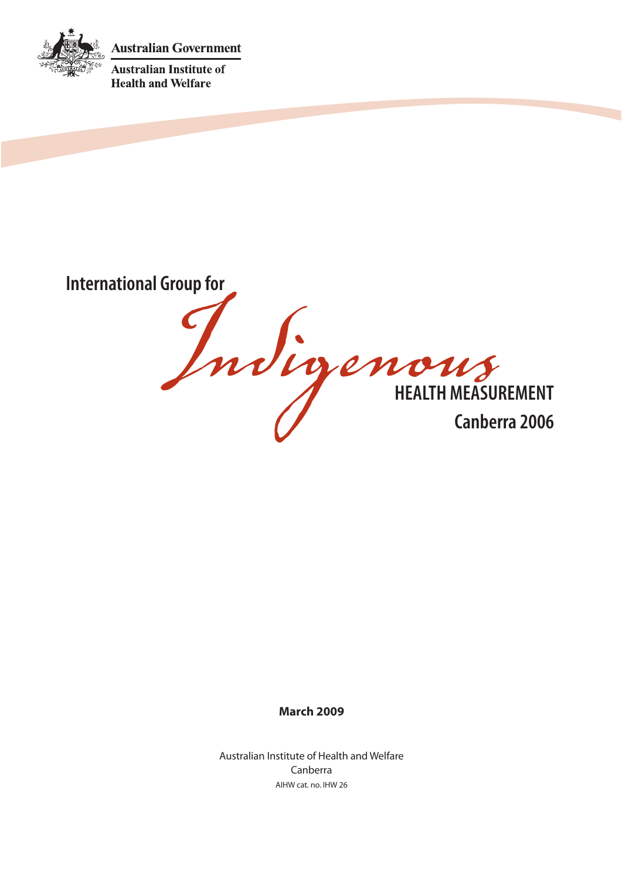**Australian Government** 



**Australian Institute of Health and Welfare** 

International Group for<br>
In the promotion of the ALTH MEASURE **HEALTH MEASUREMENT Canberra 2006**

# **March 2009**

Australian Institute of Health and Welfare Canberra AIHW cat. no. IHW 26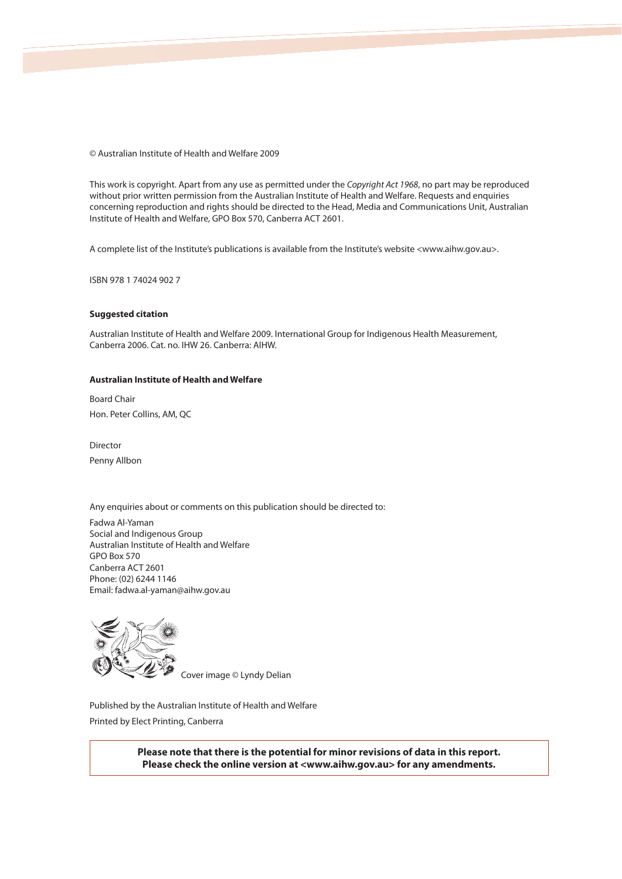© Australian Institute of Health and Welfare 2009

This work is copyright. Apart from any use as permitted under the Copyright Act 1968, no part may be reproduced without prior written permission from the Australian Institute of Health and Welfare. Requests and enquiries concerning reproduction and rights should be directed to the Head, Media and Communications Unit, Australian Institute of Health and Welfare, GPO Box 570, Canberra ACT 2601.

A complete list of the Institute's publications is available from the Institute's website <www.aihw.gov.au>.

ISBN 978 1 74024 902 7

#### **Suggested citation**

Australian Institute of Health and Welfare 2009. International Group for Indigenous Health Measurement, Canberra 2006. Cat. no. IHW 26. Canberra: AIHW.

#### **Australian Institute of Health and Welfare**

Board Chair Hon. Peter Collins, AM, QC

Director Penny Allbon

Any enquiries about or comments on this publication should be directed to:

Fadwa Al-Yaman Social and Indigenous Group Australian Institute of Health and Welfare GPO Box 570 Canberra ACT 2601 Phone: (02) 6244 1146 Email: fadwa.al-yaman@aihw.gov.au



Cover image © Lyndy Delian

Published by the Australian Institute of Health and Welfare Printed by Elect Printing, Canberra

> **Please note that there is the potential for minor revisions of data in this report. Please check the online version at <www.aihw.gov.au> for any amendments.**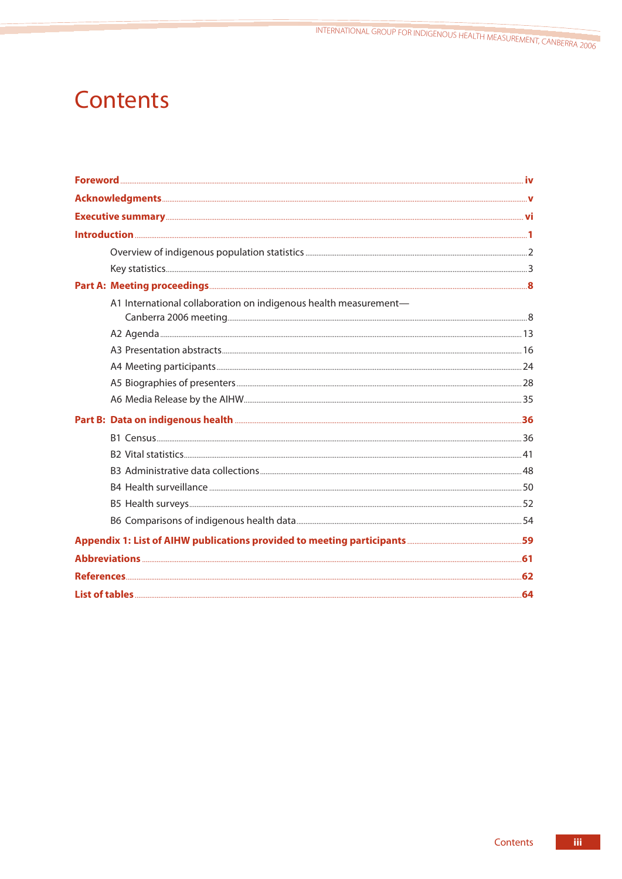INTERNATIONAL GROUP FOR INDIGENOUS HEALTH MEASUREMENT, CANBERRA 2006

# **Contents**

| Executive summary <b>Executive Summary</b> vi                    |  |
|------------------------------------------------------------------|--|
|                                                                  |  |
|                                                                  |  |
|                                                                  |  |
|                                                                  |  |
| A1 International collaboration on indigenous health measurement- |  |
|                                                                  |  |
|                                                                  |  |
|                                                                  |  |
|                                                                  |  |
|                                                                  |  |
|                                                                  |  |
|                                                                  |  |
|                                                                  |  |
|                                                                  |  |
|                                                                  |  |
|                                                                  |  |
|                                                                  |  |
|                                                                  |  |
|                                                                  |  |
|                                                                  |  |
|                                                                  |  |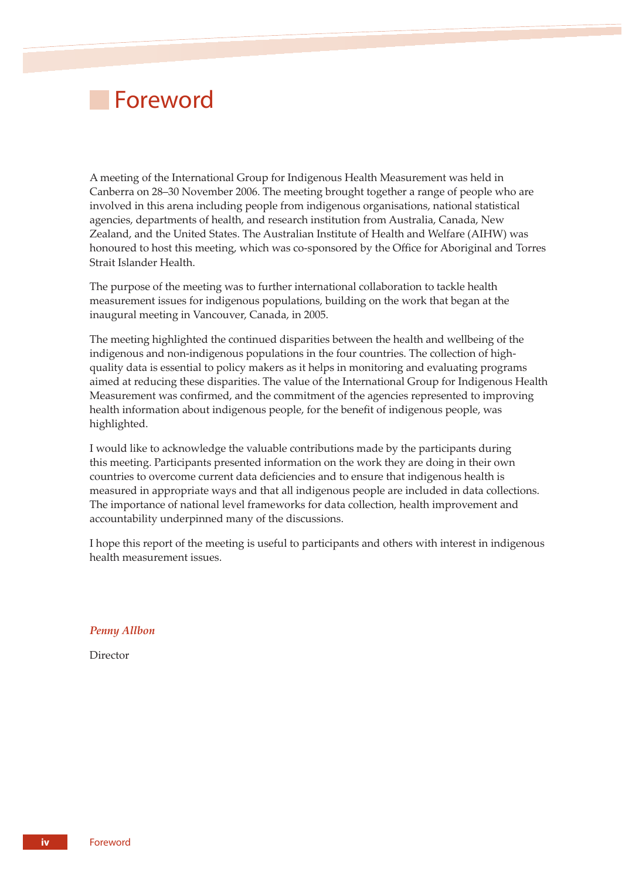# **Foreword**

A meeting of the International Group for Indigenous Health Measurement was held in Canberra on 28–30 November 2006. The meeting brought together a range of people who are involved in this arena including people from indigenous organisations, national statistical agencies, departments of health, and research institution from Australia, Canada, New Zealand, and the United States. The Australian Institute of Health and Welfare (AIHW) was honoured to host this meeting, which was co-sponsored by the Office for Aboriginal and Torres Strait Islander Health.

The purpose of the meeting was to further international collaboration to tackle health measurement issues for indigenous populations, building on the work that began at the inaugural meeting in Vancouver, Canada, in 2005.

The meeting highlighted the continued disparities between the health and wellbeing of the indigenous and non-indigenous populations in the four countries. The collection of highquality data is essential to policy makers as it helps in monitoring and evaluating programs aimed at reducing these disparities. The value of the International Group for Indigenous Health Measurement was confirmed, and the commitment of the agencies represented to improving health information about indigenous people, for the benefit of indigenous people, was highlighted.

I would like to acknowledge the valuable contributions made by the participants during this meeting. Participants presented information on the work they are doing in their own countries to overcome current data deficiencies and to ensure that indigenous health is measured in appropriate ways and that all indigenous people are included in data collections. The importance of national level frameworks for data collection, health improvement and accountability underpinned many of the discussions.

I hope this report of the meeting is useful to participants and others with interest in indigenous health measurement issues.

*Penny Allbon*

Director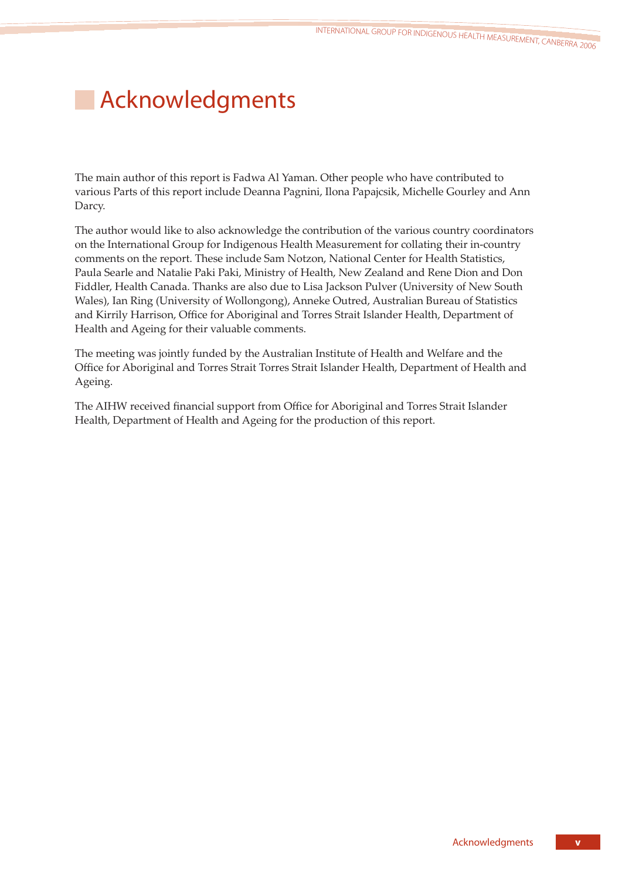# **Acknowledgments**

The main author of this report is Fadwa Al Yaman. Other people who have contributed to various Parts of this report include Deanna Pagnini, Ilona Papajcsik, Michelle Gourley and Ann Darcy.

The author would like to also acknowledge the contribution of the various country coordinators on the International Group for Indigenous Health Measurement for collating their in-country comments on the report. These include Sam Notzon, National Center for Health Statistics, Paula Searle and Natalie Paki Paki, Ministry of Health, New Zealand and Rene Dion and Don Fiddler, Health Canada. Thanks are also due to Lisa Jackson Pulver (University of New South Wales), Ian Ring (University of Wollongong), Anneke Outred, Australian Bureau of Statistics and Kirrily Harrison, Office for Aboriginal and Torres Strait Islander Health, Department of Health and Ageing for their valuable comments.

The meeting was jointly funded by the Australian Institute of Health and Welfare and the Office for Aboriginal and Torres Strait Torres Strait Islander Health, Department of Health and Ageing.

The AIHW received financial support from Office for Aboriginal and Torres Strait Islander Health, Department of Health and Ageing for the production of this report.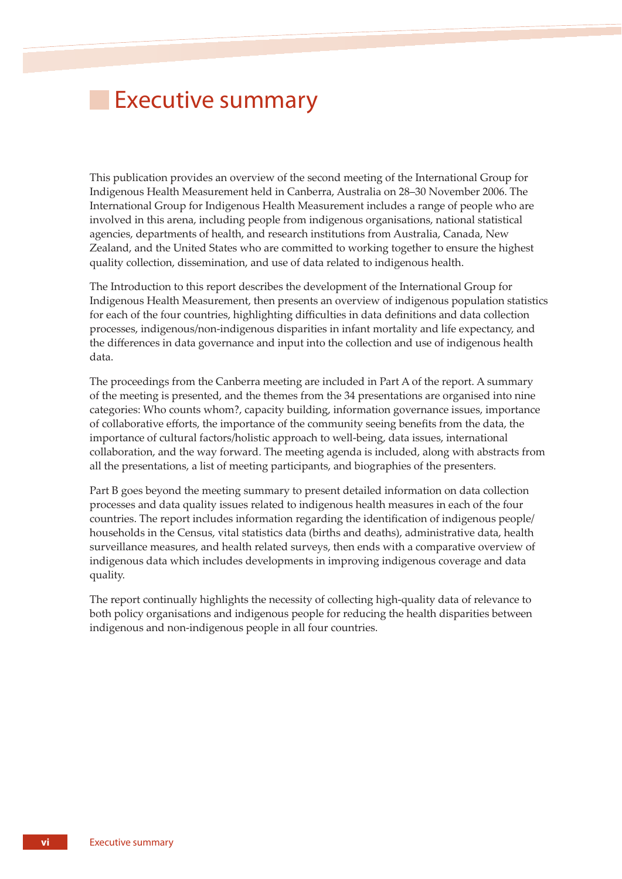# **Executive summary**

This publication provides an overview of the second meeting of the International Group for Indigenous Health Measurement held in Canberra, Australia on 28–30 November 2006. The International Group for Indigenous Health Measurement includes a range of people who are involved in this arena, including people from indigenous organisations, national statistical agencies, departments of health, and research institutions from Australia, Canada, New Zealand, and the United States who are committed to working together to ensure the highest quality collection, dissemination, and use of data related to indigenous health.

The Introduction to this report describes the development of the International Group for Indigenous Health Measurement, then presents an overview of indigenous population statistics for each of the four countries, highlighting difficulties in data definitions and data collection processes, indigenous/non-indigenous disparities in infant mortality and life expectancy, and the differences in data governance and input into the collection and use of indigenous health data.

The proceedings from the Canberra meeting are included in Part A of the report. A summary of the meeting is presented, and the themes from the 34 presentations are organised into nine categories: Who counts whom?, capacity building, information governance issues, importance of collaborative efforts, the importance of the community seeing benefits from the data, the importance of cultural factors/holistic approach to well-being, data issues, international collaboration, and the way forward. The meeting agenda is included, along with abstracts from all the presentations, a list of meeting participants, and biographies of the presenters.

Part B goes beyond the meeting summary to present detailed information on data collection processes and data quality issues related to indigenous health measures in each of the four countries. The report includes information regarding the identification of indigenous people/ households in the Census, vital statistics data (births and deaths), administrative data, health surveillance measures, and health related surveys, then ends with a comparative overview of indigenous data which includes developments in improving indigenous coverage and data quality.

The report continually highlights the necessity of collecting high-quality data of relevance to both policy organisations and indigenous people for reducing the health disparities between indigenous and non-indigenous people in all four countries.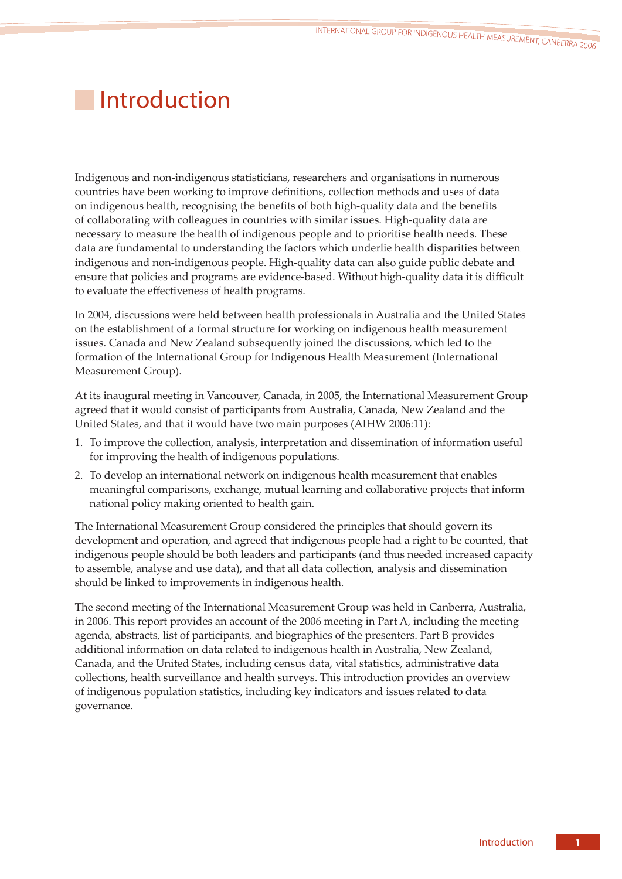# **Introduction**

Indigenous and non-indigenous statisticians, researchers and organisations in numerous countries have been working to improve definitions, collection methods and uses of data on indigenous health, recognising the benefits of both high-quality data and the benefits of collaborating with colleagues in countries with similar issues. High-quality data are necessary to measure the health of indigenous people and to prioritise health needs. These data are fundamental to understanding the factors which underlie health disparities between indigenous and non-indigenous people. High-quality data can also guide public debate and ensure that policies and programs are evidence-based. Without high-quality data it is difficult to evaluate the effectiveness of health programs.

In 2004, discussions were held between health professionals in Australia and the United States on the establishment of a formal structure for working on indigenous health measurement issues. Canada and New Zealand subsequently joined the discussions, which led to the formation of the International Group for Indigenous Health Measurement (International Measurement Group).

At its inaugural meeting in Vancouver, Canada, in 2005, the International Measurement Group agreed that it would consist of participants from Australia, Canada, New Zealand and the United States, and that it would have two main purposes (AIHW 2006:11):

- 1. To improve the collection, analysis, interpretation and dissemination of information useful for improving the health of indigenous populations.
- 2. To develop an international network on indigenous health measurement that enables meaningful comparisons, exchange, mutual learning and collaborative projects that inform national policy making oriented to health gain.

The International Measurement Group considered the principles that should govern its development and operation, and agreed that indigenous people had a right to be counted, that indigenous people should be both leaders and participants (and thus needed increased capacity to assemble, analyse and use data), and that all data collection, analysis and dissemination should be linked to improvements in indigenous health.

The second meeting of the International Measurement Group was held in Canberra, Australia, in 2006. This report provides an account of the 2006 meeting in Part A, including the meeting agenda, abstracts, list of participants, and biographies of the presenters. Part B provides additional information on data related to indigenous health in Australia, New Zealand, Canada, and the United States, including census data, vital statistics, administrative data collections, health surveillance and health surveys. This introduction provides an overview of indigenous population statistics, including key indicators and issues related to data governance.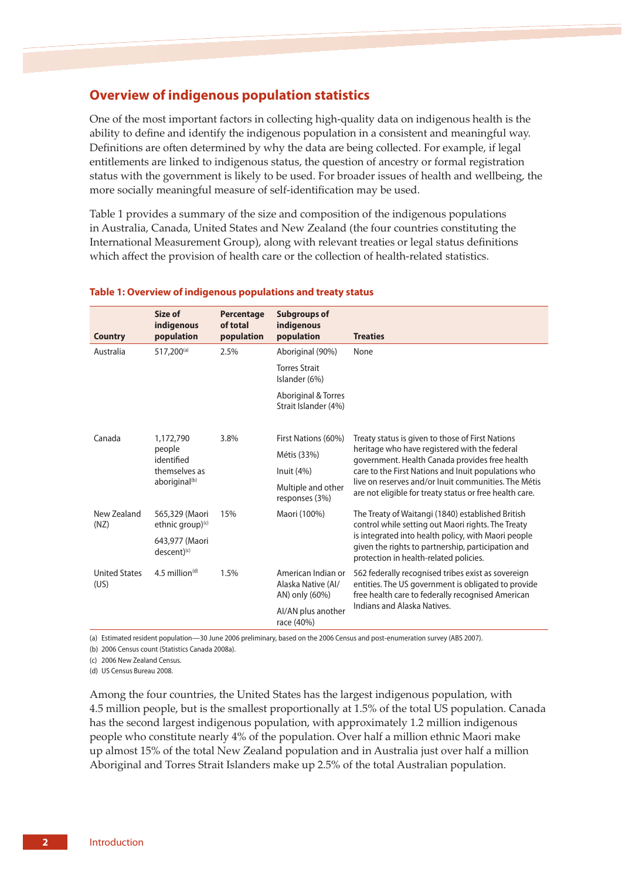# **Overview of indigenous population statistics**

One of the most important factors in collecting high-quality data on indigenous health is the ability to define and identify the indigenous population in a consistent and meaningful way. Definitions are often determined by why the data are being collected. For example, if legal entitlements are linked to indigenous status, the question of ancestry or formal registration status with the government is likely to be used. For broader issues of health and wellbeing, the more socially meaningful measure of self-identification may be used.

Table 1 provides a summary of the size and composition of the indigenous populations in Australia, Canada, United States and New Zealand (the four countries constituting the International Measurement Group), along with relevant treaties or legal status definitions which affect the provision of health care or the collection of health-related statistics.

| <b>Country</b>               | Size of<br>indigenous<br>population         | <b>Percentage</b><br>of total<br>population | <b>Subgroups of</b><br>indigenous<br>population            | <b>Treaties</b>                                                                                                                                                |
|------------------------------|---------------------------------------------|---------------------------------------------|------------------------------------------------------------|----------------------------------------------------------------------------------------------------------------------------------------------------------------|
| Australia                    | 517,200 <sup>(a)</sup>                      | 2.5%                                        | Aboriginal (90%)                                           | None                                                                                                                                                           |
|                              |                                             |                                             | <b>Torres Strait</b><br>Islander (6%)                      |                                                                                                                                                                |
|                              |                                             |                                             | Aboriginal & Torres<br>Strait Islander (4%)                |                                                                                                                                                                |
| Canada                       | 1,172,790                                   | 3.8%                                        | First Nations (60%)                                        | Treaty status is given to those of First Nations                                                                                                               |
|                              | people<br>identified                        |                                             | Métis (33%)                                                | heritage who have registered with the federal<br>government. Health Canada provides free health                                                                |
|                              | themselves as                               |                                             | lnuit(4%)                                                  | care to the First Nations and Inuit populations who                                                                                                            |
|                              | aboriginal <sup>(b)</sup>                   |                                             | Multiple and other<br>responses (3%)                       | live on reserves and/or lnuit communities. The Métis<br>are not eligible for treaty status or free health care.                                                |
| New Zealand<br>(NZ)          | 565,329 (Maori<br>ethnic group) $(c)$       | 15%                                         | Maori (100%)                                               | The Treaty of Waitangi (1840) established British<br>control while setting out Maori rights. The Treaty                                                        |
|                              | 643,977 (Maori<br>$descent)$ <sup>(c)</sup> |                                             |                                                            | is integrated into health policy, with Maori people<br>given the rights to partnership, participation and<br>protection in health-related policies.            |
| <b>United States</b><br>(US) | $4.5$ million <sup>(d)</sup>                | 1.5%                                        | American Indian or<br>Alaska Native (AI/<br>AN) only (60%) | 562 federally recognised tribes exist as sovereign<br>entities. The US government is obligated to provide<br>free health care to federally recognised American |
|                              |                                             |                                             | Al/AN plus another<br>race (40%)                           | Indians and Alaska Natives.                                                                                                                                    |

### **Table 1: Overview of indigenous populations and treaty status**

(a) Estimated resident population—30 June 2006 preliminary, based on the 2006 Census and post-enumeration survey (ABS 2007).

(b) 2006 Census count (Statistics Canada 2008a).

(c) 2006 New Zealand Census.

(d) US Census Bureau 2008.

Among the four countries, the United States has the largest indigenous population, with 4.5 million people, but is the smallest proportionally at 1.5% of the total US population. Canada has the second largest indigenous population, with approximately 1.2 million indigenous people who constitute nearly 4% of the population. Over half a million ethnic Maori make up almost 15% of the total New Zealand population and in Australia just over half a million Aboriginal and Torres Strait Islanders make up 2.5% of the total Australian population.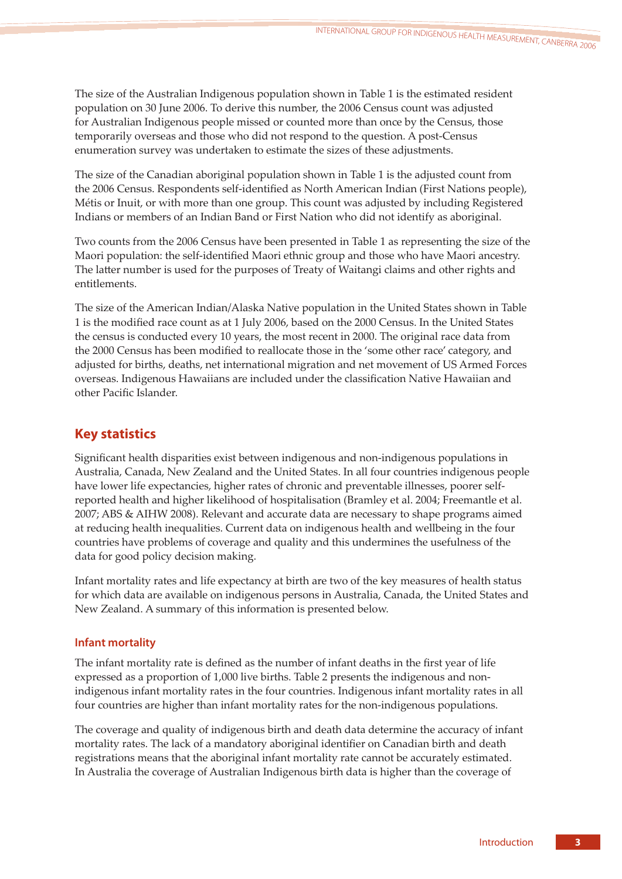The size of the Australian Indigenous population shown in Table 1 is the estimated resident population on 30 June 2006. To derive this number, the 2006 Census count was adjusted for Australian Indigenous people missed or counted more than once by the Census, those temporarily overseas and those who did not respond to the question. A post-Census enumeration survey was undertaken to estimate the sizes of these adjustments.

The size of the Canadian aboriginal population shown in Table 1 is the adjusted count from the 2006 Census. Respondents self-identified as North American Indian (First Nations people), Métis or Inuit, or with more than one group. This count was adjusted by including Registered Indians or members of an Indian Band or First Nation who did not identify as aboriginal.

Two counts from the 2006 Census have been presented in Table 1 as representing the size of the Maori population: the self-identified Maori ethnic group and those who have Maori ancestry. The latter number is used for the purposes of Treaty of Waitangi claims and other rights and entitlements.

The size of the American Indian/Alaska Native population in the United States shown in Table 1 is the modified race count as at 1 July 2006, based on the 2000 Census. In the United States the census is conducted every 10 years, the most recent in 2000. The original race data from the 2000 Census has been modified to reallocate those in the 'some other race' category, and adjusted for births, deaths, net international migration and net movement of US Armed Forces overseas. Indigenous Hawaiians are included under the classification Native Hawaiian and other Pacific Islander.

# **Key statistics**

Significant health disparities exist between indigenous and non-indigenous populations in Australia, Canada, New Zealand and the United States. In all four countries indigenous people have lower life expectancies, higher rates of chronic and preventable illnesses, poorer selfreported health and higher likelihood of hospitalisation (Bramley et al. 2004; Freemantle et al. 2007; ABS & AIHW 2008). Relevant and accurate data are necessary to shape programs aimed at reducing health inequalities. Current data on indigenous health and wellbeing in the four countries have problems of coverage and quality and this undermines the usefulness of the data for good policy decision making.

Infant mortality rates and life expectancy at birth are two of the key measures of health status for which data are available on indigenous persons in Australia, Canada, the United States and New Zealand. A summary of this information is presented below.

# **Infant mortality**

The infant mortality rate is defined as the number of infant deaths in the first year of life expressed as a proportion of 1,000 live births. Table 2 presents the indigenous and nonindigenous infant mortality rates in the four countries. Indigenous infant mortality rates in all four countries are higher than infant mortality rates for the non-indigenous populations.

The coverage and quality of indigenous birth and death data determine the accuracy of infant mortality rates. The lack of a mandatory aboriginal identifier on Canadian birth and death registrations means that the aboriginal infant mortality rate cannot be accurately estimated. In Australia the coverage of Australian Indigenous birth data is higher than the coverage of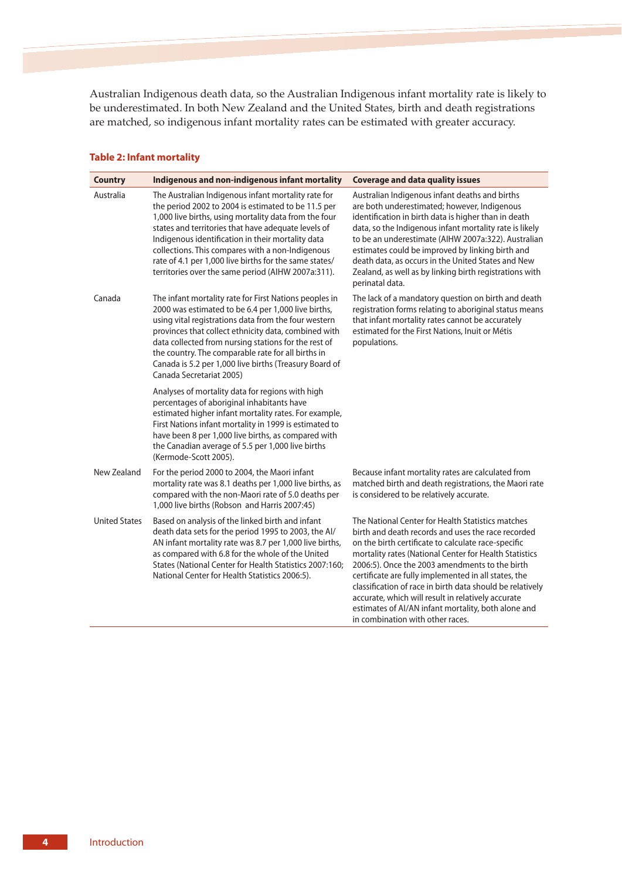Australian Indigenous death data, so the Australian Indigenous infant mortality rate is likely to be underestimated. In both New Zealand and the United States, birth and death registrations are matched, so indigenous infant mortality rates can be estimated with greater accuracy.

| <b>Country</b>       | Indigenous and non-indigenous infant mortality                                                                                                                                                                                                                                                                                                                                                                                                      | <b>Coverage and data quality issues</b>                                                                                                                                                                                                                                                                                                                                                                                                                                                                                                          |
|----------------------|-----------------------------------------------------------------------------------------------------------------------------------------------------------------------------------------------------------------------------------------------------------------------------------------------------------------------------------------------------------------------------------------------------------------------------------------------------|--------------------------------------------------------------------------------------------------------------------------------------------------------------------------------------------------------------------------------------------------------------------------------------------------------------------------------------------------------------------------------------------------------------------------------------------------------------------------------------------------------------------------------------------------|
| Australia            | The Australian Indigenous infant mortality rate for<br>the period 2002 to 2004 is estimated to be 11.5 per<br>1,000 live births, using mortality data from the four<br>states and territories that have adequate levels of<br>Indigenous identification in their mortality data<br>collections. This compares with a non-Indigenous<br>rate of 4.1 per 1,000 live births for the same states/<br>territories over the same period (AIHW 2007a:311). | Australian Indigenous infant deaths and births<br>are both underestimated; however, Indigenous<br>identification in birth data is higher than in death<br>data, so the Indigenous infant mortality rate is likely<br>to be an underestimate (AIHW 2007a:322). Australian<br>estimates could be improved by linking birth and<br>death data, as occurs in the United States and New<br>Zealand, as well as by linking birth registrations with<br>perinatal data.                                                                                 |
| Canada               | The infant mortality rate for First Nations peoples in<br>2000 was estimated to be 6.4 per 1,000 live births,<br>using vital registrations data from the four western<br>provinces that collect ethnicity data, combined with<br>data collected from nursing stations for the rest of<br>the country. The comparable rate for all births in<br>Canada is 5.2 per 1,000 live births (Treasury Board of<br>Canada Secretariat 2005)                   | The lack of a mandatory question on birth and death<br>registration forms relating to aboriginal status means<br>that infant mortality rates cannot be accurately<br>estimated for the First Nations, Inuit or Métis<br>populations.                                                                                                                                                                                                                                                                                                             |
|                      | Analyses of mortality data for regions with high<br>percentages of aboriginal inhabitants have<br>estimated higher infant mortality rates. For example,<br>First Nations infant mortality in 1999 is estimated to<br>have been 8 per 1,000 live births, as compared with<br>the Canadian average of 5.5 per 1,000 live births<br>(Kermode-Scott 2005).                                                                                              |                                                                                                                                                                                                                                                                                                                                                                                                                                                                                                                                                  |
| New Zealand          | For the period 2000 to 2004, the Maori infant<br>mortality rate was 8.1 deaths per 1,000 live births, as<br>compared with the non-Maori rate of 5.0 deaths per<br>1,000 live births (Robson and Harris 2007:45)                                                                                                                                                                                                                                     | Because infant mortality rates are calculated from<br>matched birth and death registrations, the Maori rate<br>is considered to be relatively accurate.                                                                                                                                                                                                                                                                                                                                                                                          |
| <b>United States</b> | Based on analysis of the linked birth and infant<br>death data sets for the period 1995 to 2003, the Al/<br>AN infant mortality rate was 8.7 per 1,000 live births,<br>as compared with 6.8 for the whole of the United<br>States (National Center for Health Statistics 2007:160:<br>National Center for Health Statistics 2006:5).                                                                                                                | The National Center for Health Statistics matches<br>birth and death records and uses the race recorded<br>on the birth certificate to calculate race-specific<br>mortality rates (National Center for Health Statistics<br>2006:5). Once the 2003 amendments to the birth<br>certificate are fully implemented in all states, the<br>classification of race in birth data should be relatively<br>accurate, which will result in relatively accurate<br>estimates of AI/AN infant mortality, both alone and<br>in combination with other races. |

# **Table 2: Infant mortality**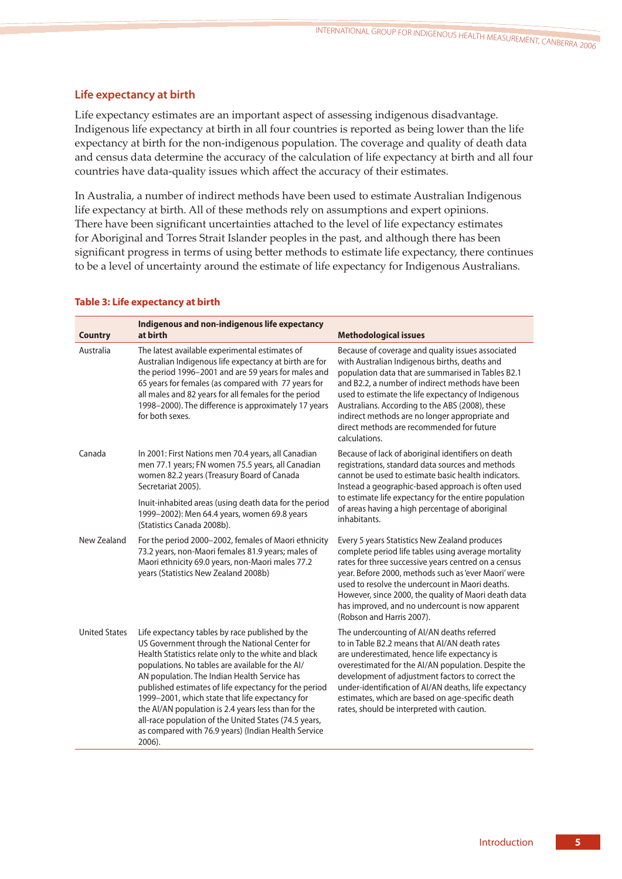# **Life expectancy at birth**

Life expectancy estimates are an important aspect of assessing indigenous disadvantage. Indigenous life expectancy at birth in all four countries is reported as being lower than the life expectancy at birth for the non-indigenous population. The coverage and quality of death data and census data determine the accuracy of the calculation of life expectancy at birth and all four countries have data-quality issues which affect the accuracy of their estimates.

In Australia, a number of indirect methods have been used to estimate Australian Indigenous life expectancy at birth. All of these methods rely on assumptions and expert opinions. There have been significant uncertainties attached to the level of life expectancy estimates for Aboriginal and Torres Strait Islander peoples in the past, and although there has been significant progress in terms of using better methods to estimate life expectancy, there continues to be a level of uncertainty around the estimate of life expectancy for Indigenous Australians.

| <b>Country</b>       | Indigenous and non-indigenous life expectancy<br>at birth                                                                                                                                                                                                                                                                                                                                                                                                                                                                                                 | <b>Methodological issues</b>                                                                                                                                                                                                                                                                                                                                                                                                          |
|----------------------|-----------------------------------------------------------------------------------------------------------------------------------------------------------------------------------------------------------------------------------------------------------------------------------------------------------------------------------------------------------------------------------------------------------------------------------------------------------------------------------------------------------------------------------------------------------|---------------------------------------------------------------------------------------------------------------------------------------------------------------------------------------------------------------------------------------------------------------------------------------------------------------------------------------------------------------------------------------------------------------------------------------|
| Australia            | The latest available experimental estimates of<br>Australian Indigenous life expectancy at birth are for<br>the period 1996-2001 and are 59 years for males and<br>65 years for females (as compared with 77 years for<br>all males and 82 years for all females for the period<br>1998-2000). The difference is approximately 17 years<br>for both sexes.                                                                                                                                                                                                | Because of coverage and quality issues associated<br>with Australian Indigenous births, deaths and<br>population data that are summarised in Tables B2.1<br>and B2.2, a number of indirect methods have been<br>used to estimate the life expectancy of Indigenous<br>Australians. According to the ABS (2008), these<br>indirect methods are no longer appropriate and<br>direct methods are recommended for future<br>calculations. |
| Canada               | In 2001: First Nations men 70.4 years, all Canadian<br>men 77.1 years; FN women 75.5 years, all Canadian<br>women 82.2 years (Treasury Board of Canada<br>Secretariat 2005).                                                                                                                                                                                                                                                                                                                                                                              | Because of lack of aboriginal identifiers on death<br>registrations, standard data sources and methods<br>cannot be used to estimate basic health indicators.<br>Instead a geographic-based approach is often used                                                                                                                                                                                                                    |
|                      | Inuit-inhabited areas (using death data for the period<br>1999-2002): Men 64.4 years, women 69.8 years<br>(Statistics Canada 2008b).                                                                                                                                                                                                                                                                                                                                                                                                                      | to estimate life expectancy for the entire population<br>of areas having a high percentage of aboriginal<br>inhabitants.                                                                                                                                                                                                                                                                                                              |
| New Zealand          | For the period 2000-2002, females of Maori ethnicity<br>73.2 years, non-Maori females 81.9 years; males of<br>Maori ethnicity 69.0 years, non-Maori males 77.2<br>years (Statistics New Zealand 2008b)                                                                                                                                                                                                                                                                                                                                                    | Every 5 years Statistics New Zealand produces<br>complete period life tables using average mortality<br>rates for three successive years centred on a census<br>year. Before 2000, methods such as 'ever Maori' were<br>used to resolve the undercount in Maori deaths.<br>However, since 2000, the quality of Maori death data<br>has improved, and no undercount is now apparent<br>(Robson and Harris 2007).                       |
| <b>United States</b> | Life expectancy tables by race published by the<br>US Government through the National Center for<br>Health Statistics relate only to the white and black<br>populations. No tables are available for the Al/<br>AN population. The Indian Health Service has<br>published estimates of life expectancy for the period<br>1999-2001, which state that life expectancy for<br>the AI/AN population is 2.4 years less than for the<br>all-race population of the United States (74.5 years,<br>as compared with 76.9 years) (Indian Health Service<br>2006). | The undercounting of AI/AN deaths referred<br>to in Table B2.2 means that AI/AN death rates<br>are underestimated, hence life expectancy is<br>overestimated for the AI/AN population. Despite the<br>development of adjustment factors to correct the<br>under-identification of AI/AN deaths, life expectancy<br>estimates, which are based on age-specific death<br>rates, should be interpreted with caution.                     |

# **Table 3: Life expectancy at birth**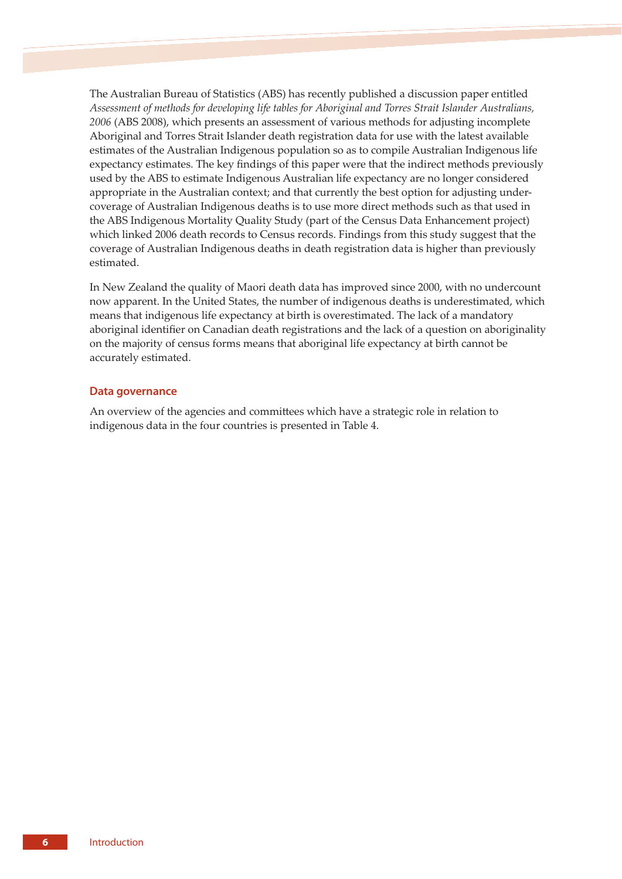The Australian Bureau of Statistics (ABS) has recently published a discussion paper entitled *Assessment of methods for developing life tables for Aboriginal and Torres Strait Islander Australians, 2006* (ABS 2008), which presents an assessment of various methods for adjusting incomplete Aboriginal and Torres Strait Islander death registration data for use with the latest available estimates of the Australian Indigenous population so as to compile Australian Indigenous life expectancy estimates. The key findings of this paper were that the indirect methods previously used by the ABS to estimate Indigenous Australian life expectancy are no longer considered appropriate in the Australian context; and that currently the best option for adjusting undercoverage of Australian Indigenous deaths is to use more direct methods such as that used in the ABS Indigenous Mortality Quality Study (part of the Census Data Enhancement project) which linked 2006 death records to Census records. Findings from this study suggest that the coverage of Australian Indigenous deaths in death registration data is higher than previously estimated.

In New Zealand the quality of Maori death data has improved since 2000, with no undercount now apparent. In the United States, the number of indigenous deaths is underestimated, which means that indigenous life expectancy at birth is overestimated. The lack of a mandatory aboriginal identifier on Canadian death registrations and the lack of a question on aboriginality on the majority of census forms means that aboriginal life expectancy at birth cannot be accurately estimated.

# **Data governance**

An overview of the agencies and committees which have a strategic role in relation to indigenous data in the four countries is presented in Table 4.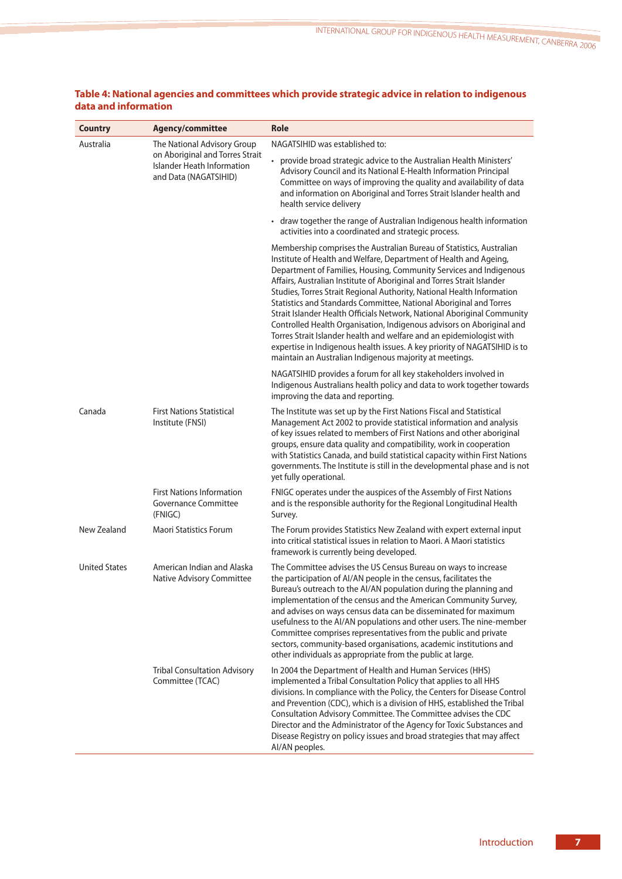| <b>Country</b>       | Agency/committee                                                                       | <b>Role</b>                                                                                                                                                                                                                                                                                                                                                                                                                                                                                                                                                                                                                                                                                                                                                                                                   |
|----------------------|----------------------------------------------------------------------------------------|---------------------------------------------------------------------------------------------------------------------------------------------------------------------------------------------------------------------------------------------------------------------------------------------------------------------------------------------------------------------------------------------------------------------------------------------------------------------------------------------------------------------------------------------------------------------------------------------------------------------------------------------------------------------------------------------------------------------------------------------------------------------------------------------------------------|
| Australia            | The National Advisory Group                                                            | NAGATSIHID was established to:                                                                                                                                                                                                                                                                                                                                                                                                                                                                                                                                                                                                                                                                                                                                                                                |
|                      | on Aboriginal and Torres Strait<br>Islander Heath Information<br>and Data (NAGATSIHID) | • provide broad strategic advice to the Australian Health Ministers'<br>Advisory Council and its National E-Health Information Principal<br>Committee on ways of improving the quality and availability of data<br>and information on Aboriginal and Torres Strait Islander health and<br>health service delivery                                                                                                                                                                                                                                                                                                                                                                                                                                                                                             |
|                      |                                                                                        | • draw together the range of Australian Indigenous health information<br>activities into a coordinated and strategic process.                                                                                                                                                                                                                                                                                                                                                                                                                                                                                                                                                                                                                                                                                 |
|                      |                                                                                        | Membership comprises the Australian Bureau of Statistics, Australian<br>Institute of Health and Welfare, Department of Health and Ageing,<br>Department of Families, Housing, Community Services and Indigenous<br>Affairs, Australian Institute of Aboriginal and Torres Strait Islander<br>Studies, Torres Strait Regional Authority, National Health Information<br>Statistics and Standards Committee, National Aboriginal and Torres<br>Strait Islander Health Officials Network, National Aboriginal Community<br>Controlled Health Organisation, Indigenous advisors on Aboriginal and<br>Torres Strait Islander health and welfare and an epidemiologist with<br>expertise in Indigenous health issues. A key priority of NAGATSIHID is to<br>maintain an Australian Indigenous majority at meetings. |
|                      |                                                                                        | NAGATSIHID provides a forum for all key stakeholders involved in<br>Indigenous Australians health policy and data to work together towards<br>improving the data and reporting.                                                                                                                                                                                                                                                                                                                                                                                                                                                                                                                                                                                                                               |
| Canada               | <b>First Nations Statistical</b><br>Institute (FNSI)                                   | The Institute was set up by the First Nations Fiscal and Statistical<br>Management Act 2002 to provide statistical information and analysis<br>of key issues related to members of First Nations and other aboriginal<br>groups, ensure data quality and compatibility, work in cooperation<br>with Statistics Canada, and build statistical capacity within First Nations<br>governments. The Institute is still in the developmental phase and is not<br>yet fully operational.                                                                                                                                                                                                                                                                                                                             |
|                      | <b>First Nations Information</b><br><b>Governance Committee</b><br>(FNIGC)             | FNIGC operates under the auspices of the Assembly of First Nations<br>and is the responsible authority for the Regional Longitudinal Health<br>Survey.                                                                                                                                                                                                                                                                                                                                                                                                                                                                                                                                                                                                                                                        |
| New Zealand          | <b>Maori Statistics Forum</b>                                                          | The Forum provides Statistics New Zealand with expert external input<br>into critical statistical issues in relation to Maori. A Maori statistics<br>framework is currently being developed.                                                                                                                                                                                                                                                                                                                                                                                                                                                                                                                                                                                                                  |
| <b>United States</b> | American Indian and Alaska<br>Native Advisory Committee                                | The Committee advises the US Census Bureau on ways to increase<br>the participation of AI/AN people in the census, facilitates the<br>Bureau's outreach to the AI/AN population during the planning and<br>implementation of the census and the American Community Survey,<br>and advises on ways census data can be disseminated for maximum<br>usefulness to the AI/AN populations and other users. The nine-member<br>Committee comprises representatives from the public and private<br>sectors, community-based organisations, academic institutions and<br>other individuals as appropriate from the public at large.                                                                                                                                                                                   |
|                      | <b>Tribal Consultation Advisory</b><br>Committee (TCAC)                                | In 2004 the Department of Health and Human Services (HHS)<br>implemented a Tribal Consultation Policy that applies to all HHS<br>divisions. In compliance with the Policy, the Centers for Disease Control<br>and Prevention (CDC), which is a division of HHS, established the Tribal<br>Consultation Advisory Committee. The Committee advises the CDC<br>Director and the Administrator of the Agency for Toxic Substances and<br>Disease Registry on policy issues and broad strategies that may affect<br>AI/AN peoples.                                                                                                                                                                                                                                                                                 |

# **Table 4: National agencies and committees which provide strategic advice in relation to indigenous data and information**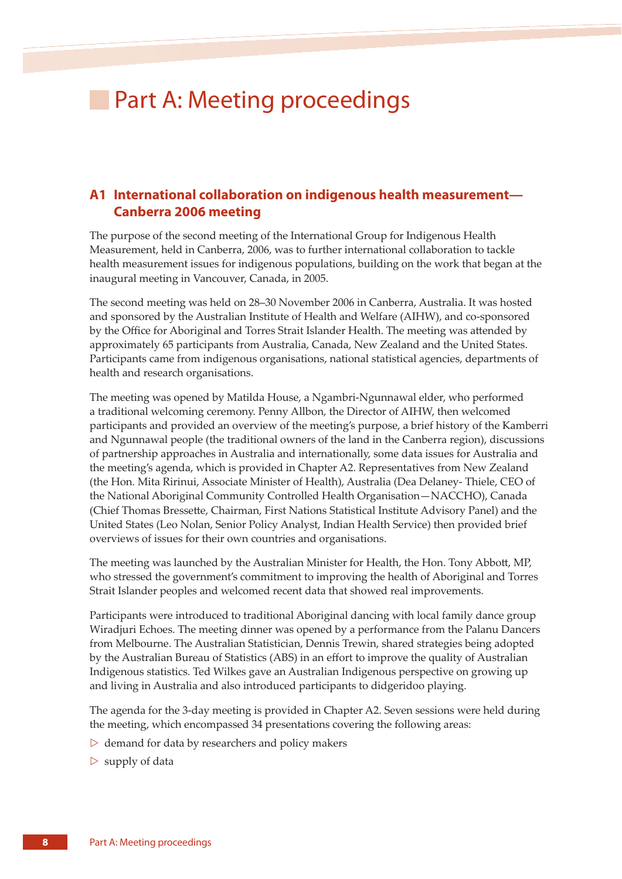# **Part A: Meeting proceedings**

# **A1 International collaboration on indigenous health measurement— Canberra 2006 meeting**

The purpose of the second meeting of the International Group for Indigenous Health Measurement, held in Canberra, 2006, was to further international collaboration to tackle health measurement issues for indigenous populations, building on the work that began at the inaugural meeting in Vancouver, Canada, in 2005.

The second meeting was held on 28–30 November 2006 in Canberra, Australia. It was hosted and sponsored by the Australian Institute of Health and Welfare (AIHW), and co-sponsored by the Office for Aboriginal and Torres Strait Islander Health. The meeting was attended by approximately 65 participants from Australia, Canada, New Zealand and the United States. Participants came from indigenous organisations, national statistical agencies, departments of health and research organisations.

The meeting was opened by Matilda House, a Ngambri-Ngunnawal elder, who performed a traditional welcoming ceremony. Penny Allbon, the Director of AIHW, then welcomed participants and provided an overview of the meeting's purpose, a brief history of the Kamberri and Ngunnawal people (the traditional owners of the land in the Canberra region), discussions of partnership approaches in Australia and internationally, some data issues for Australia and the meeting's agenda, which is provided in Chapter A2. Representatives from New Zealand (the Hon. Mita Ririnui, Associate Minister of Health), Australia (Dea Delaney- Thiele, CEO of the National Aboriginal Community Controlled Health Organisation—NACCHO), Canada (Chief Thomas Bressee, Chairman, First Nations Statistical Institute Advisory Panel) and the United States (Leo Nolan, Senior Policy Analyst, Indian Health Service) then provided brief overviews of issues for their own countries and organisations.

The meeting was launched by the Australian Minister for Health, the Hon. Tony Abbott, MP, who stressed the government's commitment to improving the health of Aboriginal and Torres Strait Islander peoples and welcomed recent data that showed real improvements.

Participants were introduced to traditional Aboriginal dancing with local family dance group Wiradjuri Echoes. The meeting dinner was opened by a performance from the Palanu Dancers from Melbourne. The Australian Statistician, Dennis Trewin, shared strategies being adopted by the Australian Bureau of Statistics (ABS) in an effort to improve the quality of Australian Indigenous statistics. Ted Wilkes gave an Australian Indigenous perspective on growing up and living in Australia and also introduced participants to didgeridoo playing.

The agenda for the 3-day meeting is provided in Chapter A2. Seven sessions were held during the meeting, which encompassed 34 presentations covering the following areas:

- $\triangleright$  demand for data by researchers and policy makers
- $\triangleright$  supply of data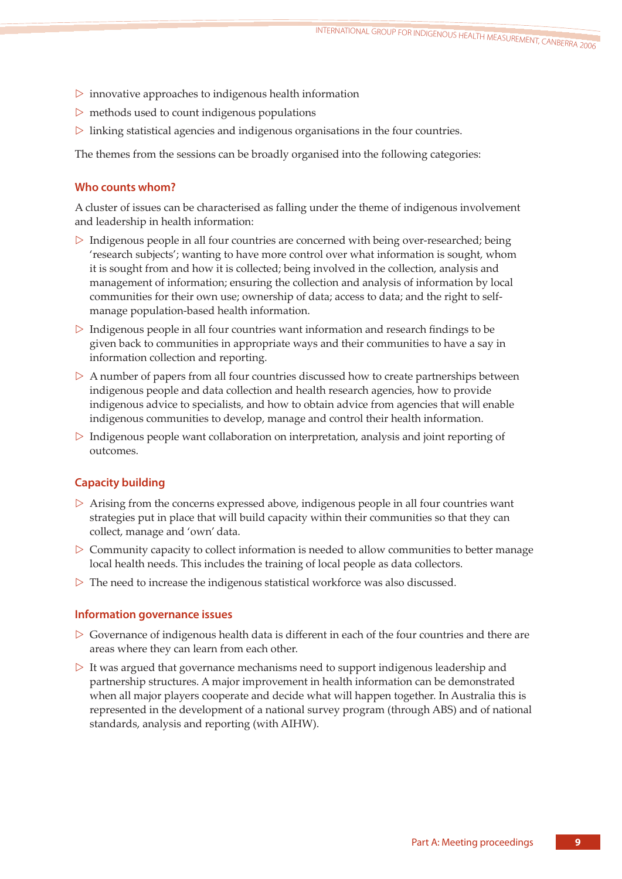- $\triangleright$  innovative approaches to indigenous health information
- $\triangleright$  methods used to count indigenous populations
- $\triangleright$  linking statistical agencies and indigenous organisations in the four countries.

The themes from the sessions can be broadly organised into the following categories:

# **Who counts whom?**

A cluster of issues can be characterised as falling under the theme of indigenous involvement and leadership in health information:

- ▷ Indigenous people in all four countries are concerned with being over-researched; being 'research subjects'; wanting to have more control over what information is sought, whom it is sought from and how it is collected; being involved in the collection, analysis and management of information; ensuring the collection and analysis of information by local communities for their own use; ownership of data; access to data; and the right to selfmanage population-based health information.
- $\triangleright$  Indigenous people in all four countries want information and research findings to be given back to communities in appropriate ways and their communities to have a say in information collection and reporting.
- $\triangleright$  A number of papers from all four countries discussed how to create partnerships between indigenous people and data collection and health research agencies, how to provide indigenous advice to specialists, and how to obtain advice from agencies that will enable indigenous communities to develop, manage and control their health information.
- ▷ Indigenous people want collaboration on interpretation, analysis and joint reporting of outcomes.

# **Capacity building**

- $\triangleright$  Arising from the concerns expressed above, indigenous people in all four countries want strategies put in place that will build capacity within their communities so that they can collect, manage and 'own' data.
- $\triangleright$  Community capacity to collect information is needed to allow communities to better manage local health needs. This includes the training of local people as data collectors.
- $\triangleright$  The need to increase the indigenous statistical workforce was also discussed.

## **Information governance issues**

- $\triangleright$  Governance of indigenous health data is different in each of the four countries and there are areas where they can learn from each other.
- $\triangleright$  It was argued that governance mechanisms need to support indigenous leadership and partnership structures. A major improvement in health information can be demonstrated when all major players cooperate and decide what will happen together. In Australia this is represented in the development of a national survey program (through ABS) and of national standards, analysis and reporting (with AIHW).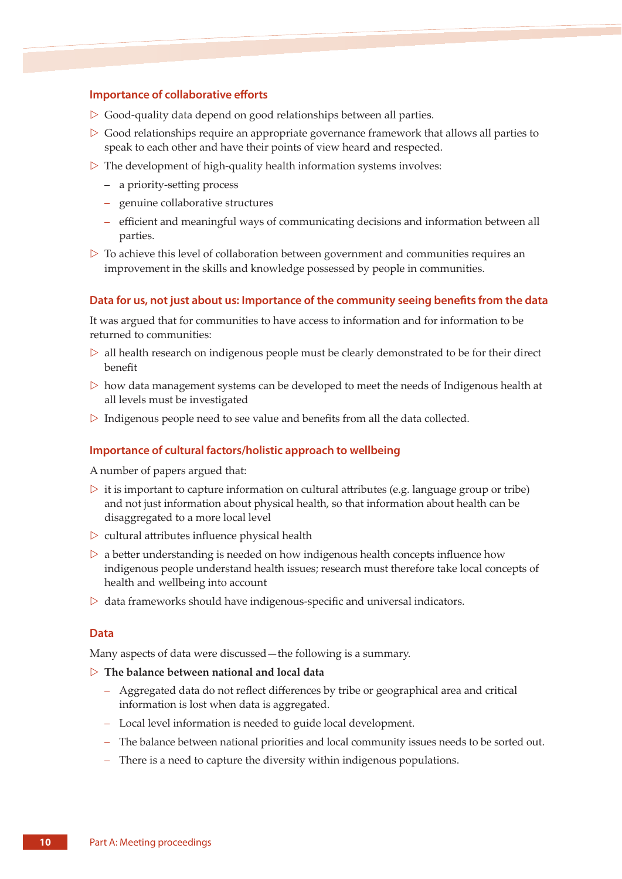## **Importance of collaborative efforts**

- $\triangleright$  Good-quality data depend on good relationships between all parties.
- $\triangleright$  Good relationships require an appropriate governance framework that allows all parties to speak to each other and have their points of view heard and respected.
- $\triangleright$  The development of high-quality health information systems involves:
	- a priority-setting process
	- genuine collaborative structures
	- efficient and meaningful ways of communicating decisions and information between all parties.
- $\triangleright$  To achieve this level of collaboration between government and communities requires an improvement in the skills and knowledge possessed by people in communities.

#### **Data for us, not just about us: Importance of the community seeing benefits from the data**

It was argued that for communities to have access to information and for information to be returned to communities:

- $\triangleright$  all health research on indigenous people must be clearly demonstrated to be for their direct benefit
- $\triangleright$  how data management systems can be developed to meet the needs of Indigenous health at all levels must be investigated
- $\triangleright$  Indigenous people need to see value and benefits from all the data collected.

### **Importance of cultural factors/holistic approach to wellbeing**

A number of papers argued that:

- $\triangleright$  it is important to capture information on cultural attributes (e.g. language group or tribe) and not just information about physical health, so that information about health can be disaggregated to a more local level
- $\triangleright$  cultural attributes influence physical health
- $\triangleright$  a better understanding is needed on how indigenous health concepts influence how indigenous people understand health issues; research must therefore take local concepts of health and wellbeing into account
- $\triangleright$  data frameworks should have indigenous-specific and universal indicators.

### **Data**

Many aspects of data were discussed—the following is a summary.

#### ▷ **The balance between national and local data**

- Aggregated data do not reflect differences by tribe or geographical area and critical information is lost when data is aggregated.
- Local level information is needed to guide local development.
- The balance between national priorities and local community issues needs to be sorted out.
- There is a need to capture the diversity within indigenous populations.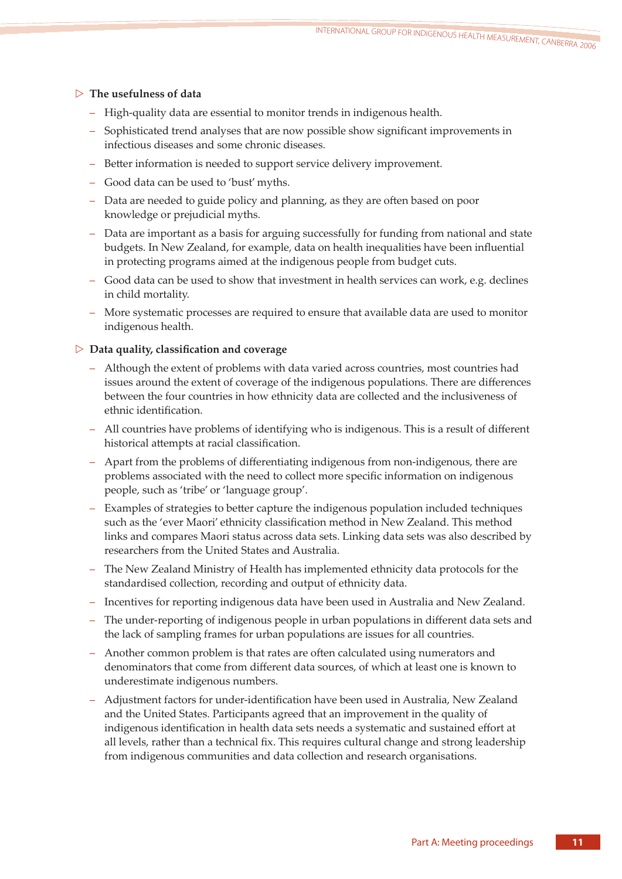# ▷ **The usefulness of data**

- High-quality data are essential to monitor trends in indigenous health.
- Sophisticated trend analyses that are now possible show significant improvements in infectious diseases and some chronic diseases.
- Better information is needed to support service delivery improvement.
- Good data can be used to 'bust' myths.
- Data are needed to guide policy and planning, as they are often based on poor knowledge or prejudicial myths.
- Data are important as a basis for arguing successfully for funding from national and state budgets. In New Zealand, for example, data on health inequalities have been influential in protecting programs aimed at the indigenous people from budget cuts.
- Good data can be used to show that investment in health services can work, e.g. declines in child mortality.
- More systematic processes are required to ensure that available data are used to monitor indigenous health.

# ▷ **Data quality, classification and coverage**

- Although the extent of problems with data varied across countries, most countries had issues around the extent of coverage of the indigenous populations. There are differences between the four countries in how ethnicity data are collected and the inclusiveness of ethnic identification.
- All countries have problems of identifying who is indigenous. This is a result of different historical attempts at racial classification.
- Apart from the problems of differentiating indigenous from non-indigenous, there are problems associated with the need to collect more specific information on indigenous people, such as 'tribe' or 'language group'.
- Examples of strategies to better capture the indigenous population included techniques such as the 'ever Maori' ethnicity classification method in New Zealand. This method links and compares Maori status across data sets. Linking data sets was also described by researchers from the United States and Australia.
- The New Zealand Ministry of Health has implemented ethnicity data protocols for the standardised collection, recording and output of ethnicity data.
- Incentives for reporting indigenous data have been used in Australia and New Zealand.
- The under-reporting of indigenous people in urban populations in different data sets and the lack of sampling frames for urban populations are issues for all countries.
- Another common problem is that rates are often calculated using numerators and denominators that come from different data sources, of which at least one is known to underestimate indigenous numbers.
- Adjustment factors for under-identification have been used in Australia, New Zealand and the United States. Participants agreed that an improvement in the quality of indigenous identification in health data sets needs a systematic and sustained effort at all levels, rather than a technical fix. This requires cultural change and strong leadership from indigenous communities and data collection and research organisations.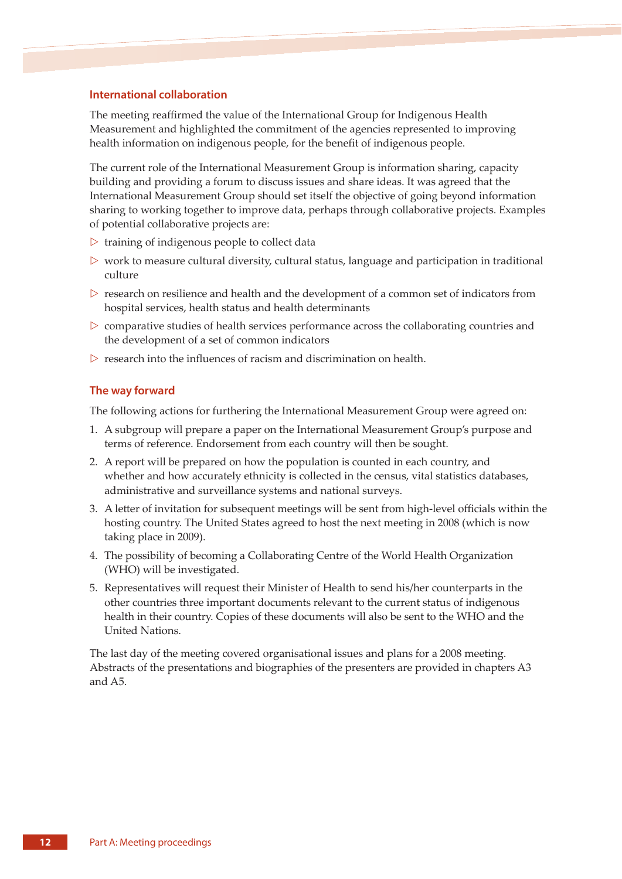### **International collaboration**

The meeting reaffirmed the value of the International Group for Indigenous Health Measurement and highlighted the commitment of the agencies represented to improving health information on indigenous people, for the benefit of indigenous people.

The current role of the International Measurement Group is information sharing, capacity building and providing a forum to discuss issues and share ideas. It was agreed that the International Measurement Group should set itself the objective of going beyond information sharing to working together to improve data, perhaps through collaborative projects. Examples of potential collaborative projects are:

- $\triangleright$  training of indigenous people to collect data
- $\triangleright$  work to measure cultural diversity, cultural status, language and participation in traditional culture
- $\triangleright$  research on resilience and health and the development of a common set of indicators from hospital services, health status and health determinants
- $\triangleright$  comparative studies of health services performance across the collaborating countries and the development of a set of common indicators
- $\triangleright$  research into the influences of racism and discrimination on health.

## **The way forward**

The following actions for furthering the International Measurement Group were agreed on:

- 1. A subgroup will prepare a paper on the International Measurement Group's purpose and terms of reference. Endorsement from each country will then be sought.
- 2. A report will be prepared on how the population is counted in each country, and whether and how accurately ethnicity is collected in the census, vital statistics databases, administrative and surveillance systems and national surveys.
- 3. A letter of invitation for subsequent meetings will be sent from high-level officials within the hosting country. The United States agreed to host the next meeting in 2008 (which is now taking place in 2009).
- 4. The possibility of becoming a Collaborating Centre of the World Health Organization (WHO) will be investigated.
- 5. Representatives will request their Minister of Health to send his/her counterparts in the other countries three important documents relevant to the current status of indigenous health in their country. Copies of these documents will also be sent to the WHO and the United Nations.

The last day of the meeting covered organisational issues and plans for a 2008 meeting. Abstracts of the presentations and biographies of the presenters are provided in chapters A3 and A5.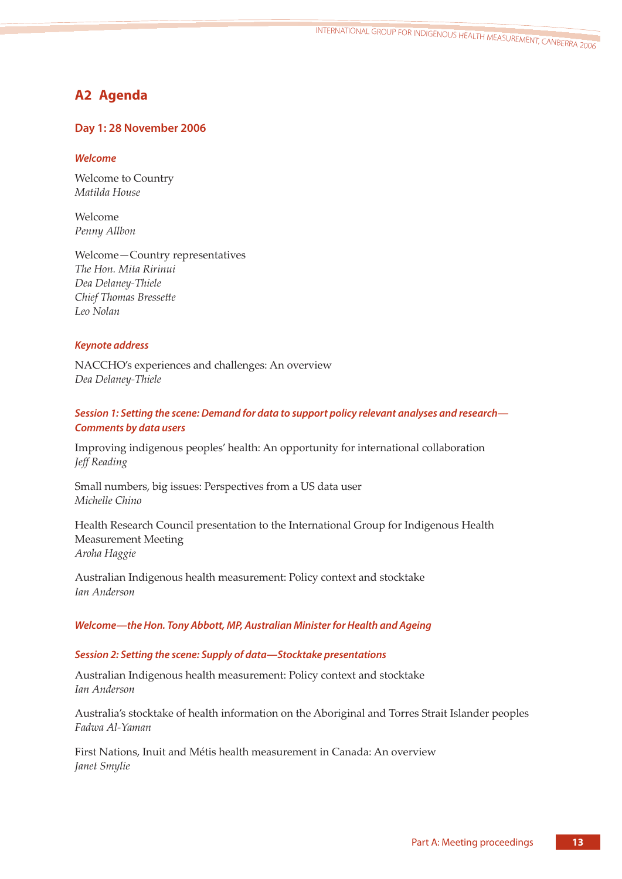<sup>I</sup>NTERNATIONAL GROUP FOR INDIGENOUS HEALT<sup>H</sup> <sup>M</sup>EASUREMENT, CANBERRA 200<sup>6</sup>

# **A2 Agenda**

# **Day 1: 28 November 2006**

# *Welcome*

Welcome to Country *Matilda House* 

Welcome *Penny Allbon* 

Welcome—Country representatives *The Hon. Mita Ririnui Dea Delaney-Thiele Chief Thomas Bressette Leo Nolan* 

# *Keynote address*

NACCHO's experiences and challenges: An overview *Dea Delaney-Thiele* 

# *Session 1: Setting the scene: Demand for data to support policy relevant analyses and research— Comments by data users*

Improving indigenous peoples' health: An opportunity for international collaboration *Jeff Reading*

Small numbers, big issues: Perspectives from a US data user *Michelle Chino* 

Health Research Council presentation to the International Group for Indigenous Health Measurement Meeting *Aroha Haggie* 

Australian Indigenous health measurement: Policy context and stocktake *Ian Anderson* 

## *Welcome—the Hon. Tony Abbott, MP, Australian Minister for Health and Ageing*

# *Session 2: Setting the scene: Supply of data—Stocktake presentations*

Australian Indigenous health measurement: Policy context and stocktake *Ian Anderson* 

Australia's stocktake of health information on the Aboriginal and Torres Strait Islander peoples *Fadwa Al-Yaman* 

First Nations, Inuit and Métis health measurement in Canada: An overview *Janet Smylie*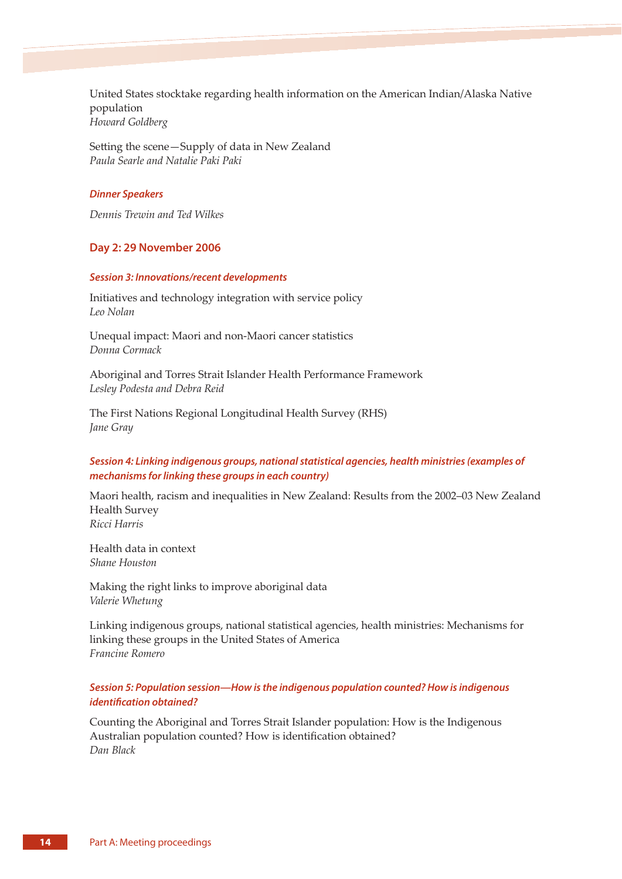United States stocktake regarding health information on the American Indian/Alaska Native population *Howard Goldberg* 

Setting the scene-Supply of data in New Zealand *Paula Searle and Natalie Paki Paki* 

# *Dinner Speakers*

*Dennis Trewin and Ted Wilkes* 

## **Day 2: 29 November 2006**

#### *Session 3: Innovations/recent developments*

Initiatives and technology integration with service policy *Leo Nolan* 

Unequal impact: Maori and non-Maori cancer statistics *Donna Cormack* 

Aboriginal and Torres Strait Islander Health Performance Framework *Lesley Podesta and Debra Reid*

The First Nations Regional Longitudinal Health Survey (RHS) *Jane Gray* 

# *Session 4: Linking indigenous groups, national statistical agencies, health ministries (examples of mechanisms for linking these groups in each country)*

Maori health, racism and inequalities in New Zealand: Results from the 2002–03 New Zealand Health Survey *Ricci Harris*

Health data in context *Shane Houston*

Making the right links to improve aboriginal data *Valerie Whetung*

Linking indigenous groups, national statistical agencies, health ministries: Mechanisms for linking these groups in the United States of America *Francine Romero* 

# *Session 5: Population session—How is the indigenous population counted? How is indigenous identification obtained?*

Counting the Aboriginal and Torres Strait Islander population: How is the Indigenous Australian population counted? How is identification obtained? *Dan Black*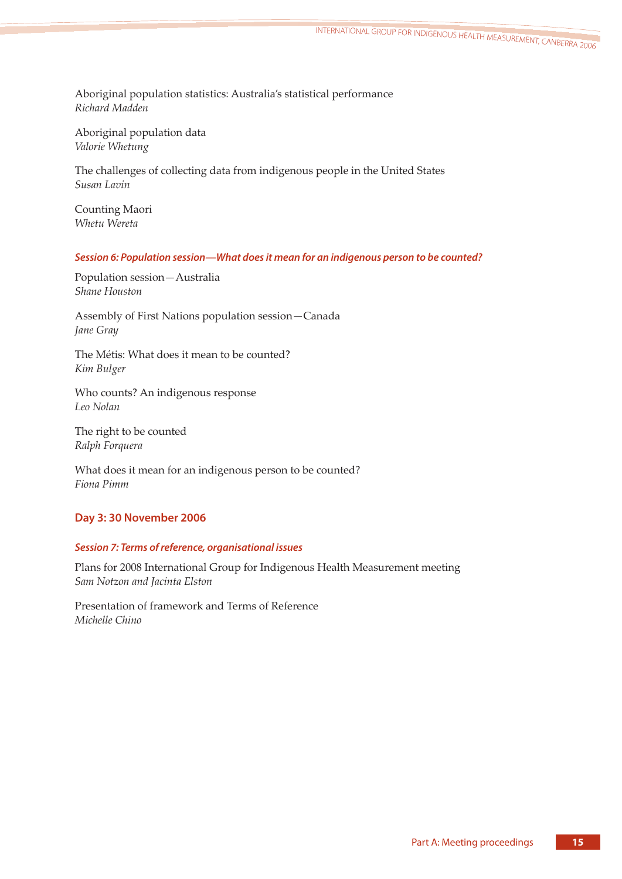Aboriginal population statistics: Australia's statistical performance *Richard Madden* 

Aboriginal population data *Valorie Whetung* 

The challenges of collecting data from indigenous people in the United States *Susan Lavin* 

Counting Maori *Whetu Wereta*

# *Session 6: Population session—What does it mean for an indigenous person to be counted?*

Population session—Australia *Shane Houston* 

Assembly of First Nations population session—Canada *Jane Gray* 

The Métis: What does it mean to be counted? *Kim Bulger* 

Who counts? An indigenous response *Leo Nolan* 

The right to be counted *Ralph Forquera* 

What does it mean for an indigenous person to be counted? *Fiona Pimm* 

# **Day 3: 30 November 2006**

# *Session 7: Terms of reference, organisational issues*

Plans for 2008 International Group for Indigenous Health Measurement meeting *Sam Notzon and Jacinta Elston*

Presentation of framework and Terms of Reference *Michelle Chino*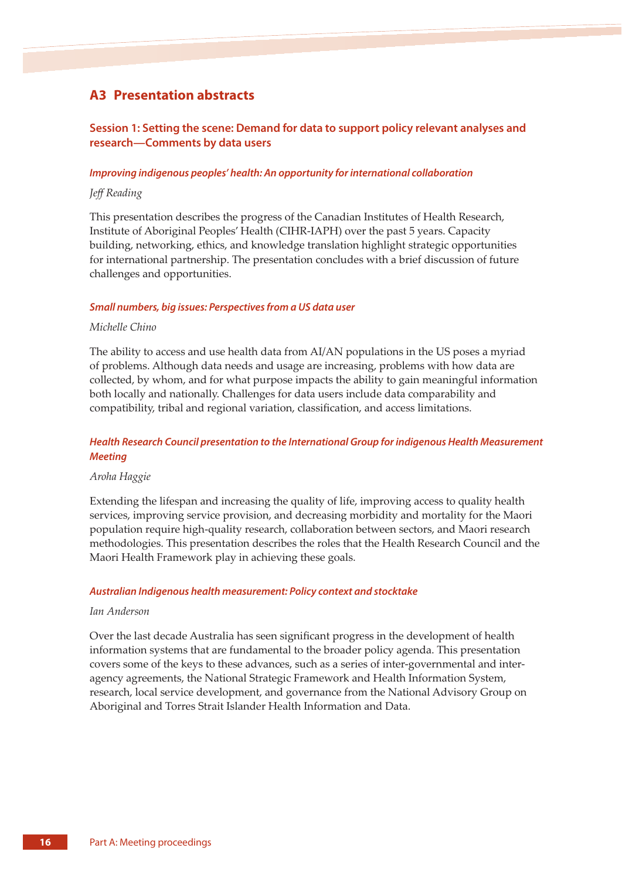# **A3 Presentation abstracts**

# **Session 1: Setting the scene: Demand for data to support policy relevant analyses and research—Comments by data users**

#### *Improving indigenous peoples' health: An opportunity for international collaboration*

### *Jeff Reading*

This presentation describes the progress of the Canadian Institutes of Health Research, Institute of Aboriginal Peoples' Health (CIHR-IAPH) over the past 5 years. Capacity building, networking, ethics, and knowledge translation highlight strategic opportunities for international partnership. The presentation concludes with a brief discussion of future challenges and opportunities.

#### *Small numbers, big issues: Perspectives from a US data user*

#### *Michelle Chino*

The ability to access and use health data from AI/AN populations in the US poses a myriad of problems. Although data needs and usage are increasing, problems with how data are collected, by whom, and for what purpose impacts the ability to gain meaningful information both locally and nationally. Challenges for data users include data comparability and compatibility, tribal and regional variation, classification, and access limitations.

# *Health Research Council presentation to the International Group for indigenous Health Measurement Meeting*

#### *Aroha Haggie*

Extending the lifespan and increasing the quality of life, improving access to quality health services, improving service provision, and decreasing morbidity and mortality for the Maori population require high-quality research, collaboration between sectors, and Maori research methodologies. This presentation describes the roles that the Health Research Council and the Maori Health Framework play in achieving these goals.

#### *Australian Indigenous health measurement: Policy context and stocktake*

#### *Ian Anderson*

Over the last decade Australia has seen significant progress in the development of health information systems that are fundamental to the broader policy agenda. This presentation covers some of the keys to these advances, such as a series of inter-governmental and interagency agreements, the National Strategic Framework and Health Information System, research, local service development, and governance from the National Advisory Group on Aboriginal and Torres Strait Islander Health Information and Data.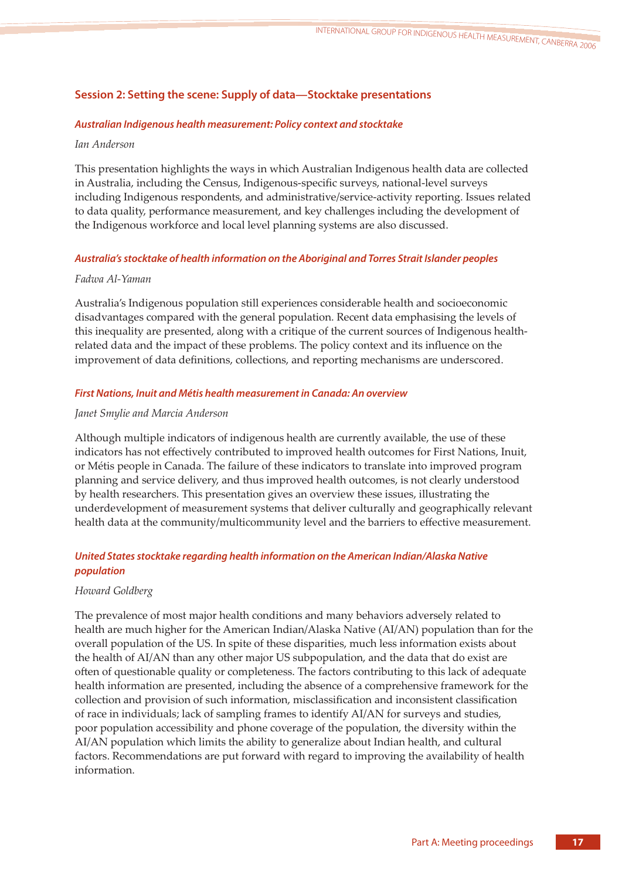# **Session 2: Setting the scene: Supply of data—Stocktake presentations**

# *Australian Indigenous health measurement: Policy context and stocktake*

## *Ian Anderson*

This presentation highlights the ways in which Australian Indigenous health data are collected in Australia, including the Census, Indigenous-specific surveys, national-level surveys including Indigenous respondents, and administrative/service-activity reporting. Issues related to data quality, performance measurement, and key challenges including the development of the Indigenous workforce and local level planning systems are also discussed.

# *Australia's stocktake of health information on the Aboriginal and Torres Strait Islander peoples*

# *Fadwa Al-Yaman*

Australia's Indigenous population still experiences considerable health and socioeconomic disadvantages compared with the general population. Recent data emphasising the levels of this inequality are presented, along with a critique of the current sources of Indigenous healthrelated data and the impact of these problems. The policy context and its influence on the improvement of data definitions, collections, and reporting mechanisms are underscored.

## *First Nations, Inuit and Métis health measurement in Canada: An overview*

### *Janet Smylie and Marcia Anderson*

Although multiple indicators of indigenous health are currently available, the use of these indicators has not effectively contributed to improved health outcomes for First Nations, Inuit, or Métis people in Canada. The failure of these indicators to translate into improved program planning and service delivery, and thus improved health outcomes, is not clearly understood by health researchers. This presentation gives an overview these issues, illustrating the underdevelopment of measurement systems that deliver culturally and geographically relevant health data at the community/multicommunity level and the barriers to effective measurement.

# *United States stocktake regarding health information on the American Indian/Alaska Native population*

## *Howard Goldberg*

The prevalence of most major health conditions and many behaviors adversely related to health are much higher for the American Indian/Alaska Native (AI/AN) population than for the overall population of the US. In spite of these disparities, much less information exists about the health of AI/AN than any other major US subpopulation, and the data that do exist are often of questionable quality or completeness. The factors contributing to this lack of adequate health information are presented, including the absence of a comprehensive framework for the collection and provision of such information, misclassification and inconsistent classification of race in individuals; lack of sampling frames to identify AI/AN for surveys and studies, poor population accessibility and phone coverage of the population, the diversity within the AI/AN population which limits the ability to generalize about Indian health, and cultural factors. Recommendations are put forward with regard to improving the availability of health information.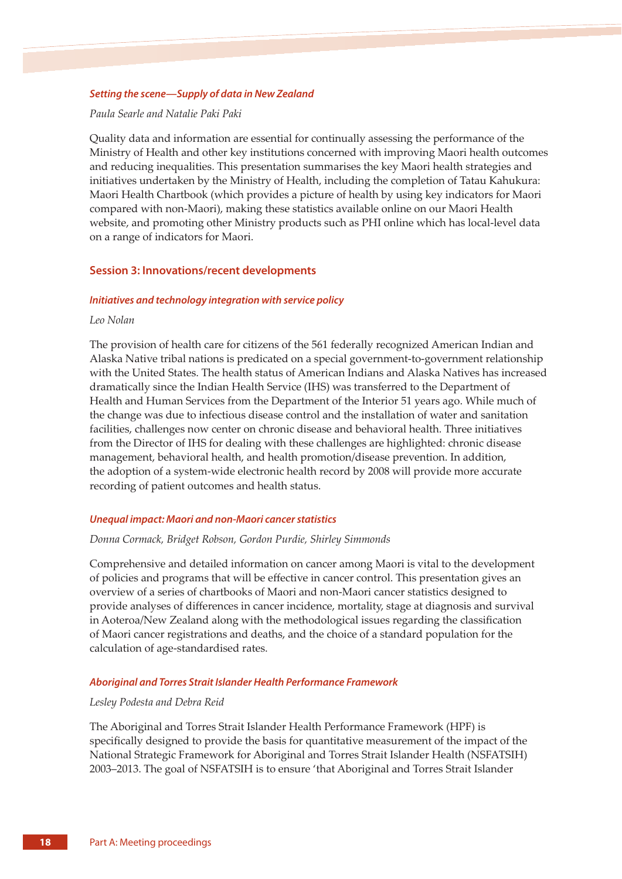#### *Setting the scene—Supply of data in New Zealand*

#### *Paula Searle and Natalie Paki Paki*

Quality data and information are essential for continually assessing the performance of the Ministry of Health and other key institutions concerned with improving Maori health outcomes and reducing inequalities. This presentation summarises the key Maori health strategies and initiatives undertaken by the Ministry of Health, including the completion of Tatau Kahukura: Maori Health Chartbook (which provides a picture of health by using key indicators for Maori compared with non-Maori), making these statistics available online on our Maori Health website, and promoting other Ministry products such as PHI online which has local-level data on a range of indicators for Maori.

### **Session 3: Innovations/recent developments**

### *Initiatives and technology integration with service policy*

#### *Leo Nolan*

The provision of health care for citizens of the 561 federally recognized American Indian and Alaska Native tribal nations is predicated on a special government-to-government relationship with the United States. The health status of American Indians and Alaska Natives has increased dramatically since the Indian Health Service (IHS) was transferred to the Department of Health and Human Services from the Department of the Interior 51 years ago. While much of the change was due to infectious disease control and the installation of water and sanitation facilities, challenges now center on chronic disease and behavioral health. Three initiatives from the Director of IHS for dealing with these challenges are highlighted: chronic disease management, behavioral health, and health promotion/disease prevention. In addition, the adoption of a system-wide electronic health record by 2008 will provide more accurate recording of patient outcomes and health status.

#### *Unequal impact: Maori and non-Maori cancer statistics*

#### *Donna Cormack, Bridget Robson, Gordon Purdie, Shirley Simmonds*

Comprehensive and detailed information on cancer among Maori is vital to the development of policies and programs that will be effective in cancer control. This presentation gives an overview of a series of chartbooks of Maori and non-Maori cancer statistics designed to provide analyses of differences in cancer incidence, mortality, stage at diagnosis and survival in Aoteroa/New Zealand along with the methodological issues regarding the classification of Maori cancer registrations and deaths, and the choice of a standard population for the calculation of age-standardised rates.

#### *Aboriginal and Torres Strait Islander Health Performance Framework*

#### *Lesley Podesta and Debra Reid*

The Aboriginal and Torres Strait Islander Health Performance Framework (HPF) is specifically designed to provide the basis for quantitative measurement of the impact of the National Strategic Framework for Aboriginal and Torres Strait Islander Health (NSFATSIH) 2003–2013. The goal of NSFATSIH is to ensure 'that Aboriginal and Torres Strait Islander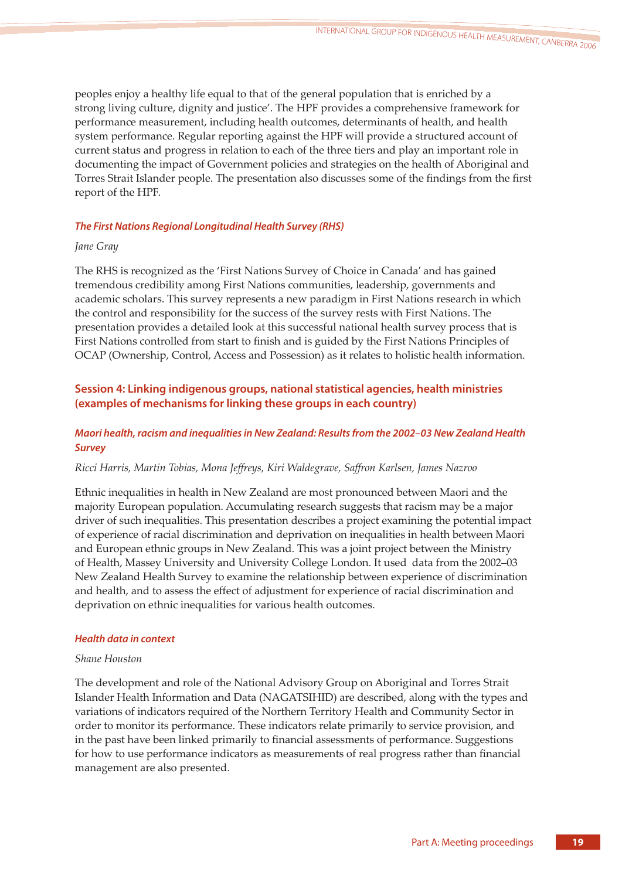peoples enjoy a healthy life equal to that of the general population that is enriched by a strong living culture, dignity and justice'. The HPF provides a comprehensive framework for performance measurement, including health outcomes, determinants of health, and health system performance. Regular reporting against the HPF will provide a structured account of current status and progress in relation to each of the three tiers and play an important role in documenting the impact of Government policies and strategies on the health of Aboriginal and Torres Strait Islander people. The presentation also discusses some of the findings from the first report of the HPF.

# *The First Nations Regional Longitudinal Health Survey (RHS)*

# *Jane Gray*

The RHS is recognized as the 'First Nations Survey of Choice in Canada' and has gained tremendous credibility among First Nations communities, leadership, governments and academic scholars. This survey represents a new paradigm in First Nations research in which the control and responsibility for the success of the survey rests with First Nations. The presentation provides a detailed look at this successful national health survey process that is First Nations controlled from start to finish and is guided by the First Nations Principles of OCAP (Ownership, Control, Access and Possession) as it relates to holistic health information.

# **Session 4: Linking indigenous groups, national statistical agencies, health ministries (examples of mechanisms for linking these groups in each country)**

# *Maori health, racism and inequalities in New Zealand: Results from the 2002–03 New Zealand Health Survey*

# *Ricci Harris, Martin Tobias, Mona Jeffreys, Kiri Waldegrave, Saffron Karlsen, James Nazroo*

Ethnic inequalities in health in New Zealand are most pronounced between Maori and the majority European population. Accumulating research suggests that racism may be a major driver of such inequalities. This presentation describes a project examining the potential impact of experience of racial discrimination and deprivation on inequalities in health between Maori and European ethnic groups in New Zealand. This was a joint project between the Ministry of Health, Massey University and University College London. It used data from the 2002–03 New Zealand Health Survey to examine the relationship between experience of discrimination and health, and to assess the effect of adjustment for experience of racial discrimination and deprivation on ethnic inequalities for various health outcomes.

## *Health data in context*

## *Shane Houston*

The development and role of the National Advisory Group on Aboriginal and Torres Strait Islander Health Information and Data (NAGATSIHID) are described, along with the types and variations of indicators required of the Northern Territory Health and Community Sector in order to monitor its performance. These indicators relate primarily to service provision, and in the past have been linked primarily to financial assessments of performance. Suggestions for how to use performance indicators as measurements of real progress rather than financial management are also presented.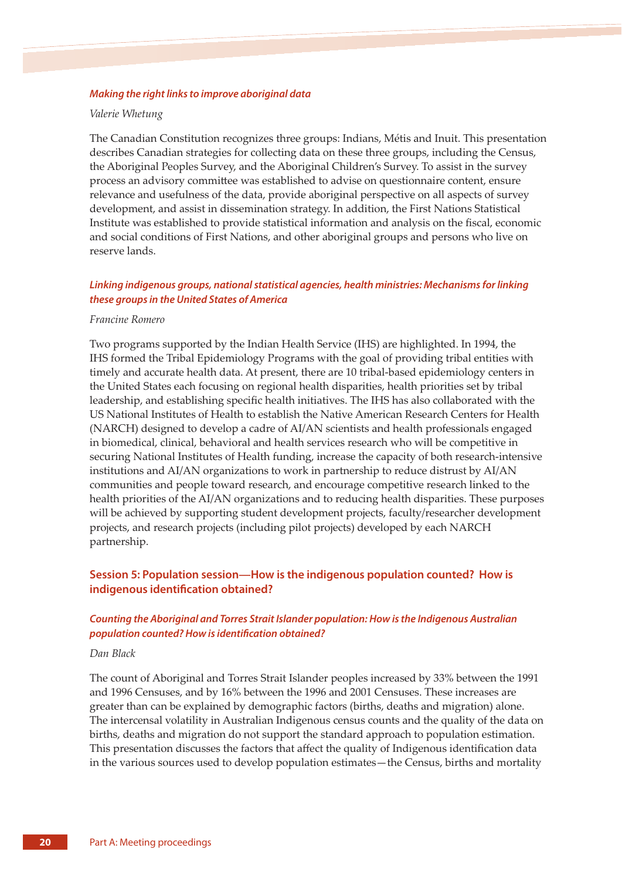#### *Making the right links to improve aboriginal data*

#### *Valerie Whetung*

The Canadian Constitution recognizes three groups: Indians, Métis and Inuit. This presentation describes Canadian strategies for collecting data on these three groups, including the Census, the Aboriginal Peoples Survey, and the Aboriginal Children's Survey. To assist in the survey process an advisory committee was established to advise on questionnaire content, ensure relevance and usefulness of the data, provide aboriginal perspective on all aspects of survey development, and assist in dissemination strategy. In addition, the First Nations Statistical Institute was established to provide statistical information and analysis on the fiscal, economic and social conditions of First Nations, and other aboriginal groups and persons who live on reserve lands.

# *Linking indigenous groups, national statistical agencies, health ministries: Mechanisms for linking these groups in the United States of America*

#### *Francine Romero*

Two programs supported by the Indian Health Service (IHS) are highlighted. In 1994, the IHS formed the Tribal Epidemiology Programs with the goal of providing tribal entities with timely and accurate health data. At present, there are 10 tribal-based epidemiology centers in the United States each focusing on regional health disparities, health priorities set by tribal leadership, and establishing specific health initiatives. The IHS has also collaborated with the US National Institutes of Health to establish the Native American Research Centers for Health (NARCH) designed to develop a cadre of AI/AN scientists and health professionals engaged in biomedical, clinical, behavioral and health services research who will be competitive in securing National Institutes of Health funding, increase the capacity of both research-intensive institutions and AI/AN organizations to work in partnership to reduce distrust by AI/AN communities and people toward research, and encourage competitive research linked to the health priorities of the AI/AN organizations and to reducing health disparities. These purposes will be achieved by supporting student development projects, faculty/researcher development projects, and research projects (including pilot projects) developed by each NARCH partnership.

# **Session 5: Population session—How is the indigenous population counted? How is indigenous identification obtained?**

# *Counting the Aboriginal and Torres Strait Islander population: How is the Indigenous Australian population counted? How is identification obtained?*

#### *Dan Black*

The count of Aboriginal and Torres Strait Islander peoples increased by 33% between the 1991 and 1996 Censuses, and by 16% between the 1996 and 2001 Censuses. These increases are greater than can be explained by demographic factors (births, deaths and migration) alone. The intercensal volatility in Australian Indigenous census counts and the quality of the data on births, deaths and migration do not support the standard approach to population estimation. This presentation discusses the factors that affect the quality of Indigenous identification data in the various sources used to develop population estimates—the Census, births and mortality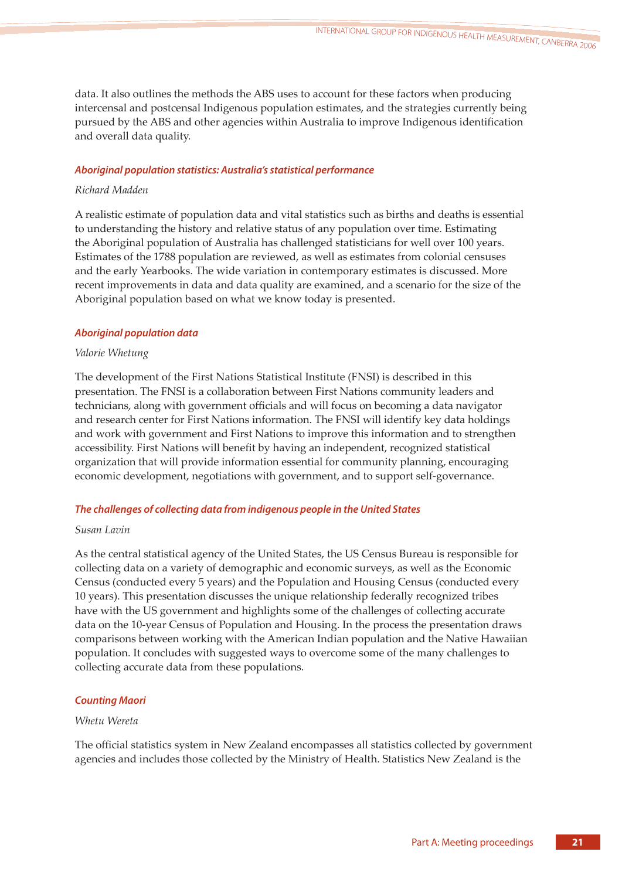data. It also outlines the methods the ABS uses to account for these factors when producing intercensal and postcensal Indigenous population estimates, and the strategies currently being pursued by the ABS and other agencies within Australia to improve Indigenous identification and overall data quality.

# *Aboriginal population statistics: Australia's statistical performance*

# *Richard Madden*

A realistic estimate of population data and vital statistics such as births and deaths is essential to understanding the history and relative status of any population over time. Estimating the Aboriginal population of Australia has challenged statisticians for well over 100 years. Estimates of the 1788 population are reviewed, as well as estimates from colonial censuses and the early Yearbooks. The wide variation in contemporary estimates is discussed. More recent improvements in data and data quality are examined, and a scenario for the size of the Aboriginal population based on what we know today is presented.

# *Aboriginal population data*

# *Valorie Whetung*

The development of the First Nations Statistical Institute (FNSI) is described in this presentation. The FNSI is a collaboration between First Nations community leaders and technicians, along with government officials and will focus on becoming a data navigator and research center for First Nations information. The FNSI will identify key data holdings and work with government and First Nations to improve this information and to strengthen accessibility. First Nations will benefit by having an independent, recognized statistical organization that will provide information essential for community planning, encouraging economic development, negotiations with government, and to support self-governance.

# *The challenges of collecting data from indigenous people in the United States*

# *Susan Lavin*

As the central statistical agency of the United States, the US Census Bureau is responsible for collecting data on a variety of demographic and economic surveys, as well as the Economic Census (conducted every 5 years) and the Population and Housing Census (conducted every 10 years). This presentation discusses the unique relationship federally recognized tribes have with the US government and highlights some of the challenges of collecting accurate data on the 10-year Census of Population and Housing. In the process the presentation draws comparisons between working with the American Indian population and the Native Hawaiian population. It concludes with suggested ways to overcome some of the many challenges to collecting accurate data from these populations.

## *Counting Maori*

## *Whetu Wereta*

The official statistics system in New Zealand encompasses all statistics collected by government agencies and includes those collected by the Ministry of Health. Statistics New Zealand is the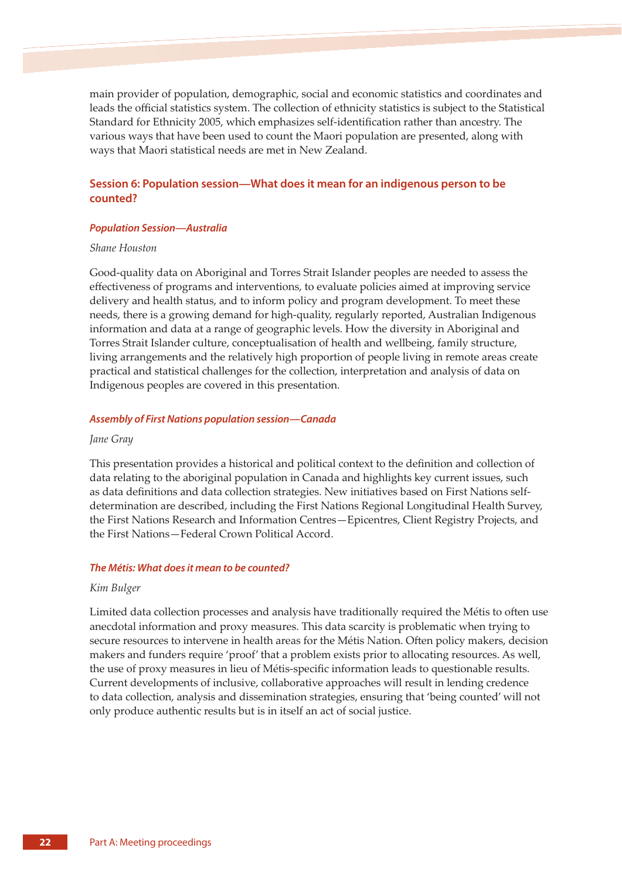main provider of population, demographic, social and economic statistics and coordinates and leads the official statistics system. The collection of ethnicity statistics is subject to the Statistical Standard for Ethnicity 2005, which emphasizes self-identification rather than ancestry. The various ways that have been used to count the Maori population are presented, along with ways that Maori statistical needs are met in New Zealand.

# **Session 6: Population session—What does it mean for an indigenous person to be counted?**

### *Population Session—Australia*

#### *Shane Houston*

Good-quality data on Aboriginal and Torres Strait Islander peoples are needed to assess the effectiveness of programs and interventions, to evaluate policies aimed at improving service delivery and health status, and to inform policy and program development. To meet these needs, there is a growing demand for high-quality, regularly reported, Australian Indigenous information and data at a range of geographic levels. How the diversity in Aboriginal and Torres Strait Islander culture, conceptualisation of health and wellbeing, family structure, living arrangements and the relatively high proportion of people living in remote areas create practical and statistical challenges for the collection, interpretation and analysis of data on Indigenous peoples are covered in this presentation.

#### *Assembly of First Nations population session—Canada*

### *Jane Gray*

This presentation provides a historical and political context to the definition and collection of data relating to the aboriginal population in Canada and highlights key current issues, such as data definitions and data collection strategies. New initiatives based on First Nations selfdetermination are described, including the First Nations Regional Longitudinal Health Survey, the First Nations Research and Information Centres—Epicentres, Client Registry Projects, and the First Nations—Federal Crown Political Accord.

#### *The Métis: What does it mean to be counted?*

#### *Kim Bulger*

Limited data collection processes and analysis have traditionally required the Métis to often use anecdotal information and proxy measures. This data scarcity is problematic when trying to secure resources to intervene in health areas for the Métis Nation. Often policy makers, decision makers and funders require 'proof' that a problem exists prior to allocating resources. As well, the use of proxy measures in lieu of Métis-specific information leads to questionable results. Current developments of inclusive, collaborative approaches will result in lending credence to data collection, analysis and dissemination strategies, ensuring that 'being counted' will not only produce authentic results but is in itself an act of social justice.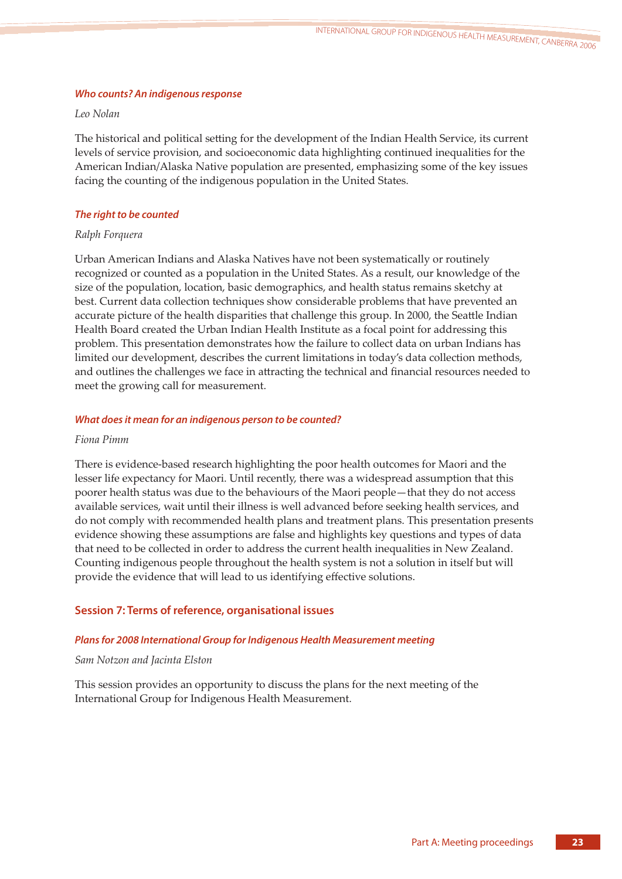## *Who counts? An indigenous response*

## *Leo Nolan*

The historical and political setting for the development of the Indian Health Service, its current levels of service provision, and socioeconomic data highlighting continued inequalities for the American Indian/Alaska Native population are presented, emphasizing some of the key issues facing the counting of the indigenous population in the United States.

# *The right to be counted*

# *Ralph Forquera*

Urban American Indians and Alaska Natives have not been systematically or routinely recognized or counted as a population in the United States. As a result, our knowledge of the size of the population, location, basic demographics, and health status remains sketchy at best. Current data collection techniques show considerable problems that have prevented an accurate picture of the health disparities that challenge this group. In 2000, the Seattle Indian Health Board created the Urban Indian Health Institute as a focal point for addressing this problem. This presentation demonstrates how the failure to collect data on urban Indians has limited our development, describes the current limitations in today's data collection methods, and outlines the challenges we face in attracting the technical and financial resources needed to meet the growing call for measurement.

## *What does it mean for an indigenous person to be counted?*

# *Fiona Pimm*

There is evidence-based research highlighting the poor health outcomes for Maori and the lesser life expectancy for Maori. Until recently, there was a widespread assumption that this poorer health status was due to the behaviours of the Maori people—that they do not access available services, wait until their illness is well advanced before seeking health services, and do not comply with recommended health plans and treatment plans. This presentation presents evidence showing these assumptions are false and highlights key questions and types of data that need to be collected in order to address the current health inequalities in New Zealand. Counting indigenous people throughout the health system is not a solution in itself but will provide the evidence that will lead to us identifying effective solutions.

# **Session 7: Terms of reference, organisational issues**

# *Plans for 2008 International Group for Indigenous Health Measurement meeting*

# *Sam Notzon and Jacinta Elston*

This session provides an opportunity to discuss the plans for the next meeting of the International Group for Indigenous Health Measurement.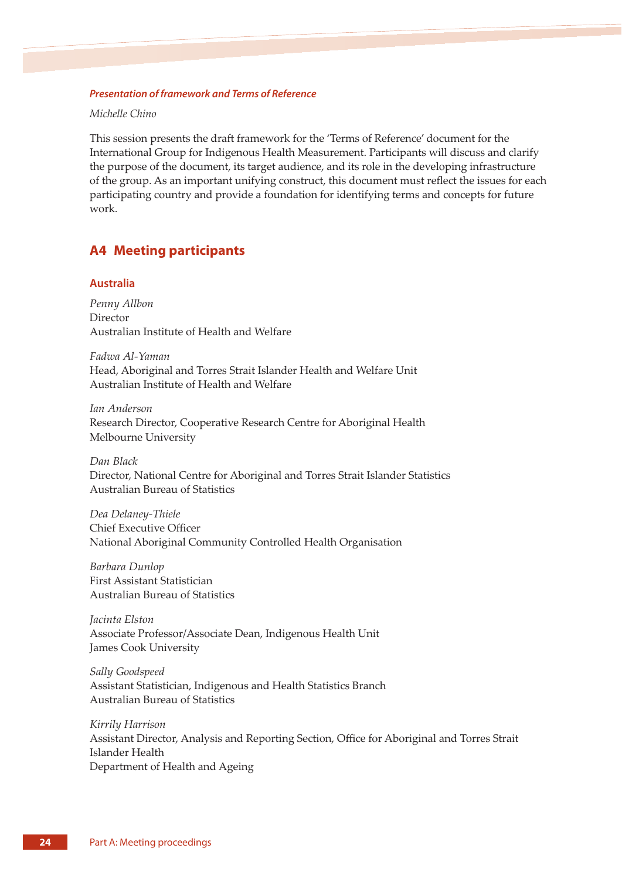### *Presentation of framework and Terms of Reference*

*Michelle Chino*

This session presents the draft framework for the 'Terms of Reference' document for the International Group for Indigenous Health Measurement. Participants will discuss and clarify the purpose of the document, its target audience, and its role in the developing infrastructure of the group. As an important unifying construct, this document must reflect the issues for each participating country and provide a foundation for identifying terms and concepts for future work.

# **A4 Meeting participants**

## **Australia**

*Penny Allbon*  Director Australian Institute of Health and Welfare

*Fadwa Al-Yaman*  Head, Aboriginal and Torres Strait Islander Health and Welfare Unit Australian Institute of Health and Welfare

*Ian Anderson*  Research Director, Cooperative Research Centre for Aboriginal Health Melbourne University

*Dan Black*  Director, National Centre for Aboriginal and Torres Strait Islander Statistics Australian Bureau of Statistics

*Dea Delaney-Thiele*  Chief Executive Officer National Aboriginal Community Controlled Health Organisation

*Barbara Dunlop*  First Assistant Statistician Australian Bureau of Statistics

*Jacinta Elston*  Associate Professor/Associate Dean, Indigenous Health Unit James Cook University

*Sally Goodspeed*  Assistant Statistician, Indigenous and Health Statistics Branch Australian Bureau of Statistics

*Kirrily Harrison*  Assistant Director, Analysis and Reporting Section, Office for Aboriginal and Torres Strait Islander Health Department of Health and Ageing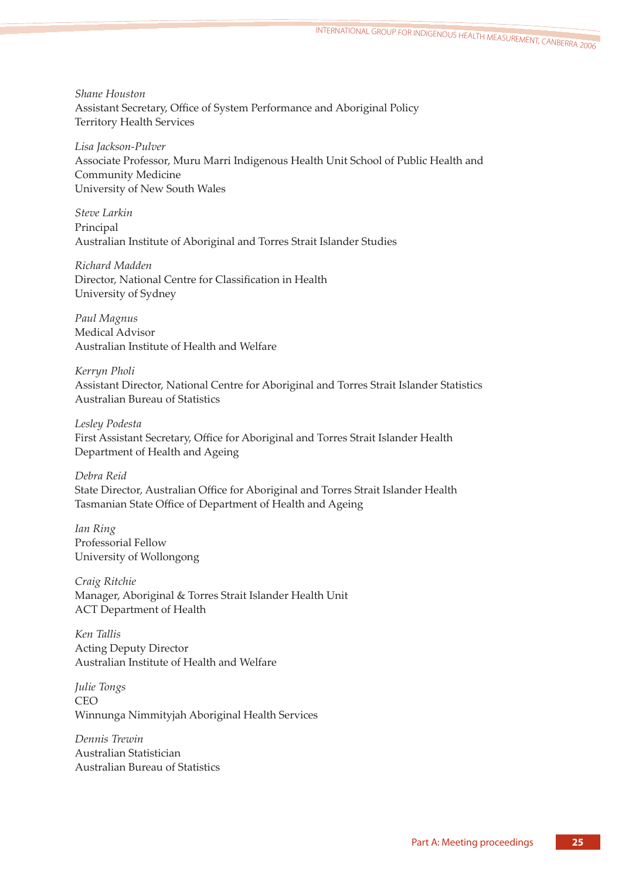*Shane Houston*  Assistant Secretary, Office of System Performance and Aboriginal Policy Territory Health Services

*Lisa Jackson-Pulver*  Associate Professor, Muru Marri Indigenous Health Unit School of Public Health and Community Medicine University of New South Wales

*Steve Larkin*  Principal Australian Institute of Aboriginal and Torres Strait Islander Studies

*Richard Madden*  Director, National Centre for Classification in Health University of Sydney

*Paul Magnus*  Medical Advisor Australian Institute of Health and Welfare

*Kerryn Pholi*  Assistant Director, National Centre for Aboriginal and Torres Strait Islander Statistics Australian Bureau of Statistics

*Lesley Podesta*  First Assistant Secretary, Office for Aboriginal and Torres Strait Islander Health Department of Health and Ageing

*Debra Reid*  State Director, Australian Office for Aboriginal and Torres Strait Islander Health Tasmanian State Office of Department of Health and Ageing

*Ian Ring*  Professorial Fellow University of Wollongong

*Craig Ritchie*  Manager, Aboriginal & Torres Strait Islander Health Unit ACT Department of Health

*Ken Tallis*  Acting Deputy Director Australian Institute of Health and Welfare

*Julie Tongs*  CEO Winnunga Nimmityjah Aboriginal Health Services

*Dennis Trewin*  Australian Statistician Australian Bureau of Statistics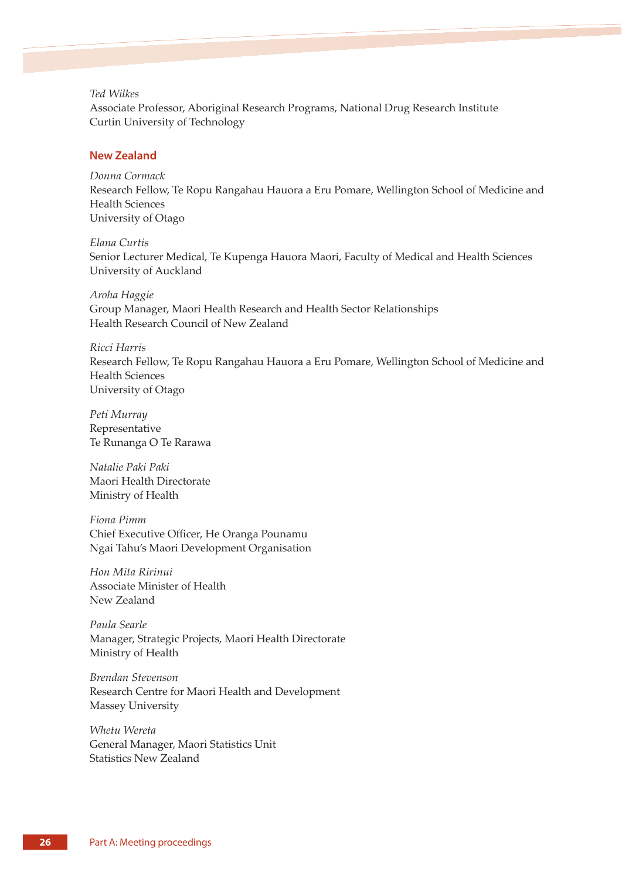### *Ted Wilkes*

Associate Professor, Aboriginal Research Programs, National Drug Research Institute Curtin University of Technology

# **New Zealand**

*Donna Cormack*  Research Fellow, Te Ropu Rangahau Hauora a Eru Pomare, Wellington School of Medicine and Health Sciences University of Otago

*Elana Curtis*  Senior Lecturer Medical, Te Kupenga Hauora Maori, Faculty of Medical and Health Sciences University of Auckland

*Aroha Haggie*  Group Manager, Maori Health Research and Health Sector Relationships Health Research Council of New Zealand

*Ricci Harris*  Research Fellow, Te Ropu Rangahau Hauora a Eru Pomare, Wellington School of Medicine and Health Sciences University of Otago

*Peti Murray*  Representative Te Runanga O Te Rarawa

*Natalie Paki Paki*  Maori Health Directorate Ministry of Health

*Fiona Pimm*  Chief Executive Officer, He Oranga Pounamu Ngai Tahu's Maori Development Organisation

*Hon Mita Ririnui*  Associate Minister of Health New Zealand

*Paula Searle*  Manager, Strategic Projects, Maori Health Directorate Ministry of Health

*Brendan Stevenson*  Research Centre for Maori Health and Development Massey University

*Whetu Wereta*  General Manager, Maori Statistics Unit Statistics New Zealand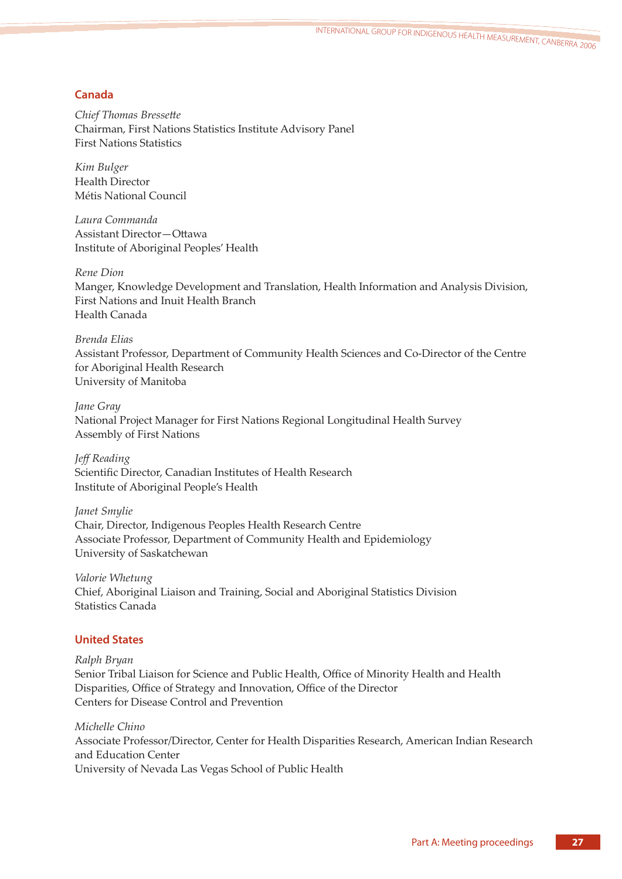# **Canada**

*Chief Thomas Bressette* Chairman, First Nations Statistics Institute Advisory Panel First Nations Statistics

*Kim Bulger*  Health Director Métis National Council

*Laura Commanda*  Assistant Director-Ottawa Institute of Aboriginal Peoples' Health

*Rene Dion*  Manger, Knowledge Development and Translation, Health Information and Analysis Division, First Nations and Inuit Health Branch Health Canada

*Brenda Elias*  Assistant Professor, Department of Community Health Sciences and Co-Director of the Centre for Aboriginal Health Research University of Manitoba

*Jane Gray*  National Project Manager for First Nations Regional Longitudinal Health Survey Assembly of First Nations

*Jeff Reading*  Scientific Director, Canadian Institutes of Health Research Institute of Aboriginal People's Health

*Janet Smylie*  Chair, Director, Indigenous Peoples Health Research Centre Associate Professor, Department of Community Health and Epidemiology University of Saskatchewan

*Valorie Whetung*  Chief, Aboriginal Liaison and Training, Social and Aboriginal Statistics Division Statistics Canada

# **United States**

*Ralph Bryan*  Senior Tribal Liaison for Science and Public Health, Office of Minority Health and Health Disparities, Office of Strategy and Innovation, Office of the Director Centers for Disease Control and Prevention

*Michelle Chino*  Associate Professor/Director, Center for Health Disparities Research, American Indian Research and Education Center University of Nevada Las Vegas School of Public Health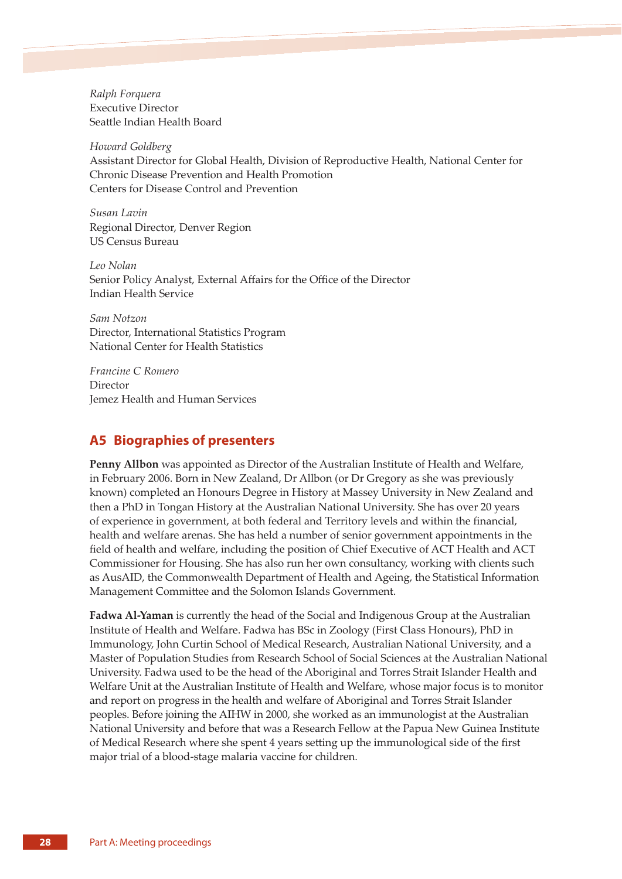*Ralph Forquera*  Executive Director Seattle Indian Health Board

*Howard Goldberg*  Assistant Director for Global Health, Division of Reproductive Health, National Center for Chronic Disease Prevention and Health Promotion Centers for Disease Control and Prevention

*Susan Lavin*  Regional Director, Denver Region US Census Bureau

*Leo Nolan*  Senior Policy Analyst, External Affairs for the Office of the Director Indian Health Service

*Sam Notzon*  Director, International Statistics Program National Center for Health Statistics

*Francine C Romero*  Director Jemez Health and Human Services

# **A5 Biographies of presenters**

**Penny Allbon** was appointed as Director of the Australian Institute of Health and Welfare, in February 2006. Born in New Zealand, Dr Allbon (or Dr Gregory as she was previously known) completed an Honours Degree in History at Massey University in New Zealand and then a PhD in Tongan History at the Australian National University. She has over 20 years of experience in government, at both federal and Territory levels and within the financial, health and welfare arenas. She has held a number of senior government appointments in the field of health and welfare, including the position of Chief Executive of ACT Health and ACT Commissioner for Housing. She has also run her own consultancy, working with clients such as AusAID, the Commonwealth Department of Health and Ageing, the Statistical Information Management Committee and the Solomon Islands Government.

**Fadwa Al-Yaman** is currently the head of the Social and Indigenous Group at the Australian Institute of Health and Welfare. Fadwa has BSc in Zoology (First Class Honours), PhD in Immunology, John Curtin School of Medical Research, Australian National University, and a Master of Population Studies from Research School of Social Sciences at the Australian National University. Fadwa used to be the head of the Aboriginal and Torres Strait Islander Health and Welfare Unit at the Australian Institute of Health and Welfare, whose major focus is to monitor and report on progress in the health and welfare of Aboriginal and Torres Strait Islander peoples. Before joining the AIHW in 2000, she worked as an immunologist at the Australian National University and before that was a Research Fellow at the Papua New Guinea Institute of Medical Research where she spent 4 years seing up the immunological side of the first major trial of a blood-stage malaria vaccine for children.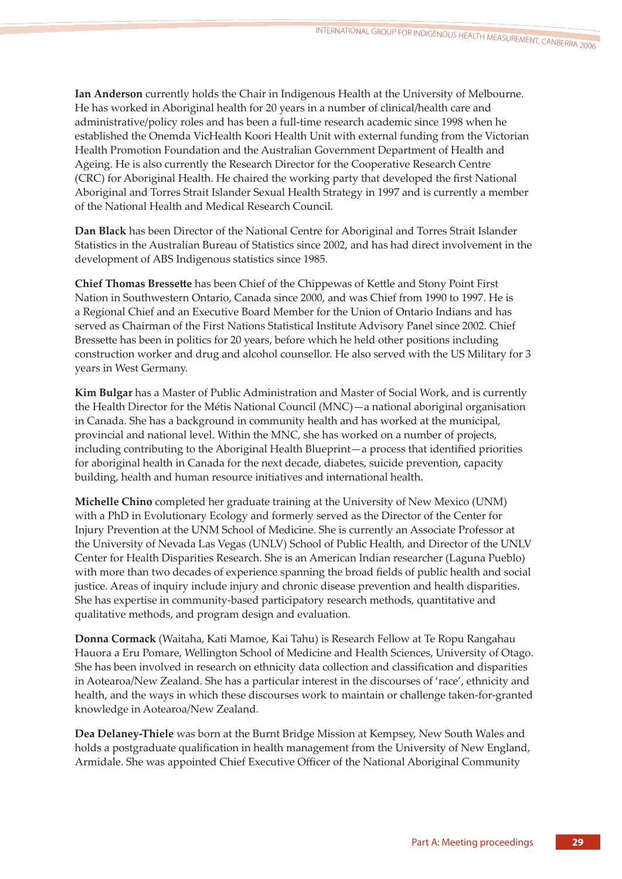**Ian Anderson** currently holds the Chair in Indigenous Health at the University of Melbourne. He has worked in Aboriginal health for 20 years in a number of clinical/health care and administrative/policy roles and has been a full-time research academic since 1998 when he established the Onemda VicHealth Koori Health Unit with external funding from the Victorian Health Promotion Foundation and the Australian Government Department of Health and Ageing. He is also currently the Research Director for the Cooperative Research Centre (CRC) for Aboriginal Health. He chaired the working party that developed the first National Aboriginal and Torres Strait Islander Sexual Health Strategy in 1997 and is currently a member of the National Health and Medical Research Council.

**Dan Black** has been Director of the National Centre for Aboriginal and Torres Strait Islander Statistics in the Australian Bureau of Statistics since 2002, and has had direct involvement in the development of ABS Indigenous statistics since 1985.

**Chief Thomas Bressette** has been Chief of the Chippewas of Kettle and Stony Point First Nation in Southwestern Ontario, Canada since 2000, and was Chief from 1990 to 1997. He is a Regional Chief and an Executive Board Member for the Union of Ontario Indians and has served as Chairman of the First Nations Statistical Institute Advisory Panel since 2002. Chief Bressette has been in politics for 20 years, before which he held other positions including construction worker and drug and alcohol counsellor. He also served with the US Military for 3 years in West Germany.

**Kim Bulgar** has a Master of Public Administration and Master of Social Work, and is currently the Health Director for the Métis National Council (MNC)—a national aboriginal organisation in Canada. She has a background in community health and has worked at the municipal, provincial and national level. Within the MNC, she has worked on a number of projects, including contributing to the Aboriginal Health Blueprint—a process that identified priorities for aboriginal health in Canada for the next decade, diabetes, suicide prevention, capacity building, health and human resource initiatives and international health.

**Michelle Chino** completed her graduate training at the University of New Mexico (UNM) with a PhD in Evolutionary Ecology and formerly served as the Director of the Center for Injury Prevention at the UNM School of Medicine. She is currently an Associate Professor at the University of Nevada Las Vegas (UNLV) School of Public Health, and Director of the UNLV Center for Health Disparities Research. She is an American Indian researcher (Laguna Pueblo) with more than two decades of experience spanning the broad fields of public health and social justice. Areas of inquiry include injury and chronic disease prevention and health disparities. She has expertise in community-based participatory research methods, quantitative and qualitative methods, and program design and evaluation.

**Donna Cormack** (Waitaha, Kati Mamoe, Kai Tahu) is Research Fellow at Te Ropu Rangahau Hauora a Eru Pomare, Wellington School of Medicine and Health Sciences, University of Otago. She has been involved in research on ethnicity data collection and classification and disparities in Aotearoa/New Zealand. She has a particular interest in the discourses of 'race', ethnicity and health, and the ways in which these discourses work to maintain or challenge taken-for-granted knowledge in Aotearoa/New Zealand.

**Dea Delaney-Thiele** was born at the Burnt Bridge Mission at Kempsey, New South Wales and holds a postgraduate qualification in health management from the University of New England, Armidale. She was appointed Chief Executive Officer of the National Aboriginal Community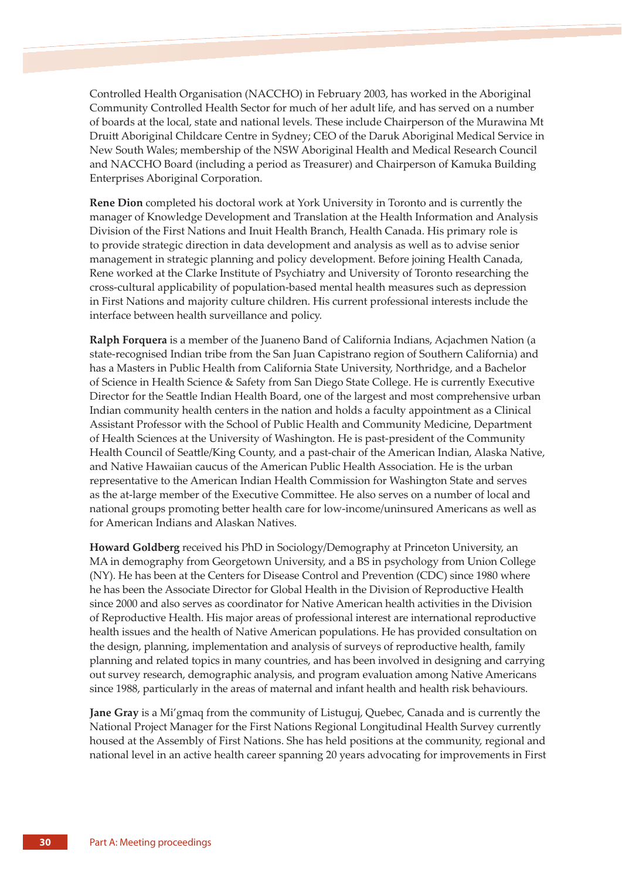Controlled Health Organisation (NACCHO) in February 2003, has worked in the Aboriginal Community Controlled Health Sector for much of her adult life, and has served on a number of boards at the local, state and national levels. These include Chairperson of the Murawina Mt Druitt Aboriginal Childcare Centre in Sydney; CEO of the Daruk Aboriginal Medical Service in New South Wales; membership of the NSW Aboriginal Health and Medical Research Council and NACCHO Board (including a period as Treasurer) and Chairperson of Kamuka Building Enterprises Aboriginal Corporation.

**Rene Dion** completed his doctoral work at York University in Toronto and is currently the manager of Knowledge Development and Translation at the Health Information and Analysis Division of the First Nations and Inuit Health Branch, Health Canada. His primary role is to provide strategic direction in data development and analysis as well as to advise senior management in strategic planning and policy development. Before joining Health Canada, Rene worked at the Clarke Institute of Psychiatry and University of Toronto researching the cross-cultural applicability of population-based mental health measures such as depression in First Nations and majority culture children. His current professional interests include the interface between health surveillance and policy.

**Ralph Forquera** is a member of the Juaneno Band of California Indians, Acjachmen Nation (a state-recognised Indian tribe from the San Juan Capistrano region of Southern California) and has a Masters in Public Health from California State University, Northridge, and a Bachelor of Science in Health Science & Safety from San Diego State College. He is currently Executive Director for the Seattle Indian Health Board, one of the largest and most comprehensive urban Indian community health centers in the nation and holds a faculty appointment as a Clinical Assistant Professor with the School of Public Health and Community Medicine, Department of Health Sciences at the University of Washington. He is past-president of the Community Health Council of Seattle/King County, and a past-chair of the American Indian, Alaska Native, and Native Hawaiian caucus of the American Public Health Association. He is the urban representative to the American Indian Health Commission for Washington State and serves as the at-large member of the Executive Committee. He also serves on a number of local and national groups promoting better health care for low-income/uninsured Americans as well as for American Indians and Alaskan Natives.

**Howard Goldberg** received his PhD in Sociology/Demography at Princeton University, an MA in demography from Georgetown University, and a BS in psychology from Union College (NY). He has been at the Centers for Disease Control and Prevention (CDC) since 1980 where he has been the Associate Director for Global Health in the Division of Reproductive Health since 2000 and also serves as coordinator for Native American health activities in the Division of Reproductive Health. His major areas of professional interest are international reproductive health issues and the health of Native American populations. He has provided consultation on the design, planning, implementation and analysis of surveys of reproductive health, family planning and related topics in many countries, and has been involved in designing and carrying out survey research, demographic analysis, and program evaluation among Native Americans since 1988, particularly in the areas of maternal and infant health and health risk behaviours.

**Jane Gray** is a Mi'gmaq from the community of Listuguj, Quebec, Canada and is currently the National Project Manager for the First Nations Regional Longitudinal Health Survey currently housed at the Assembly of First Nations. She has held positions at the community, regional and national level in an active health career spanning 20 years advocating for improvements in First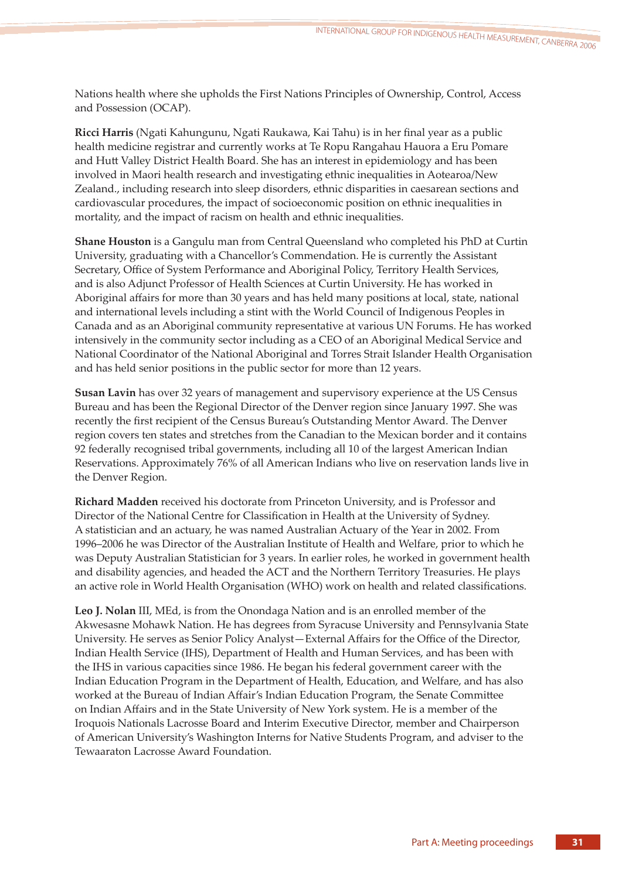Nations health where she upholds the First Nations Principles of Ownership, Control, Access and Possession (OCAP).

**Ricci Harris** (Ngati Kahungunu, Ngati Raukawa, Kai Tahu) is in her final year as a public health medicine registrar and currently works at Te Ropu Rangahau Hauora a Eru Pomare and Hutt Valley District Health Board. She has an interest in epidemiology and has been involved in Maori health research and investigating ethnic inequalities in Aotearoa/New Zealand., including research into sleep disorders, ethnic disparities in caesarean sections and cardiovascular procedures, the impact of socioeconomic position on ethnic inequalities in mortality, and the impact of racism on health and ethnic inequalities.

**Shane Houston** is a Gangulu man from Central Queensland who completed his PhD at Curtin University, graduating with a Chancellor's Commendation. He is currently the Assistant Secretary, Office of System Performance and Aboriginal Policy, Territory Health Services, and is also Adjunct Professor of Health Sciences at Curtin University. He has worked in Aboriginal affairs for more than 30 years and has held many positions at local, state, national and international levels including a stint with the World Council of Indigenous Peoples in Canada and as an Aboriginal community representative at various UN Forums. He has worked intensively in the community sector including as a CEO of an Aboriginal Medical Service and National Coordinator of the National Aboriginal and Torres Strait Islander Health Organisation and has held senior positions in the public sector for more than 12 years.

**Susan Lavin** has over 32 years of management and supervisory experience at the US Census Bureau and has been the Regional Director of the Denver region since January 1997. She was recently the first recipient of the Census Bureau's Outstanding Mentor Award. The Denver region covers ten states and stretches from the Canadian to the Mexican border and it contains 92 federally recognised tribal governments, including all 10 of the largest American Indian Reservations. Approximately 76% of all American Indians who live on reservation lands live in the Denver Region.

**Richard Madden** received his doctorate from Princeton University, and is Professor and Director of the National Centre for Classification in Health at the University of Sydney. A statistician and an actuary, he was named Australian Actuary of the Year in 2002. From 1996–2006 he was Director of the Australian Institute of Health and Welfare, prior to which he was Deputy Australian Statistician for 3 years. In earlier roles, he worked in government health and disability agencies, and headed the ACT and the Northern Territory Treasuries. He plays an active role in World Health Organisation (WHO) work on health and related classifications.

**Leo J. Nolan** III, MEd, is from the Onondaga Nation and is an enrolled member of the Akwesasne Mohawk Nation. He has degrees from Syracuse University and Pennsylvania State University. He serves as Senior Policy Analyst—External Affairs for the Office of the Director, Indian Health Service (IHS), Department of Health and Human Services, and has been with the IHS in various capacities since 1986. He began his federal government career with the Indian Education Program in the Department of Health, Education, and Welfare, and has also worked at the Bureau of Indian Affair's Indian Education Program, the Senate Committee on Indian Affairs and in the State University of New York system. He is a member of the Iroquois Nationals Lacrosse Board and Interim Executive Director, member and Chairperson of American University's Washington Interns for Native Students Program, and adviser to the Tewaaraton Lacrosse Award Foundation.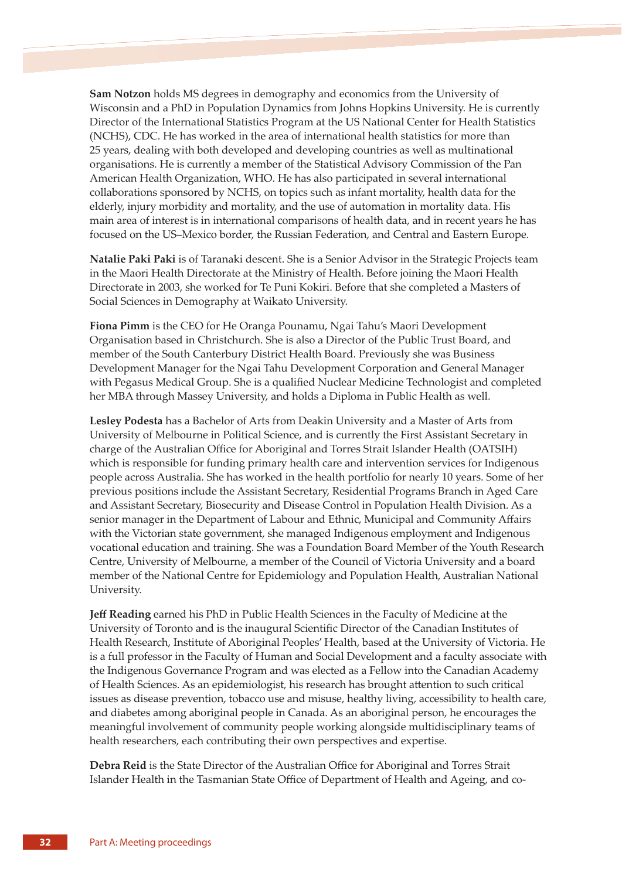**Sam Notzon** holds MS degrees in demography and economics from the University of Wisconsin and a PhD in Population Dynamics from Johns Hopkins University. He is currently Director of the International Statistics Program at the US National Center for Health Statistics (NCHS), CDC. He has worked in the area of international health statistics for more than 25 years, dealing with both developed and developing countries as well as multinational organisations. He is currently a member of the Statistical Advisory Commission of the Pan American Health Organization, WHO. He has also participated in several international collaborations sponsored by NCHS, on topics such as infant mortality, health data for the elderly, injury morbidity and mortality, and the use of automation in mortality data. His main area of interest is in international comparisons of health data, and in recent years he has focused on the US–Mexico border, the Russian Federation, and Central and Eastern Europe.

**Natalie Paki Paki** is of Taranaki descent. She is a Senior Advisor in the Strategic Projects team in the Maori Health Directorate at the Ministry of Health. Before joining the Maori Health Directorate in 2003, she worked for Te Puni Kokiri. Before that she completed a Masters of Social Sciences in Demography at Waikato University.

**Fiona Pimm** is the CEO for He Oranga Pounamu, Ngai Tahu's Maori Development Organisation based in Christchurch. She is also a Director of the Public Trust Board, and member of the South Canterbury District Health Board. Previously she was Business Development Manager for the Ngai Tahu Development Corporation and General Manager with Pegasus Medical Group. She is a qualified Nuclear Medicine Technologist and completed her MBA through Massey University, and holds a Diploma in Public Health as well.

**Lesley Podesta** has a Bachelor of Arts from Deakin University and a Master of Arts from University of Melbourne in Political Science, and is currently the First Assistant Secretary in charge of the Australian Office for Aboriginal and Torres Strait Islander Health (OATSIH) which is responsible for funding primary health care and intervention services for Indigenous people across Australia. She has worked in the health portfolio for nearly 10 years. Some of her previous positions include the Assistant Secretary, Residential Programs Branch in Aged Care and Assistant Secretary, Biosecurity and Disease Control in Population Health Division. As a senior manager in the Department of Labour and Ethnic, Municipal and Community Affairs with the Victorian state government, she managed Indigenous employment and Indigenous vocational education and training. She was a Foundation Board Member of the Youth Research Centre, University of Melbourne, a member of the Council of Victoria University and a board member of the National Centre for Epidemiology and Population Health, Australian National University.

**Jeff Reading** earned his PhD in Public Health Sciences in the Faculty of Medicine at the University of Toronto and is the inaugural Scientific Director of the Canadian Institutes of Health Research, Institute of Aboriginal Peoples' Health, based at the University of Victoria. He is a full professor in the Faculty of Human and Social Development and a faculty associate with the Indigenous Governance Program and was elected as a Fellow into the Canadian Academy of Health Sciences. As an epidemiologist, his research has brought attention to such critical issues as disease prevention, tobacco use and misuse, healthy living, accessibility to health care, and diabetes among aboriginal people in Canada. As an aboriginal person, he encourages the meaningful involvement of community people working alongside multidisciplinary teams of health researchers, each contributing their own perspectives and expertise.

**Debra Reid** is the State Director of the Australian Office for Aboriginal and Torres Strait Islander Health in the Tasmanian State Office of Department of Health and Ageing, and co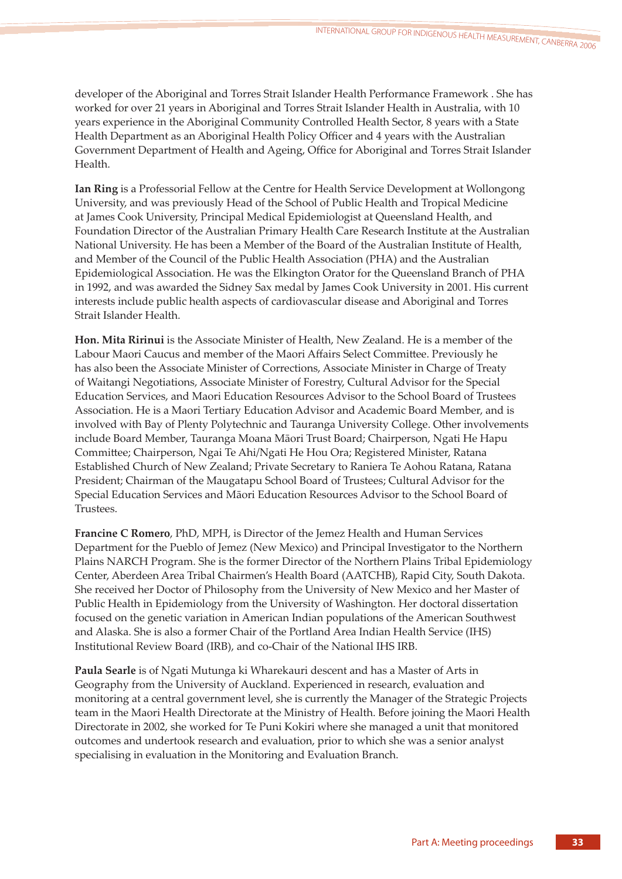developer of the Aboriginal and Torres Strait Islander Health Performance Framework . She has worked for over 21 years in Aboriginal and Torres Strait Islander Health in Australia, with 10 years experience in the Aboriginal Community Controlled Health Sector, 8 years with a State Health Department as an Aboriginal Health Policy Officer and 4 years with the Australian Government Department of Health and Ageing, Office for Aboriginal and Torres Strait Islander Health.

**Ian Ring** is a Professorial Fellow at the Centre for Health Service Development at Wollongong University, and was previously Head of the School of Public Health and Tropical Medicine at James Cook University, Principal Medical Epidemiologist at Queensland Health, and Foundation Director of the Australian Primary Health Care Research Institute at the Australian National University. He has been a Member of the Board of the Australian Institute of Health, and Member of the Council of the Public Health Association (PHA) and the Australian Epidemiological Association. He was the Elkington Orator for the Queensland Branch of PHA in 1992, and was awarded the Sidney Sax medal by James Cook University in 2001. His current interests include public health aspects of cardiovascular disease and Aboriginal and Torres Strait Islander Health.

**Hon. Mita Ririnui** is the Associate Minister of Health, New Zealand. He is a member of the Labour Maori Caucus and member of the Maori Affairs Select Committee. Previously he has also been the Associate Minister of Corrections, Associate Minister in Charge of Treaty of Waitangi Negotiations, Associate Minister of Forestry, Cultural Advisor for the Special Education Services, and Maori Education Resources Advisor to the School Board of Trustees Association. He is a Maori Tertiary Education Advisor and Academic Board Member, and is involved with Bay of Plenty Polytechnic and Tauranga University College. Other involvements include Board Member, Tauranga Moana Māori Trust Board; Chairperson, Ngati He Hapu Committee; Chairperson, Ngai Te Ahi/Ngati He Hou Ora; Registered Minister, Ratana Established Church of New Zealand; Private Secretary to Raniera Te Aohou Ratana, Ratana President; Chairman of the Maugatapu School Board of Trustees; Cultural Advisor for the Special Education Services and Māori Education Resources Advisor to the School Board of Trustees.

**Francine C Romero**, PhD, MPH, is Director of the Jemez Health and Human Services Department for the Pueblo of Jemez (New Mexico) and Principal Investigator to the Northern Plains NARCH Program. She is the former Director of the Northern Plains Tribal Epidemiology Center, Aberdeen Area Tribal Chairmen's Health Board (AATCHB), Rapid City, South Dakota. She received her Doctor of Philosophy from the University of New Mexico and her Master of Public Health in Epidemiology from the University of Washington. Her doctoral dissertation focused on the genetic variation in American Indian populations of the American Southwest and Alaska. She is also a former Chair of the Portland Area Indian Health Service (IHS) Institutional Review Board (IRB), and co-Chair of the National IHS IRB.

**Paula Searle** is of Ngati Mutunga ki Wharekauri descent and has a Master of Arts in Geography from the University of Auckland. Experienced in research, evaluation and monitoring at a central government level, she is currently the Manager of the Strategic Projects team in the Maori Health Directorate at the Ministry of Health. Before joining the Maori Health Directorate in 2002, she worked for Te Puni Kokiri where she managed a unit that monitored outcomes and undertook research and evaluation, prior to which she was a senior analyst specialising in evaluation in the Monitoring and Evaluation Branch.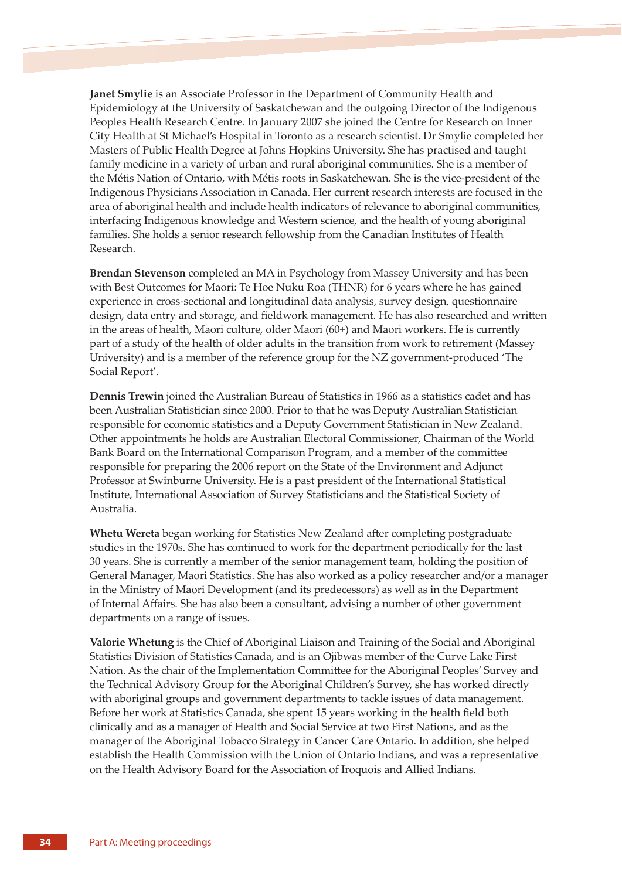**Janet Smylie** is an Associate Professor in the Department of Community Health and Epidemiology at the University of Saskatchewan and the outgoing Director of the Indigenous Peoples Health Research Centre. In January 2007 she joined the Centre for Research on Inner City Health at St Michael's Hospital in Toronto as a research scientist. Dr Smylie completed her Masters of Public Health Degree at Johns Hopkins University. She has practised and taught family medicine in a variety of urban and rural aboriginal communities. She is a member of the Métis Nation of Ontario, with Métis roots in Saskatchewan. She is the vice-president of the Indigenous Physicians Association in Canada. Her current research interests are focused in the area of aboriginal health and include health indicators of relevance to aboriginal communities, interfacing Indigenous knowledge and Western science, and the health of young aboriginal families. She holds a senior research fellowship from the Canadian Institutes of Health Research.

**Brendan Stevenson** completed an MA in Psychology from Massey University and has been with Best Outcomes for Maori: Te Hoe Nuku Roa (THNR) for 6 years where he has gained experience in cross-sectional and longitudinal data analysis, survey design, questionnaire design, data entry and storage, and fieldwork management. He has also researched and written in the areas of health, Maori culture, older Maori (60+) and Maori workers. He is currently part of a study of the health of older adults in the transition from work to retirement (Massey University) and is a member of the reference group for the NZ government-produced 'The Social Report'.

**Dennis Trewin** joined the Australian Bureau of Statistics in 1966 as a statistics cadet and has been Australian Statistician since 2000. Prior to that he was Deputy Australian Statistician responsible for economic statistics and a Deputy Government Statistician in New Zealand. Other appointments he holds are Australian Electoral Commissioner, Chairman of the World Bank Board on the International Comparison Program, and a member of the committee responsible for preparing the 2006 report on the State of the Environment and Adjunct Professor at Swinburne University. He is a past president of the International Statistical Institute, International Association of Survey Statisticians and the Statistical Society of Australia.

**Whetu Wereta** began working for Statistics New Zealand after completing postgraduate studies in the 1970s. She has continued to work for the department periodically for the last 30 years. She is currently a member of the senior management team, holding the position of General Manager, Maori Statistics. She has also worked as a policy researcher and/or a manager in the Ministry of Maori Development (and its predecessors) as well as in the Department of Internal Affairs. She has also been a consultant, advising a number of other government departments on a range of issues.

**Valorie Whetung** is the Chief of Aboriginal Liaison and Training of the Social and Aboriginal Statistics Division of Statistics Canada, and is an Ojibwas member of the Curve Lake First Nation. As the chair of the Implementation Committee for the Aboriginal Peoples' Survey and the Technical Advisory Group for the Aboriginal Children's Survey, she has worked directly with aboriginal groups and government departments to tackle issues of data management. Before her work at Statistics Canada, she spent 15 years working in the health field both clinically and as a manager of Health and Social Service at two First Nations, and as the manager of the Aboriginal Tobacco Strategy in Cancer Care Ontario. In addition, she helped establish the Health Commission with the Union of Ontario Indians, and was a representative on the Health Advisory Board for the Association of Iroquois and Allied Indians.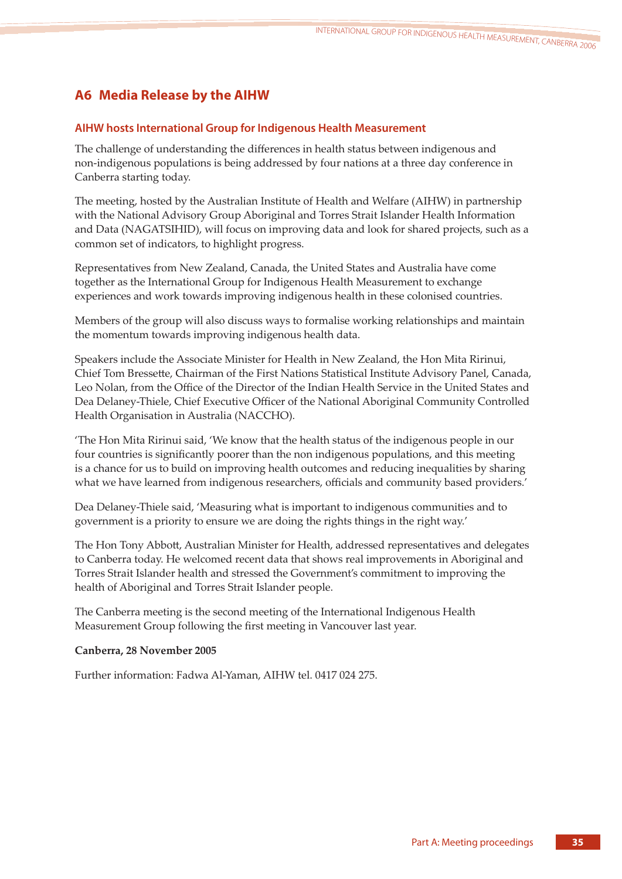# **A6 Media Release by the AIHW**

# **AIHW hosts International Group for Indigenous Health Measurement**

The challenge of understanding the differences in health status between indigenous and non-indigenous populations is being addressed by four nations at a three day conference in Canberra starting today.

The meeting, hosted by the Australian Institute of Health and Welfare (AIHW) in partnership with the National Advisory Group Aboriginal and Torres Strait Islander Health Information and Data (NAGATSIHID), will focus on improving data and look for shared projects, such as a common set of indicators, to highlight progress.

Representatives from New Zealand, Canada, the United States and Australia have come together as the International Group for Indigenous Health Measurement to exchange experiences and work towards improving indigenous health in these colonised countries.

Members of the group will also discuss ways to formalise working relationships and maintain the momentum towards improving indigenous health data.

Speakers include the Associate Minister for Health in New Zealand, the Hon Mita Ririnui, Chief Tom Bressee, Chairman of the First Nations Statistical Institute Advisory Panel, Canada, Leo Nolan, from the Office of the Director of the Indian Health Service in the United States and Dea Delaney-Thiele, Chief Executive Officer of the National Aboriginal Community Controlled Health Organisation in Australia (NACCHO).

'The Hon Mita Ririnui said, 'We know that the health status of the indigenous people in our four countries is significantly poorer than the non indigenous populations, and this meeting is a chance for us to build on improving health outcomes and reducing inequalities by sharing what we have learned from indigenous researchers, officials and community based providers.'

Dea Delaney-Thiele said, 'Measuring what is important to indigenous communities and to government is a priority to ensure we are doing the rights things in the right way.'

The Hon Tony Abbott, Australian Minister for Health, addressed representatives and delegates to Canberra today. He welcomed recent data that shows real improvements in Aboriginal and Torres Strait Islander health and stressed the Government's commitment to improving the health of Aboriginal and Torres Strait Islander people.

The Canberra meeting is the second meeting of the International Indigenous Health Measurement Group following the first meeting in Vancouver last year.

# **Canberra, 28 November 2005**

Further information: Fadwa Al-Yaman, AIHW tel. 0417 024 275.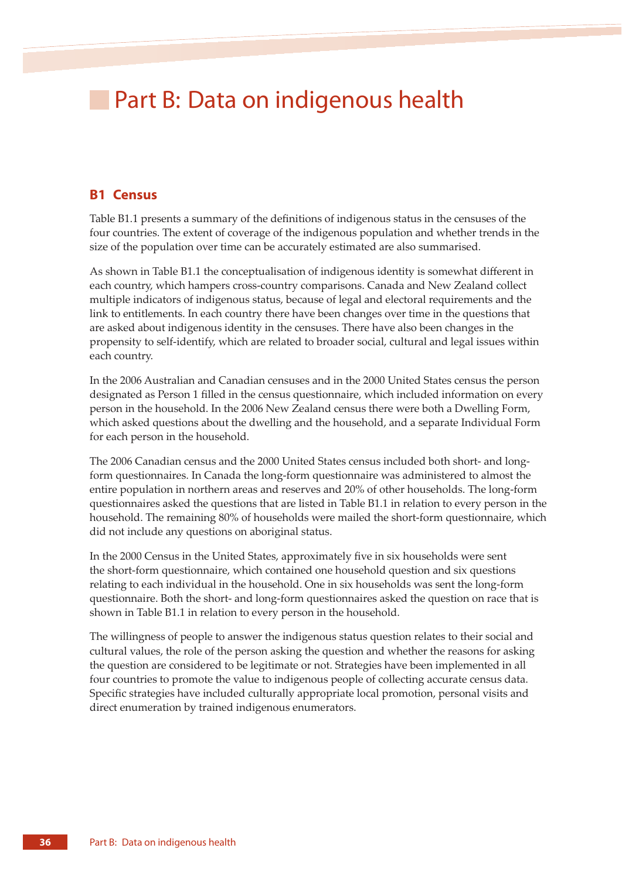# **Part B: Data on indigenous health**

# **B1 Census**

Table B1.1 presents a summary of the definitions of indigenous status in the censuses of the four countries. The extent of coverage of the indigenous population and whether trends in the size of the population over time can be accurately estimated are also summarised.

As shown in Table B1.1 the conceptualisation of indigenous identity is somewhat different in each country, which hampers cross-country comparisons. Canada and New Zealand collect multiple indicators of indigenous status, because of legal and electoral requirements and the link to entitlements. In each country there have been changes over time in the questions that are asked about indigenous identity in the censuses. There have also been changes in the propensity to self-identify, which are related to broader social, cultural and legal issues within each country.

In the 2006 Australian and Canadian censuses and in the 2000 United States census the person designated as Person 1 filled in the census questionnaire, which included information on every person in the household. In the 2006 New Zealand census there were both a Dwelling Form, which asked questions about the dwelling and the household, and a separate Individual Form for each person in the household.

The 2006 Canadian census and the 2000 United States census included both short- and longform questionnaires. In Canada the long-form questionnaire was administered to almost the entire population in northern areas and reserves and 20% of other households. The long-form questionnaires asked the questions that are listed in Table B1.1 in relation to every person in the household. The remaining 80% of households were mailed the short-form questionnaire, which did not include any questions on aboriginal status.

In the 2000 Census in the United States, approximately five in six households were sent the short-form questionnaire, which contained one household question and six questions relating to each individual in the household. One in six households was sent the long-form questionnaire. Both the short- and long-form questionnaires asked the question on race that is shown in Table B1.1 in relation to every person in the household.

The willingness of people to answer the indigenous status question relates to their social and cultural values, the role of the person asking the question and whether the reasons for asking the question are considered to be legitimate or not. Strategies have been implemented in all four countries to promote the value to indigenous people of collecting accurate census data. Specific strategies have included culturally appropriate local promotion, personal visits and direct enumeration by trained indigenous enumerators.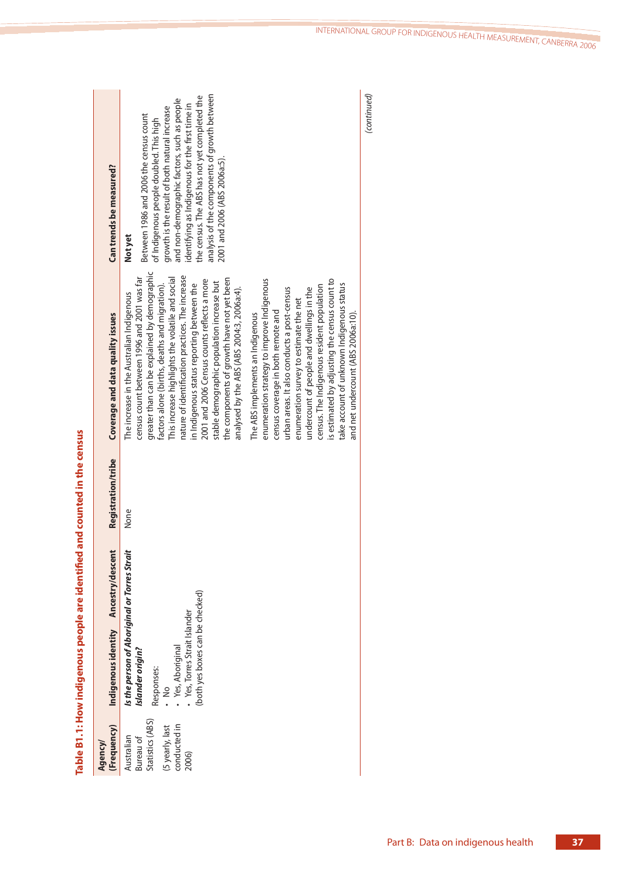| (Frequency)<br>Agency/                                                                  | Indigenous identity Ancestry/descent                                                                                                                                            | Registration/tribe | Coverage and data quality issues                                                                                                                                                                                                                                                                                                                                                                                                                                                                                                                                                                                                                                                                                                                                                                                                                                                                                                                                                        | Can trends be measured?                                                                                                                                                                                                                                                                                                                                                          |
|-----------------------------------------------------------------------------------------|---------------------------------------------------------------------------------------------------------------------------------------------------------------------------------|--------------------|-----------------------------------------------------------------------------------------------------------------------------------------------------------------------------------------------------------------------------------------------------------------------------------------------------------------------------------------------------------------------------------------------------------------------------------------------------------------------------------------------------------------------------------------------------------------------------------------------------------------------------------------------------------------------------------------------------------------------------------------------------------------------------------------------------------------------------------------------------------------------------------------------------------------------------------------------------------------------------------------|----------------------------------------------------------------------------------------------------------------------------------------------------------------------------------------------------------------------------------------------------------------------------------------------------------------------------------------------------------------------------------|
| Statistics (ABS)<br>conducted in<br>(5 yearly, last<br>Australian<br>Bureau of<br>2006) | Is the person of Aboriginal or Torres Strait<br>(both yes boxes can be checked)<br>Yes, Torres Strait Islander<br>· Yes, Aboriginal<br>Islander origin?<br>Responses:<br>⊰<br>∙ | None               | greater than can be explained by demographic<br>nature of identification practices. The increase<br>census count between 1996 and 2001 was far<br>This increase highlights the volatile and social<br>the components of growth have not yet been<br>2001 and 2006 Census counts reflects a more<br>enumeration strategy to improve Indigenous<br>is estimated by adjusting the census count to<br>stable demographic population increase but<br>factors alone (births, deaths and migration).<br>in Indigenous status reporting between the<br>take account of unknown Indigenous status<br>census. The Indigenous resident population<br>analysed by the ABS (ABS 2004:3, 2006a:4).<br>urban areas. It also conducts a post-census<br>undercount of people and dwellings in the<br>The increase in the Australian Indigenous<br>enumeration survey to estimate the net<br>census coverage in both remote and<br>and net undercount (ABS 2006a:10).<br>The ABS implements an Indigenous | analysis of the components of growth between<br>the census. The ABS has not yet completed the<br>and non-demographic factors, such as people<br>identifying as Indigenous for the first time in<br>growth is the result of both natural increase<br>Between 1986 and 2006 the census count<br>of Indigenous people doubled. This high<br>2001 and 2006 (ABS 2006a:5).<br>Not yet |
|                                                                                         |                                                                                                                                                                                 |                    |                                                                                                                                                                                                                                                                                                                                                                                                                                                                                                                                                                                                                                                                                                                                                                                                                                                                                                                                                                                         | (continued)                                                                                                                                                                                                                                                                                                                                                                      |

Table B1.1: How indigenous people are identified and counted in the census **Table B1.1: How indigenous people are identified and counted in the census**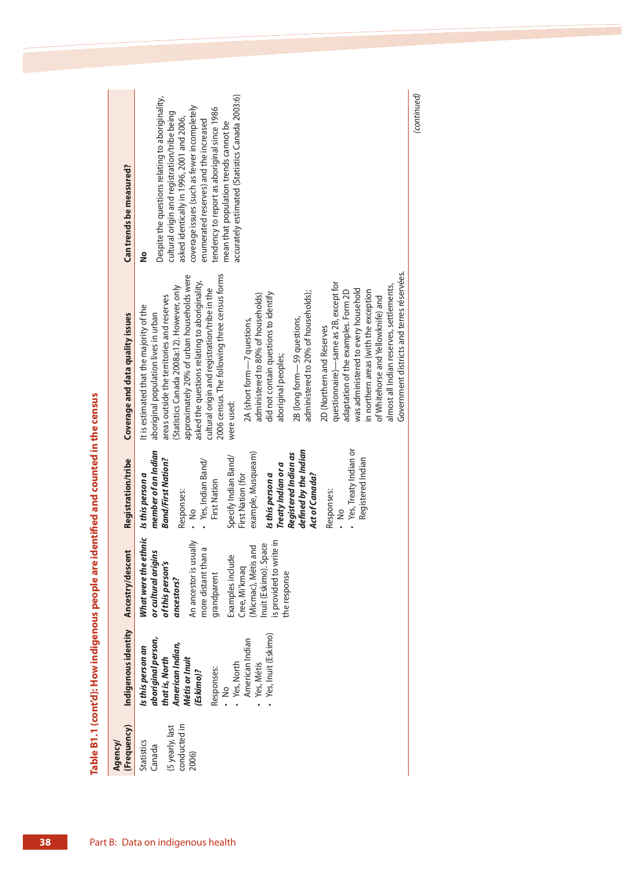| Can trends be measured?                                                      | accurately estimated (Statistics Canada 2003:6)<br>Despite the questions relating to aboriginality,<br>coverage issues (such as fewer incompletely<br>tendency to report as aboriginal since 1986<br>cultural origin and registration/tribe being<br>asked identically in 1996, 2001 and 2006,<br>enumerated reserves) and the increased<br>mean that population trends cannot be                                                                                                                                                                                                                                                                                                                                                                                                                                                                                                          |
|------------------------------------------------------------------------------|--------------------------------------------------------------------------------------------------------------------------------------------------------------------------------------------------------------------------------------------------------------------------------------------------------------------------------------------------------------------------------------------------------------------------------------------------------------------------------------------------------------------------------------------------------------------------------------------------------------------------------------------------------------------------------------------------------------------------------------------------------------------------------------------------------------------------------------------------------------------------------------------|
| å                                                                            |                                                                                                                                                                                                                                                                                                                                                                                                                                                                                                                                                                                                                                                                                                                                                                                                                                                                                            |
| It is estimated that the majority of the<br>Coverage and data quality issues | Government districts and terres réservées.<br>2006 census. The following three census forms<br>approximately 20% of urban households were<br>asked the questions relating to aboriginality,<br>questionnaire) — same as 2B, except for<br>almost all Indian reserves, settlements,<br>Statistics Canada 2008a:12). However, only<br>cultural origin and registration/tribe in the<br>was administered to every household<br>adaptation of the examples. Form 2D<br>in northern areas (with the exception<br>administered to 20% of households);<br>did not contain questions to identify<br>administered to 80% of households)<br>areas outside the territories and reserves<br>of Whitehorse and Yellowknife) and<br>aboriginal population lives in urban<br>2B (long form-59 questions,<br>2A (short form-7 questions,<br>2D (Northern and Reserves<br>aboriginal peoples;<br>were used: |
| Registration/tribe<br>Is this person a                                       | • Yes, Treaty Indian or<br>defined by the Indian<br>member of an Indian<br>example, Musqueam)<br>Registered Indian as<br>Specify Indian Band/<br>Registered Indian<br>Band/First Nation?<br>Yes, Indian Band/<br>Treaty Indian or a<br>Is this person a<br>First Nation (for<br>Act of Canada?<br><b>First Nation</b><br>Responses:<br>Responses:<br>$\frac{1}{2}$<br>ء<br>.                                                                                                                                                                                                                                                                                                                                                                                                                                                                                                               |
| What were the ethnic<br>Ancestry/descent                                     | s provided to write in<br>An ancestor is usually<br>Inuit (Eskimo). Space<br>(Micmac), Métis and<br>more distant than a<br>ns<br>Examples include<br>or cultural origil<br>of this person's<br>Cree, Mi'kmaq<br>the response<br>grandparent<br>ancestors?                                                                                                                                                                                                                                                                                                                                                                                                                                                                                                                                                                                                                                  |
| Indigenous identity<br>Is this person an                                     | Yes, Inuit (Eskimo)<br>aboriginal person,<br>American Indian<br>American Indian,<br>Métis or Inuit<br>that is, North<br>Yes, North<br>Yes, Métis<br>Responses:<br>(Eskimo)?<br>≷<br>∙                                                                                                                                                                                                                                                                                                                                                                                                                                                                                                                                                                                                                                                                                                      |
| (Frequency)<br><b>Statistics</b><br>Agency/                                  | conducted in<br>(5 yearly, last<br>Canada<br>2006)                                                                                                                                                                                                                                                                                                                                                                                                                                                                                                                                                                                                                                                                                                                                                                                                                                         |

(continued)

(continued)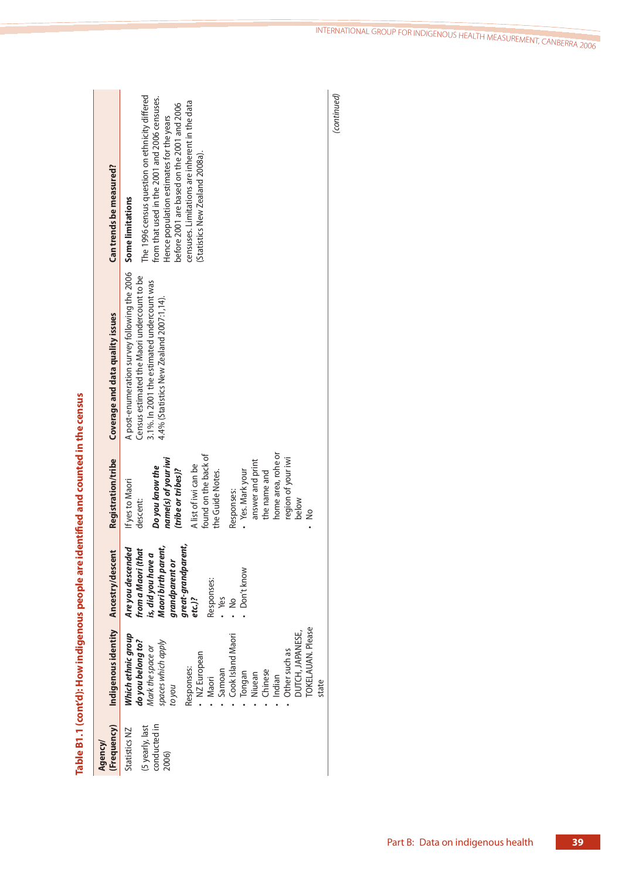| Can trends be measured?              | The 1996 census question on ethnicity differed<br>from that used in the 2001 and 2006 censuses.<br>censuses. Limitations are inherent in the data<br>before 2001 are based on the 2001 and 2006<br>Hence population estimates for the years<br>(Statistics New Zealand 2008a).<br><b>Some limitations</b>   |
|--------------------------------------|-------------------------------------------------------------------------------------------------------------------------------------------------------------------------------------------------------------------------------------------------------------------------------------------------------------|
| Coverage and data quality issues     | A post-enumeration survey following the 2006<br>Census estimated the Maori undercount to be<br>3.1%. In 2001 the estimated undercount was<br>4.4% (Statistics New Zealand 2007:1,14).                                                                                                                       |
| Registration/tribe                   | home area, rohe or<br>found on the back of<br>name(s) of your iwi<br>region of your iwi<br>answer and print<br>A list of iwi can be<br>Do you know the<br>(tribe or tribes)?<br>• Yes. Mark your<br>the name and<br>the Guide Notes.<br>If yes to Maori<br>Responses:<br>descent:<br>below<br>$\frac{8}{1}$ |
|                                      | great-grandparent,<br>Maori birth parent,<br>Are you descended<br>from a Maori (that<br>is, did you have a<br>grandparent or<br>Don't know<br>Responses:<br>· Yes<br>$\frac{1}{2}$<br>$etc.$ )?                                                                                                             |
| Indigenous identity Ancestry/descent | <b>TOKELAUAN. Please</b><br><b>DUTCH, JAPANESE,</b><br>Which ethnic group<br>Cook Island Maori<br>do you belong to?<br>spaces which apply<br>Mark the space or<br>Other such as<br>NZ European<br>Responses:<br>Samoan<br>Chinese<br>Tongan<br>Niuean<br>Indian<br>Maori<br>state<br>nok oz                 |
| (Frequency)<br>Agency/               | conducted in<br>(5 yearly, last<br>Statistics NZ<br>2006)                                                                                                                                                                                                                                                   |

Table B1.1 (cont'd): How indigenous people are identified and counted in the census **Table B1.1 (cont'd): How indigenous people are identified and counted in the census**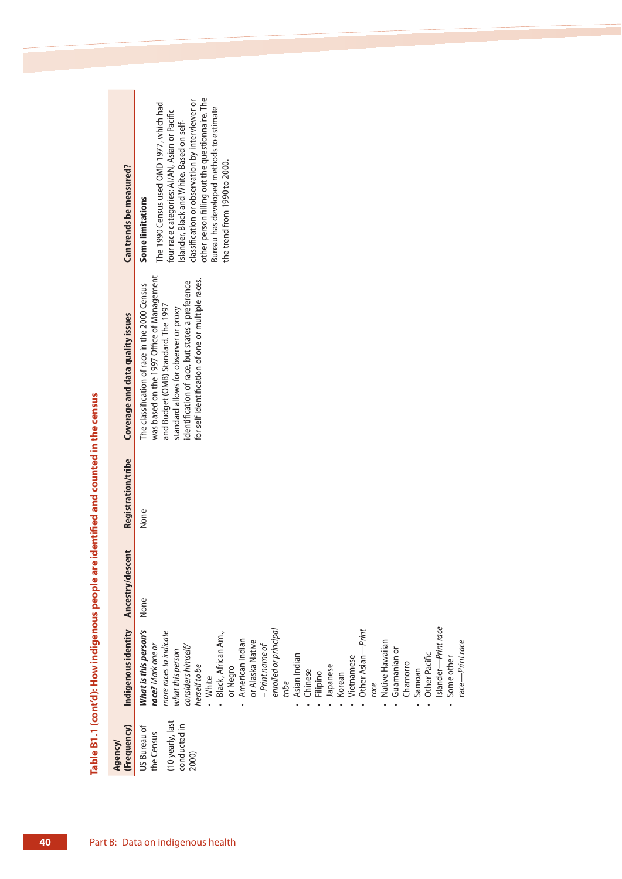| Can trends be measured?          | other person filling out the questionnaire. The<br>classification or observation by interviewer or<br>The 1990 Census used OMD 1977, which had<br>Bureau has developed methods to estimate<br>four race categories: AI/AN, Asian or Pacific<br>Islander, Black and White. Based on self-<br>the trend from 1990 to 2000.<br><b>Some limitations</b>                                                                                                                                                                 |
|----------------------------------|---------------------------------------------------------------------------------------------------------------------------------------------------------------------------------------------------------------------------------------------------------------------------------------------------------------------------------------------------------------------------------------------------------------------------------------------------------------------------------------------------------------------|
| Coverage and data quality issues | was based on the 1997 Office of Management<br>for self identification of one or multiple races.<br>identification of race, but states a preference<br>The classification of race in the 2000 Census<br>and Budget (OMB) Standard. The 1997<br>standard allows for observer or proxy                                                                                                                                                                                                                                 |
| Registration/tribe               | None                                                                                                                                                                                                                                                                                                                                                                                                                                                                                                                |
| Ancestry/descent                 | None                                                                                                                                                                                                                                                                                                                                                                                                                                                                                                                |
| Indigenous identity              | Islander-Print race<br>enrolled or principal<br>What is this person's<br>Other Asian-Print<br>more races to indicate<br>Black, African Am.,<br>American Indian<br>or Alaska Native<br>Native Hawaiian<br>race-Print race<br>race? Mark one or<br>- Print name of<br>considers himself/<br>Guamanian or<br>what this person<br>Other Pacific<br>Asian Indian<br>Some other<br>Vietnamese<br>Chamorro<br>herself to be<br>Japanese<br>or Negro<br>Chinese<br>Samoan<br>Filipino<br>Korean<br>• White<br>tribe<br>race |
| (Frequency)<br>Agency/           | (10 yearly, last<br>conducted in<br>US Bureau of<br>the Census<br>2000)                                                                                                                                                                                                                                                                                                                                                                                                                                             |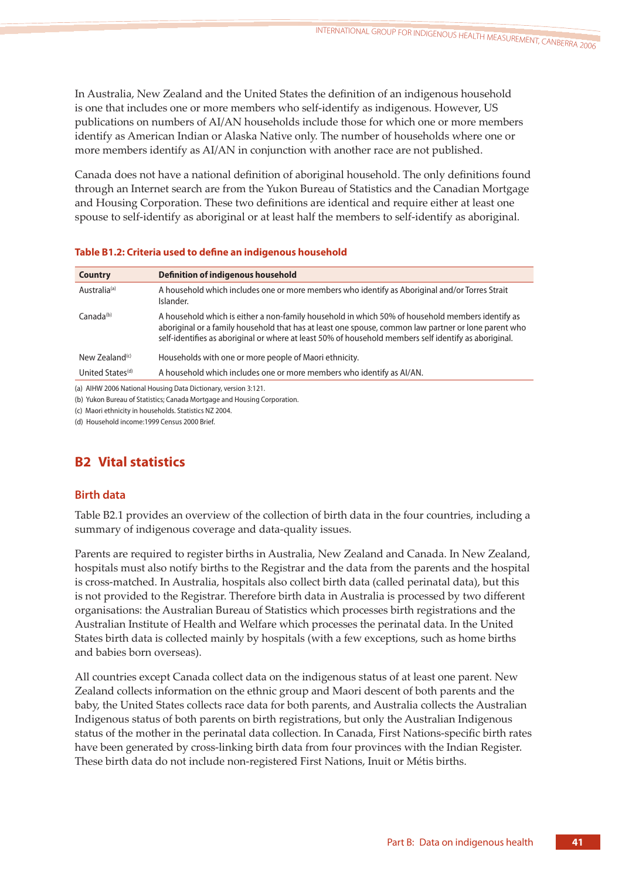In Australia, New Zealand and the United States the definition of an indigenous household is one that includes one or more members who self-identify as indigenous. However, US publications on numbers of AI/AN households include those for which one or more members identify as American Indian or Alaska Native only. The number of households where one or more members identify as AI/AN in conjunction with another race are not published.

Canada does not have a national definition of aboriginal household. The only definitions found through an Internet search are from the Yukon Bureau of Statistics and the Canadian Mortgage and Housing Corporation. These two definitions are identical and require either at least one spouse to self-identify as aboriginal or at least half the members to self-identify as aboriginal.

| Table B1.2: Criteria used to define an indigenous household |  |  |
|-------------------------------------------------------------|--|--|
|-------------------------------------------------------------|--|--|

| <b>Definition of indigenous household</b>                                                                                                                                                                                                                                                                         |
|-------------------------------------------------------------------------------------------------------------------------------------------------------------------------------------------------------------------------------------------------------------------------------------------------------------------|
| A household which includes one or more members who identify as Aboriginal and/or Torres Strait<br>Islander.                                                                                                                                                                                                       |
| A household which is either a non-family household in which 50% of household members identify as<br>aboriginal or a family household that has at least one spouse, common law partner or lone parent who<br>self-identifies as aboriginal or where at least 50% of household members self identify as aboriginal. |
| Households with one or more people of Maori ethnicity.                                                                                                                                                                                                                                                            |
| A household which includes one or more members who identify as AI/AN.                                                                                                                                                                                                                                             |
|                                                                                                                                                                                                                                                                                                                   |

(a) AIHW 2006 National Housing Data Dictionary, version 3:121.

(b) Yukon Bureau of Statistics; Canada Mortgage and Housing Corporation.

(c) Maori ethnicity in households. Statistics NZ 2004.

(d) Household income:1999 Census 2000 Brief.

# **B2 Vital statistics**

# **Birth data**

Table B2.1 provides an overview of the collection of birth data in the four countries, including a summary of indigenous coverage and data-quality issues.

Parents are required to register births in Australia, New Zealand and Canada. In New Zealand, hospitals must also notify births to the Registrar and the data from the parents and the hospital is cross-matched. In Australia, hospitals also collect birth data (called perinatal data), but this is not provided to the Registrar. Therefore birth data in Australia is processed by two different organisations: the Australian Bureau of Statistics which processes birth registrations and the Australian Institute of Health and Welfare which processes the perinatal data. In the United States birth data is collected mainly by hospitals (with a few exceptions, such as home births and babies born overseas).

All countries except Canada collect data on the indigenous status of at least one parent. New Zealand collects information on the ethnic group and Maori descent of both parents and the baby, the United States collects race data for both parents, and Australia collects the Australian Indigenous status of both parents on birth registrations, but only the Australian Indigenous status of the mother in the perinatal data collection. In Canada, First Nations-specific birth rates have been generated by cross-linking birth data from four provinces with the Indian Register. These birth data do not include non-registered First Nations, Inuit or Métis births.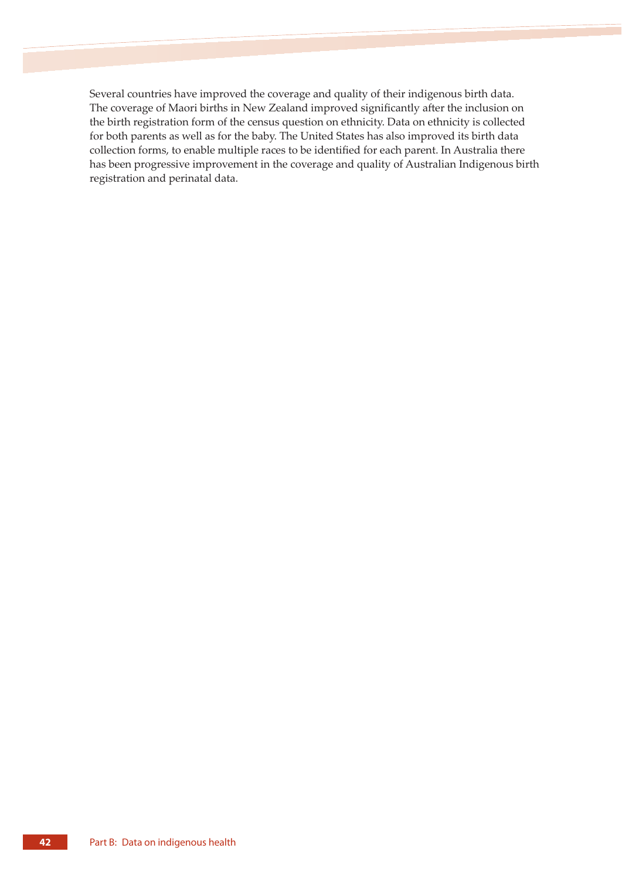Several countries have improved the coverage and quality of their indigenous birth data. The coverage of Maori births in New Zealand improved significantly after the inclusion on the birth registration form of the census question on ethnicity. Data on ethnicity is collected for both parents as well as for the baby. The United States has also improved its birth data collection forms, to enable multiple races to be identified for each parent. In Australia there has been progressive improvement in the coverage and quality of Australian Indigenous birth registration and perinatal data.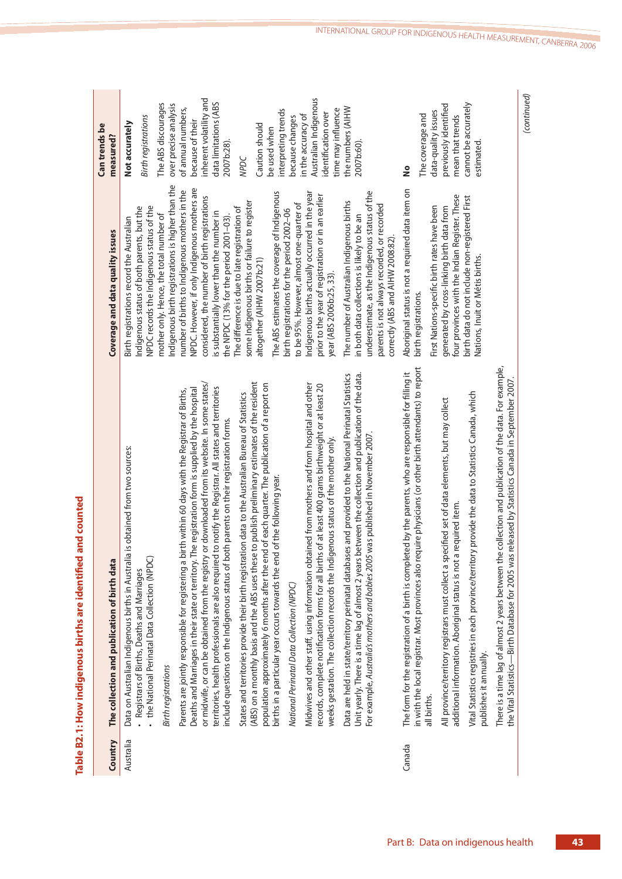| Country   | The collection and publication of birth data                                                                                                                                                                                                                                                                                                                                                                                                                                                                                                                                                                                                                                                                                                                                                                                                                                                                                                                                                                                                                                                                                                                                                                                                        | Coverage and data quality issues                                                                                                                                                                                                                                                                                                                                                                                                                                                                                                                                                                                                                                                                 | Can trends be<br>measured?                                                                                                                                                                                                                             |
|-----------|-----------------------------------------------------------------------------------------------------------------------------------------------------------------------------------------------------------------------------------------------------------------------------------------------------------------------------------------------------------------------------------------------------------------------------------------------------------------------------------------------------------------------------------------------------------------------------------------------------------------------------------------------------------------------------------------------------------------------------------------------------------------------------------------------------------------------------------------------------------------------------------------------------------------------------------------------------------------------------------------------------------------------------------------------------------------------------------------------------------------------------------------------------------------------------------------------------------------------------------------------------|--------------------------------------------------------------------------------------------------------------------------------------------------------------------------------------------------------------------------------------------------------------------------------------------------------------------------------------------------------------------------------------------------------------------------------------------------------------------------------------------------------------------------------------------------------------------------------------------------------------------------------------------------------------------------------------------------|--------------------------------------------------------------------------------------------------------------------------------------------------------------------------------------------------------------------------------------------------------|
| Australia | or downloaded from its website. In some states/<br>The registration form is supplied by the hospital<br>Parents are jointly responsible for registering a birth within 60 days with the Registrar of Births,<br>Data on Australian Indigenous births in Australia is obtained from two sources:<br>+ the National Perinatal Data Collection (NPDC)<br>or midwife, or can be obtained from the registry<br>Deaths and Marriages in their state or territory.<br>- Registrars of Births, Deaths and Marriages<br><b>Birth registrations</b>                                                                                                                                                                                                                                                                                                                                                                                                                                                                                                                                                                                                                                                                                                           | Indigenous birth registrations is higher than the<br>NPDC. However, if only Indigenous mothers are<br>number of births to Indigenous mothers in the<br>considered, the number of birth registrations<br>NPDC records the Indigenous status of the<br>Indigenous status of both parents, but the<br>mother only. Hence, the total number of<br>Birth registrations record the Australian                                                                                                                                                                                                                                                                                                          | inherent volatility and<br>The ABS discourages<br>over precise analysis<br>of annual numbers,<br><b>Birth registrations</b><br>because of their<br>Not accurately                                                                                      |
|           | Data are held in state/territory perinatal databases and provided to the National Perinatal Statistics<br>Unit yearly. There is a time lag of almost 2 years between the collection and publication of the data<br>(ABS) on a monthly basis and the ABS uses these to publish preliminary estimates of the resident<br>population approximately 6 months after the end of each quarter. The publication of a report on<br>Midwives and other staff, using information obtained from mothers and from hospital and other<br>records, complete notification forms for all births of at least 400 grams birthweight or at least 20<br>to notify the Registrar. All states and territories<br>States and territories provide their birth registration data to the Australian Bureau of Statistics<br>include questions on the Indigenous status of both parents on their registration forms.<br>was published in November 2007<br>weeks gestation. The collection records the Indigenous status of the mother only<br>births in a particular year occurs towards the end of the following year.<br>territories, health professionals are also required<br>For example, Australia's mothers and babies 2005<br>National Perinatal Data Collection (NPDC) | The ABS estimates the coverage of Indigenous<br>underestimate, as the Indigenous status of the<br>Indigenous births actually occurred in the year<br>prior to the year of registration or in an earlier<br>The number of Australian Indigenous births<br>some Indigenous births or failure to register<br>to be 95%. However, almost one-quarter of<br>parents is not always recorded, or recorded<br>The difference is due to late registration of<br>birth registrations for the period 2002-06<br>is substantially lower than the number in<br>the NPDC (13% for the period 2001-03).<br>in both data collections is likely to be an<br>altogether (AIHW 2007b:21)<br>year (ABS 2006b:25, 33) | Australian Indigenous<br>data limitations (ABS<br>the numbers (AIHW<br>interpreting trends<br>time may influence<br>identification over<br>in the accuracy of<br>because changes<br>Caution should<br>be used when<br>2007b:28).<br>2007b:60).<br>NPDC |
| Canada    | There is a time lag of almost 2 years between the collection and publication of the data. For example,<br>in with the local registrar. Most provinces also require physicians (or other birth attendants) to report<br>The form for the registration of a birth is completed by the parents, who are responsible for filling it<br>the Vital Statistics—Birth Database for 2005 was released by Statistics Canada in September 2007<br>Vital Statistics registries in each province/territory provide the data to Statistics Canada, which<br>All province/territory registrars must collect a specified set of data elements, but may collect<br>additional information. Aboriginal status is not a required item<br>publishes it annually.<br>all births.                                                                                                                                                                                                                                                                                                                                                                                                                                                                                         | Aboriginal status is not a required data item on<br>four provinces with the Indian Register. These<br>birth data do not include non-registered First<br>First Nations-specific birth rates have been<br>generated by cross-linking birth data from<br>correctly (ABS and AIHW 2008:82)<br>Nations, Inuit or Métis births.<br>birth registrations.                                                                                                                                                                                                                                                                                                                                                | cannot be accurately<br>previously identified<br>data-quality issues<br>The coverage and<br>mean that trends<br>estimated<br>å                                                                                                                         |
|           |                                                                                                                                                                                                                                                                                                                                                                                                                                                                                                                                                                                                                                                                                                                                                                                                                                                                                                                                                                                                                                                                                                                                                                                                                                                     |                                                                                                                                                                                                                                                                                                                                                                                                                                                                                                                                                                                                                                                                                                  | (continued)                                                                                                                                                                                                                                            |

Table B2.1: How indigenous births are identified and counted **Table B2.1: How indigenous births are identified and counted**

Part B: Data on indigenous health **43**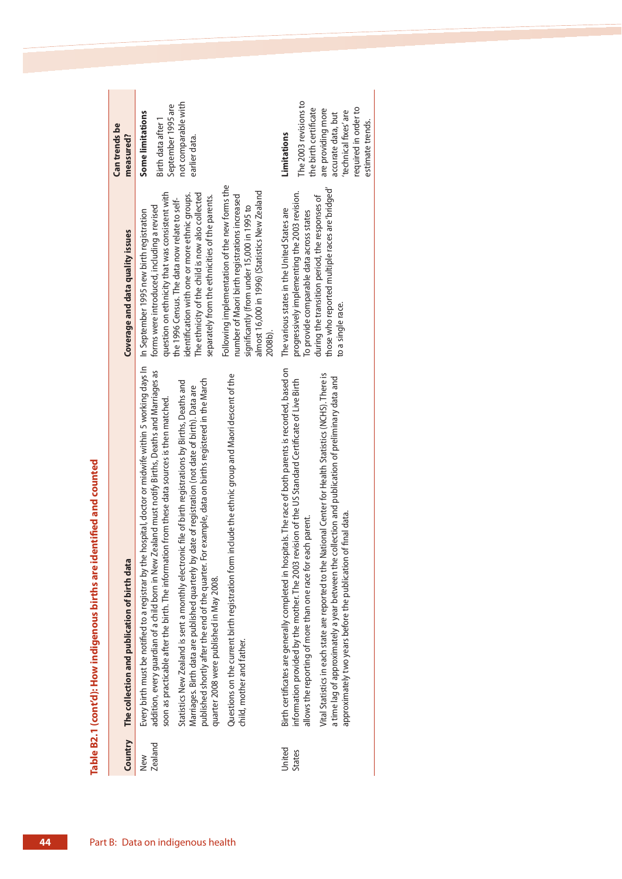|                         |                                                                                                                                                                                                                                                                                                                                                                    |                                                                                                                                                                                                            | Can trends be                                                                             |
|-------------------------|--------------------------------------------------------------------------------------------------------------------------------------------------------------------------------------------------------------------------------------------------------------------------------------------------------------------------------------------------------------------|------------------------------------------------------------------------------------------------------------------------------------------------------------------------------------------------------------|-------------------------------------------------------------------------------------------|
| Country                 | The collection and publication of birth data                                                                                                                                                                                                                                                                                                                       | Coverage and data quality issues                                                                                                                                                                           | measured?                                                                                 |
| <b>Zealand</b><br>New   | hospital, doctor or midwife within 5 working days In<br>addition, every guardian of a child born in New Zealand must notify Births, Deaths and Marriages as<br>ion from these data sources is then matched.<br>Every birth must be notified to a registrar by the<br>soon as practicable after the birth. The informati                                            | question on ethnicity that was consistent with<br>forms were introduced, including a revised<br>In September 1995 new birth registration                                                                   | September 1995 are<br><b>Some limitations</b><br>Birth data after 1                       |
|                         | published shortly after the end of the quarter. For example, data on births registered in the March<br>Statistics New Zealand is sent a monthly electronic file of birth registrations by Births, Deaths and<br>date of registration (not date of birth). Data are<br>Marriages. Birth data are published quarterly by<br>quarter 2008 were published in May 2008. | The ethnicity of the child is now also collected<br>identification with one or more ethnic groups.<br>separately from the ethnicities of the parents.<br>the 1996 Census. The data now relate to self-     | not comparable with<br>earlier data.                                                      |
|                         | Questions on the current birth registration form include the ethnic group and Maori descent of the<br>child, mother and father.                                                                                                                                                                                                                                    | Following implementation of the new forms the<br>almost 16,000 in 1996) (Statistics New Zealand<br>number of Maori birth registrations increased<br>significantly (from under 15,000 in 1995 to<br>2008b). |                                                                                           |
| United<br><b>States</b> | Birth certificates are generally completed in hospitals. The race of both parents is recorded, based on<br>information provided by the mother. The 2003 revision of the US Standard Certificate of Live Birth<br>allows the reporting of more than one race for each parent.                                                                                       | progressively implementing the 2003 revision.<br>The various states in the United States are<br>To provide comparable data across states                                                                   | The 2003 revisions to<br>the birth certificate<br>Limitations                             |
|                         | Vital Statistics in each state are reported to the National Center for Health Statistics (NCHS). There is<br>a time lag of approximately a year between the collection and publication of preliminary data and<br>of final data.<br>approximately two years before the publication                                                                                 | those who reported multiple races are 'bridged'<br>during the transition period, the responses of<br>to a single race.                                                                                     | required in order to<br>are providing more<br>'technical fixes' are<br>accurate data, but |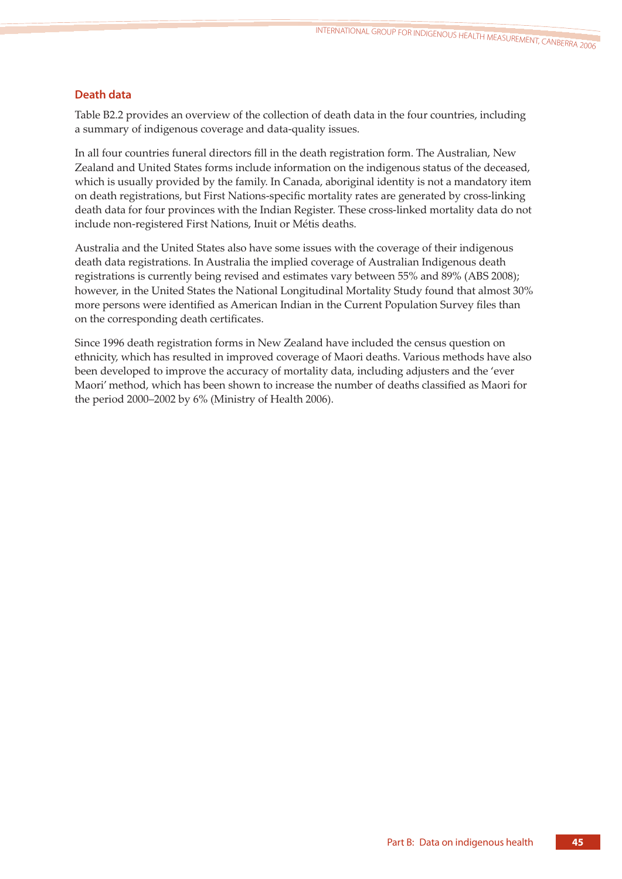# **Death data**

Table B2.2 provides an overview of the collection of death data in the four countries, including a summary of indigenous coverage and data-quality issues.

In all four countries funeral directors fill in the death registration form. The Australian, New Zealand and United States forms include information on the indigenous status of the deceased, which is usually provided by the family. In Canada, aboriginal identity is not a mandatory item on death registrations, but First Nations-specific mortality rates are generated by cross-linking death data for four provinces with the Indian Register. These cross-linked mortality data do not include non-registered First Nations, Inuit or Métis deaths.

Australia and the United States also have some issues with the coverage of their indigenous death data registrations. In Australia the implied coverage of Australian Indigenous death registrations is currently being revised and estimates vary between 55% and 89% (ABS 2008); however, in the United States the National Longitudinal Mortality Study found that almost 30% more persons were identified as American Indian in the Current Population Survey files than on the corresponding death certificates.

Since 1996 death registration forms in New Zealand have included the census question on ethnicity, which has resulted in improved coverage of Maori deaths. Various methods have also been developed to improve the accuracy of mortality data, including adjusters and the 'ever Maori' method, which has been shown to increase the number of deaths classified as Maori for the period 2000–2002 by 6% (Ministry of Health 2006).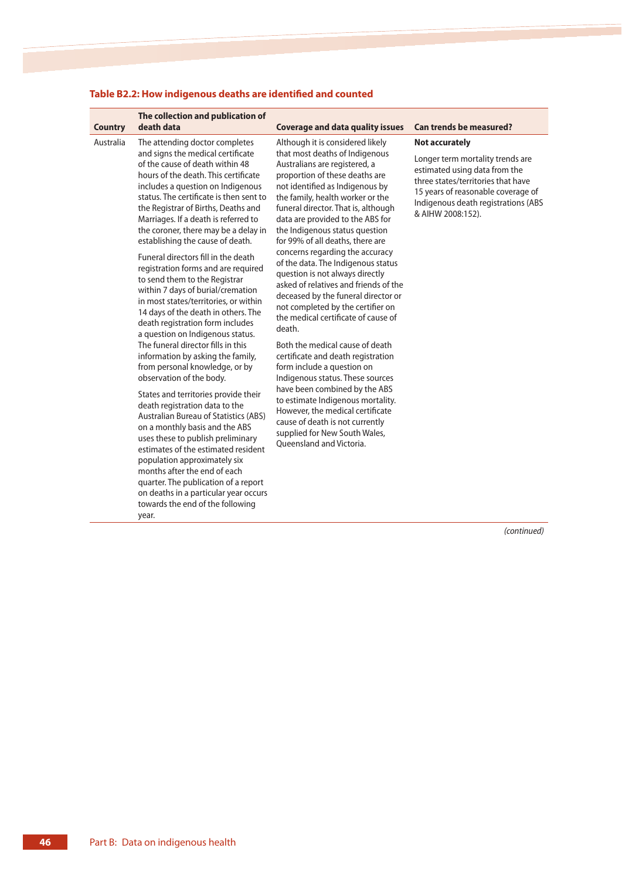| <b>Country</b> | The collection and publication of<br>death data                                                                                                                                                                                                                                                                                                                                                                                                                                                                                                                                                                                                                                                                                                                                                                                                                                                                                                                                                                                                                                                                                                                                                                                                                                      | <b>Coverage and data quality issues</b>                                                                                                                                                                                                                                                                                                                                                                                                                                                                                                                                                                                                                                                                                                                                                                                                                                                                                                                                                              | <b>Can trends be measured?</b>                                                                                                                                                                                                     |
|----------------|--------------------------------------------------------------------------------------------------------------------------------------------------------------------------------------------------------------------------------------------------------------------------------------------------------------------------------------------------------------------------------------------------------------------------------------------------------------------------------------------------------------------------------------------------------------------------------------------------------------------------------------------------------------------------------------------------------------------------------------------------------------------------------------------------------------------------------------------------------------------------------------------------------------------------------------------------------------------------------------------------------------------------------------------------------------------------------------------------------------------------------------------------------------------------------------------------------------------------------------------------------------------------------------|------------------------------------------------------------------------------------------------------------------------------------------------------------------------------------------------------------------------------------------------------------------------------------------------------------------------------------------------------------------------------------------------------------------------------------------------------------------------------------------------------------------------------------------------------------------------------------------------------------------------------------------------------------------------------------------------------------------------------------------------------------------------------------------------------------------------------------------------------------------------------------------------------------------------------------------------------------------------------------------------------|------------------------------------------------------------------------------------------------------------------------------------------------------------------------------------------------------------------------------------|
| Australia      | The attending doctor completes<br>and signs the medical certificate<br>of the cause of death within 48<br>hours of the death. This certificate<br>includes a question on Indigenous<br>status. The certificate is then sent to<br>the Registrar of Births, Deaths and<br>Marriages. If a death is referred to<br>the coroner, there may be a delay in<br>establishing the cause of death.<br>Funeral directors fill in the death<br>registration forms and are required<br>to send them to the Registrar<br>within 7 days of burial/cremation<br>in most states/territories, or within<br>14 days of the death in others. The<br>death registration form includes<br>a question on Indigenous status.<br>The funeral director fills in this<br>information by asking the family,<br>from personal knowledge, or by<br>observation of the body.<br>States and territories provide their<br>death registration data to the<br><b>Australian Bureau of Statistics (ABS)</b><br>on a monthly basis and the ABS<br>uses these to publish preliminary<br>estimates of the estimated resident<br>population approximately six<br>months after the end of each<br>quarter. The publication of a report<br>on deaths in a particular year occurs<br>towards the end of the following<br>year. | Although it is considered likely<br>that most deaths of Indigenous<br>Australians are registered, a<br>proportion of these deaths are<br>not identified as Indigenous by<br>the family, health worker or the<br>funeral director. That is, although<br>data are provided to the ABS for<br>the Indigenous status question<br>for 99% of all deaths, there are<br>concerns regarding the accuracy<br>of the data. The Indigenous status<br>question is not always directly<br>asked of relatives and friends of the<br>deceased by the funeral director or<br>not completed by the certifier on<br>the medical certificate of cause of<br>death.<br>Both the medical cause of death<br>certificate and death registration<br>form include a question on<br>Indigenous status. These sources<br>have been combined by the ABS<br>to estimate Indigenous mortality.<br>However, the medical certificate<br>cause of death is not currently<br>supplied for New South Wales,<br>Queensland and Victoria. | <b>Not accurately</b><br>Longer term mortality trends are<br>estimated using data from the<br>three states/territories that have<br>15 years of reasonable coverage of<br>Indigenous death registrations (ABS<br>& AIHW 2008:152). |
|                |                                                                                                                                                                                                                                                                                                                                                                                                                                                                                                                                                                                                                                                                                                                                                                                                                                                                                                                                                                                                                                                                                                                                                                                                                                                                                      |                                                                                                                                                                                                                                                                                                                                                                                                                                                                                                                                                                                                                                                                                                                                                                                                                                                                                                                                                                                                      | (continued)                                                                                                                                                                                                                        |

# **Table B2.2: How indigenous deaths are identified and counted**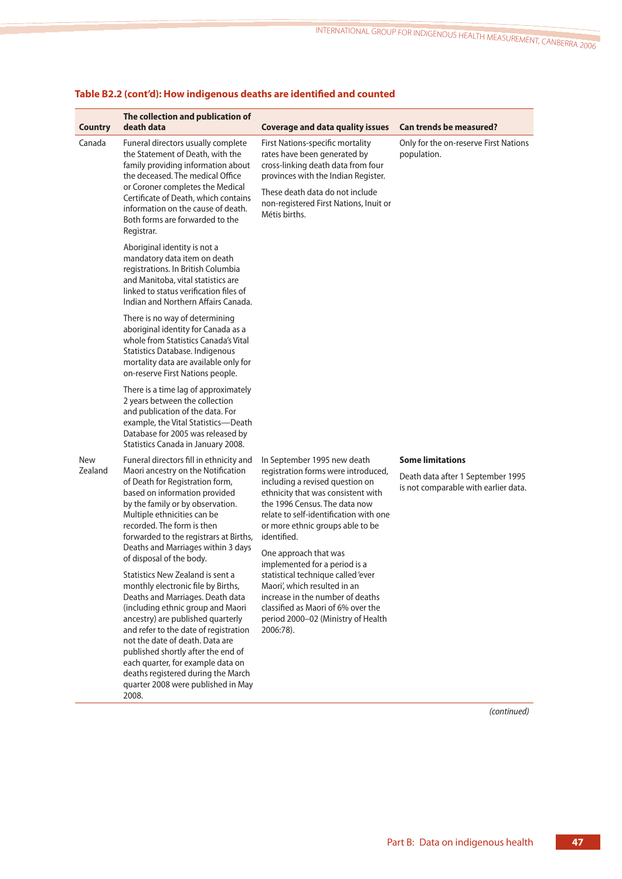|                | The collection and publication of                                                                                                                                                                                                                                                                                                                                                                                                |                                                                                                                                                                                                                                                                                                      |                                                                           |
|----------------|----------------------------------------------------------------------------------------------------------------------------------------------------------------------------------------------------------------------------------------------------------------------------------------------------------------------------------------------------------------------------------------------------------------------------------|------------------------------------------------------------------------------------------------------------------------------------------------------------------------------------------------------------------------------------------------------------------------------------------------------|---------------------------------------------------------------------------|
| <b>Country</b> | death data                                                                                                                                                                                                                                                                                                                                                                                                                       | <b>Coverage and data quality issues</b>                                                                                                                                                                                                                                                              | <b>Can trends be measured?</b>                                            |
| Canada         | Funeral directors usually complete<br>the Statement of Death, with the<br>family providing information about<br>the deceased. The medical Office<br>or Coroner completes the Medical<br>Certificate of Death, which contains<br>information on the cause of death.<br>Both forms are forwarded to the<br>Registrar.                                                                                                              | First Nations-specific mortality<br>rates have been generated by<br>cross-linking death data from four<br>provinces with the Indian Register.<br>These death data do not include<br>non-registered First Nations, Inuit or<br>Métis births.                                                          | Only for the on-reserve First Nations<br>population.                      |
|                | Aboriginal identity is not a<br>mandatory data item on death<br>registrations. In British Columbia<br>and Manitoba, vital statistics are<br>linked to status verification files of<br>Indian and Northern Affairs Canada.                                                                                                                                                                                                        |                                                                                                                                                                                                                                                                                                      |                                                                           |
|                | There is no way of determining<br>aboriginal identity for Canada as a<br>whole from Statistics Canada's Vital<br><b>Statistics Database. Indigenous</b><br>mortality data are available only for<br>on-reserve First Nations people.                                                                                                                                                                                             |                                                                                                                                                                                                                                                                                                      |                                                                           |
|                | There is a time lag of approximately<br>2 years between the collection<br>and publication of the data. For<br>example, the Vital Statistics-Death<br>Database for 2005 was released by<br>Statistics Canada in January 2008.                                                                                                                                                                                                     |                                                                                                                                                                                                                                                                                                      |                                                                           |
| <b>New</b>     | Funeral directors fill in ethnicity and                                                                                                                                                                                                                                                                                                                                                                                          | In September 1995 new death                                                                                                                                                                                                                                                                          | <b>Some limitations</b>                                                   |
| Zealand        | Maori ancestry on the Notification<br>of Death for Registration form,<br>based on information provided<br>by the family or by observation.<br>Multiple ethnicities can be<br>recorded. The form is then<br>forwarded to the registrars at Births,<br>Deaths and Marriages within 3 days<br>of disposal of the body.                                                                                                              | registration forms were introduced,<br>including a revised question on<br>ethnicity that was consistent with<br>the 1996 Census. The data now<br>relate to self-identification with one<br>or more ethnic groups able to be<br>identified.<br>One approach that was<br>implemented for a period is a | Death data after 1 September 1995<br>is not comparable with earlier data. |
|                | Statistics New Zealand is sent a<br>monthly electronic file by Births,<br>Deaths and Marriages. Death data<br>(including ethnic group and Maori<br>ancestry) are published quarterly<br>and refer to the date of registration<br>not the date of death. Data are<br>published shortly after the end of<br>each quarter, for example data on<br>deaths registered during the March<br>quarter 2008 were published in May<br>2008. | statistical technique called 'ever<br>Maori', which resulted in an<br>increase in the number of deaths<br>classified as Maori of 6% over the<br>period 2000-02 (Ministry of Health<br>2006:78).                                                                                                      |                                                                           |

# **Table B2.2 (cont'd): How indigenous deaths are identified and counted**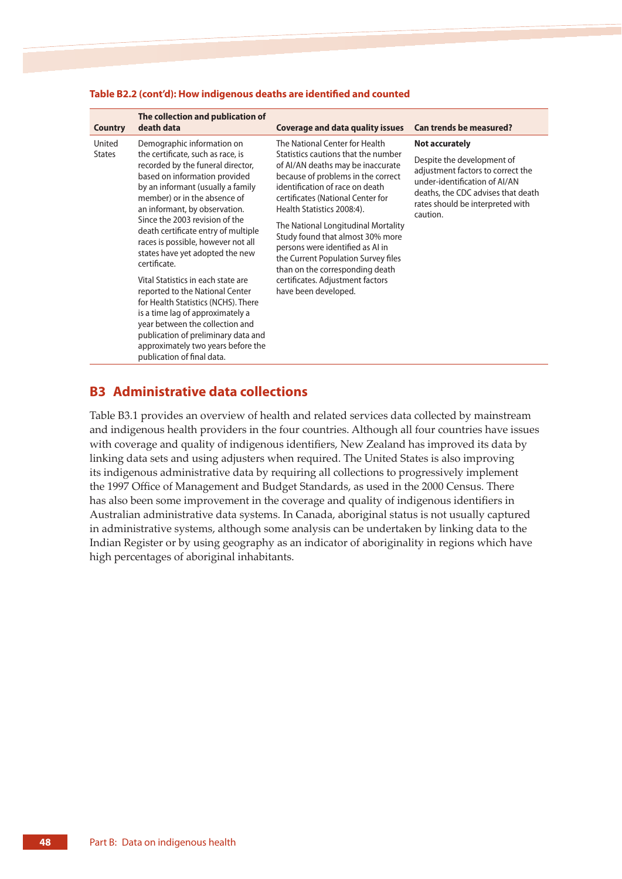| <b>Country</b>          | The collection and publication of<br>death data                                                                                                                                                                                                                                                                                                                                                                                                                                                                                                                                                                                                                                                                 | <b>Coverage and data quality issues</b>                                                                                                                                                                                                                                                                                                                                                                                                                                                                     | <b>Can trends be measured?</b>                                                                                                                                                                                  |
|-------------------------|-----------------------------------------------------------------------------------------------------------------------------------------------------------------------------------------------------------------------------------------------------------------------------------------------------------------------------------------------------------------------------------------------------------------------------------------------------------------------------------------------------------------------------------------------------------------------------------------------------------------------------------------------------------------------------------------------------------------|-------------------------------------------------------------------------------------------------------------------------------------------------------------------------------------------------------------------------------------------------------------------------------------------------------------------------------------------------------------------------------------------------------------------------------------------------------------------------------------------------------------|-----------------------------------------------------------------------------------------------------------------------------------------------------------------------------------------------------------------|
| United<br><b>States</b> | Demographic information on<br>the certificate, such as race, is<br>recorded by the funeral director,<br>based on information provided<br>by an informant (usually a family<br>member) or in the absence of<br>an informant, by observation.<br>Since the 2003 revision of the<br>death certificate entry of multiple<br>races is possible, however not all<br>states have yet adopted the new<br>certificate.<br>Vital Statistics in each state are<br>reported to the National Center<br>for Health Statistics (NCHS). There<br>is a time lag of approximately a<br>year between the collection and<br>publication of preliminary data and<br>approximately two years before the<br>publication of final data. | The National Center for Health<br>Statistics cautions that the number<br>of AI/AN deaths may be inaccurate<br>because of problems in the correct<br>identification of race on death<br>certificates (National Center for<br>Health Statistics 2008:4).<br>The National Longitudinal Mortality<br>Study found that almost 30% more<br>persons were identified as AI in<br>the Current Population Survey files<br>than on the corresponding death<br>certificates. Adjustment factors<br>have been developed. | <b>Not accurately</b><br>Despite the development of<br>adjustment factors to correct the<br>under-identification of AI/AN<br>deaths, the CDC advises that death<br>rates should be interpreted with<br>caution. |

#### **Table B2.2 (cont'd): How indigenous deaths are identified and counted**

# **B3 Administrative data collections**

Table B3.1 provides an overview of health and related services data collected by mainstream and indigenous health providers in the four countries. Although all four countries have issues with coverage and quality of indigenous identifiers, New Zealand has improved its data by linking data sets and using adjusters when required. The United States is also improving its indigenous administrative data by requiring all collections to progressively implement the 1997 Office of Management and Budget Standards, as used in the 2000 Census. There has also been some improvement in the coverage and quality of indigenous identifiers in Australian administrative data systems. In Canada, aboriginal status is not usually captured in administrative systems, although some analysis can be undertaken by linking data to the Indian Register or by using geography as an indicator of aboriginality in regions which have high percentages of aboriginal inhabitants.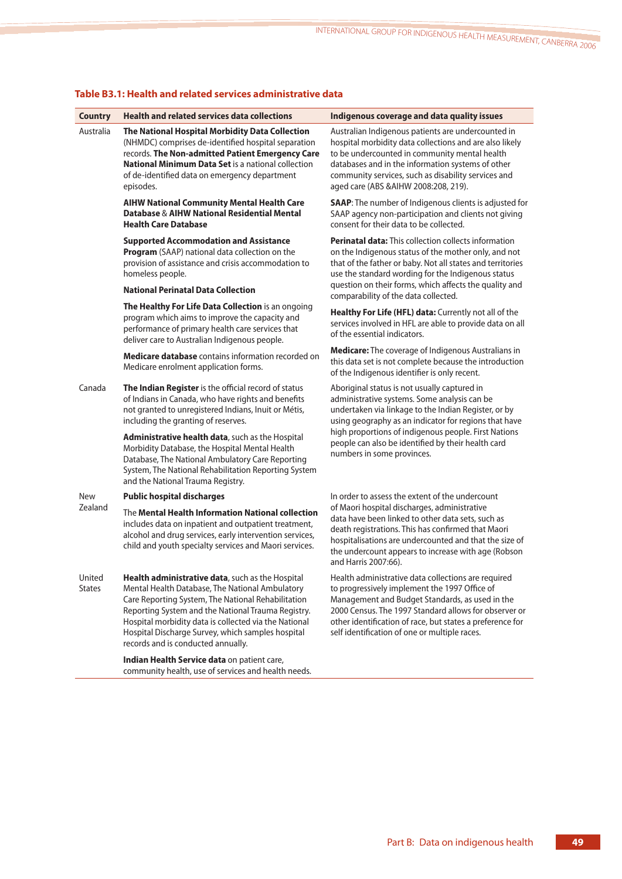| <b>Country</b>          | <b>Health and related services data collections</b>                                                                                                                                                                                                                                                                                                                 | Indigenous coverage and data quality issues                                                                                                                                                                                                                                                                                    |
|-------------------------|---------------------------------------------------------------------------------------------------------------------------------------------------------------------------------------------------------------------------------------------------------------------------------------------------------------------------------------------------------------------|--------------------------------------------------------------------------------------------------------------------------------------------------------------------------------------------------------------------------------------------------------------------------------------------------------------------------------|
| Australia               | The National Hospital Morbidity Data Collection<br>(NHMDC) comprises de-identified hospital separation<br>records. The Non-admitted Patient Emergency Care<br><b>National Minimum Data Set is a national collection</b><br>of de-identified data on emergency department<br>episodes.                                                                               | Australian Indigenous patients are undercounted in<br>hospital morbidity data collections and are also likely<br>to be undercounted in community mental health<br>databases and in the information systems of other<br>community services, such as disability services and<br>aged care (ABS & AIHW 2008:208, 219).            |
|                         | <b>AIHW National Community Mental Health Care</b><br>Database & AIHW National Residential Mental<br><b>Health Care Database</b>                                                                                                                                                                                                                                     | <b>SAAP:</b> The number of Indigenous clients is adjusted for<br>SAAP agency non-participation and clients not giving<br>consent for their data to be collected.                                                                                                                                                               |
|                         | <b>Supported Accommodation and Assistance</b><br>Program (SAAP) national data collection on the<br>provision of assistance and crisis accommodation to<br>homeless people.                                                                                                                                                                                          | <b>Perinatal data:</b> This collection collects information<br>on the Indigenous status of the mother only, and not<br>that of the father or baby. Not all states and territories<br>use the standard wording for the Indigenous status                                                                                        |
|                         | <b>National Perinatal Data Collection</b>                                                                                                                                                                                                                                                                                                                           | question on their forms, which affects the quality and<br>comparability of the data collected.                                                                                                                                                                                                                                 |
|                         | The Healthy For Life Data Collection is an ongoing<br>program which aims to improve the capacity and<br>performance of primary health care services that<br>deliver care to Australian Indigenous people.                                                                                                                                                           | Healthy For Life (HFL) data: Currently not all of the<br>services involved in HFL are able to provide data on all<br>of the essential indicators.                                                                                                                                                                              |
|                         | Medicare database contains information recorded on<br>Medicare enrolment application forms.                                                                                                                                                                                                                                                                         | <b>Medicare:</b> The coverage of Indigenous Australians in<br>this data set is not complete because the introduction<br>of the Indigenous identifier is only recent.                                                                                                                                                           |
| Canada                  | The Indian Register is the official record of status<br>of Indians in Canada, who have rights and benefits<br>not granted to unregistered Indians, Inuit or Métis,<br>including the granting of reserves.                                                                                                                                                           | Aboriginal status is not usually captured in<br>administrative systems. Some analysis can be<br>undertaken via linkage to the Indian Register, or by<br>using geography as an indicator for regions that have                                                                                                                  |
|                         | Administrative health data, such as the Hospital<br>Morbidity Database, the Hospital Mental Health<br>Database, The National Ambulatory Care Reporting<br>System, The National Rehabilitation Reporting System<br>and the National Trauma Registry.                                                                                                                 | high proportions of indigenous people. First Nations<br>people can also be identified by their health card<br>numbers in some provinces.                                                                                                                                                                                       |
| <b>New</b>              | <b>Public hospital discharges</b>                                                                                                                                                                                                                                                                                                                                   | In order to assess the extent of the undercount                                                                                                                                                                                                                                                                                |
| Zealand                 | The Mental Health Information National collection<br>includes data on inpatient and outpatient treatment,<br>alcohol and drug services, early intervention services,<br>child and youth specialty services and Maori services.                                                                                                                                      | of Maori hospital discharges, administrative<br>data have been linked to other data sets, such as<br>death registrations. This has confirmed that Maori<br>hospitalisations are undercounted and that the size of<br>the undercount appears to increase with age (Robson<br>and Harris 2007:66).                               |
| United<br><b>States</b> | Health administrative data, such as the Hospital<br>Mental Health Database, The National Ambulatory<br>Care Reporting System, The National Rehabilitation<br>Reporting System and the National Trauma Registry.<br>Hospital morbidity data is collected via the National<br>Hospital Discharge Survey, which samples hospital<br>records and is conducted annually. | Health administrative data collections are required<br>to progressively implement the 1997 Office of<br>Management and Budget Standards, as used in the<br>2000 Census. The 1997 Standard allows for observer or<br>other identification of race, but states a preference for<br>self identification of one or multiple races. |
|                         | Indian Health Service data on patient care,<br>community health, use of services and health needs.                                                                                                                                                                                                                                                                  |                                                                                                                                                                                                                                                                                                                                |
|                         |                                                                                                                                                                                                                                                                                                                                                                     |                                                                                                                                                                                                                                                                                                                                |

# **Table B3.1: Health and related services administrative data**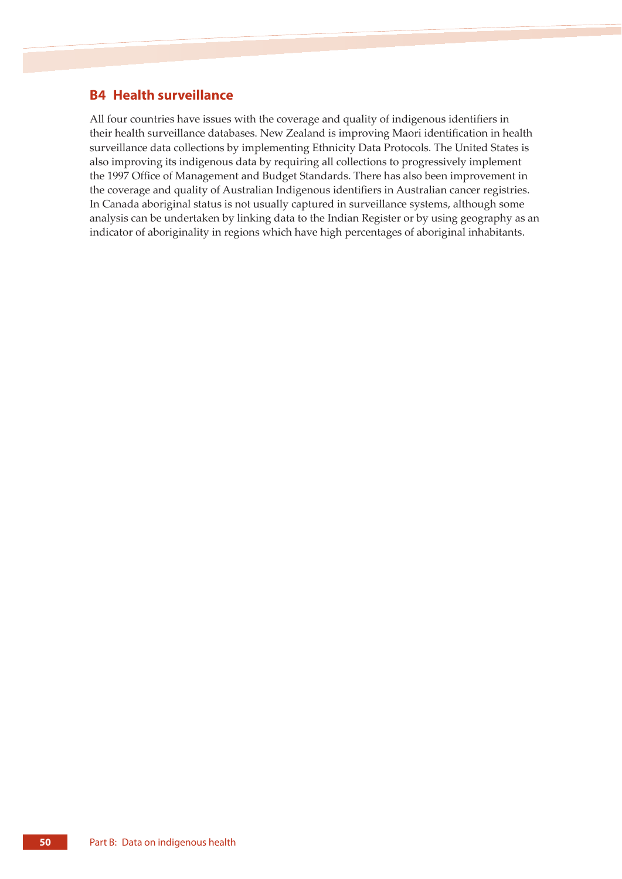# **B4 Health surveillance**

All four countries have issues with the coverage and quality of indigenous identifiers in their health surveillance databases. New Zealand is improving Maori identification in health surveillance data collections by implementing Ethnicity Data Protocols. The United States is also improving its indigenous data by requiring all collections to progressively implement the 1997 Office of Management and Budget Standards. There has also been improvement in the coverage and quality of Australian Indigenous identifiers in Australian cancer registries. In Canada aboriginal status is not usually captured in surveillance systems, although some analysis can be undertaken by linking data to the Indian Register or by using geography as an indicator of aboriginality in regions which have high percentages of aboriginal inhabitants.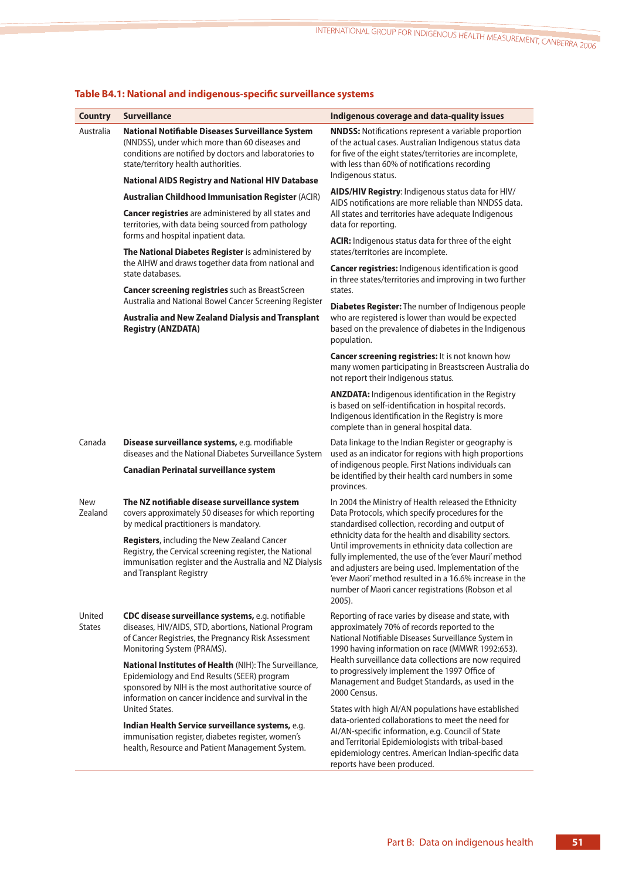| <b>Country</b>          | <b>Surveillance</b>                                                                                                                                                                                                                                                                                                                             | Indigenous coverage and data-quality issues                                                                                                                                                                                                                                                                                                                                                                                                                                                                                 |
|-------------------------|-------------------------------------------------------------------------------------------------------------------------------------------------------------------------------------------------------------------------------------------------------------------------------------------------------------------------------------------------|-----------------------------------------------------------------------------------------------------------------------------------------------------------------------------------------------------------------------------------------------------------------------------------------------------------------------------------------------------------------------------------------------------------------------------------------------------------------------------------------------------------------------------|
| Australia               | National Notifiable Diseases Surveillance System<br>(NNDSS), under which more than 60 diseases and<br>conditions are notified by doctors and laboratories to<br>state/territory health authorities.                                                                                                                                             | <b>NNDSS:</b> Notifications represent a variable proportion<br>of the actual cases. Australian Indigenous status data<br>for five of the eight states/territories are incomplete,<br>with less than 60% of notifications recording<br>Indigenous status.                                                                                                                                                                                                                                                                    |
|                         | <b>National AIDS Registry and National HIV Database</b>                                                                                                                                                                                                                                                                                         | AIDS/HIV Registry: Indigenous status data for HIV/                                                                                                                                                                                                                                                                                                                                                                                                                                                                          |
|                         | <b>Australian Childhood Immunisation Register (ACIR)</b><br><b>Cancer registries</b> are administered by all states and<br>territories, with data being sourced from pathology                                                                                                                                                                  | AIDS notifications are more reliable than NNDSS data.<br>All states and territories have adequate Indigenous<br>data for reporting.                                                                                                                                                                                                                                                                                                                                                                                         |
|                         | forms and hospital inpatient data.<br>The National Diabetes Register is administered by<br>the AIHW and draws together data from national and<br>state databases.<br><b>Cancer screening registries</b> such as BreastScreen                                                                                                                    | ACIR: Indigenous status data for three of the eight<br>states/territories are incomplete.                                                                                                                                                                                                                                                                                                                                                                                                                                   |
|                         |                                                                                                                                                                                                                                                                                                                                                 | <b>Cancer registries:</b> Indigenous identification is good<br>in three states/territories and improving in two further<br>states.                                                                                                                                                                                                                                                                                                                                                                                          |
|                         | Australia and National Bowel Cancer Screening Register<br>Australia and New Zealand Dialysis and Transplant<br><b>Registry (ANZDATA)</b>                                                                                                                                                                                                        | Diabetes Register: The number of Indigenous people<br>who are registered is lower than would be expected<br>based on the prevalence of diabetes in the Indigenous<br>population.                                                                                                                                                                                                                                                                                                                                            |
|                         |                                                                                                                                                                                                                                                                                                                                                 | Cancer screening registries: It is not known how<br>many women participating in Breastscreen Australia do<br>not report their Indigenous status.                                                                                                                                                                                                                                                                                                                                                                            |
|                         |                                                                                                                                                                                                                                                                                                                                                 | <b>ANZDATA:</b> Indigenous identification in the Registry<br>is based on self-identification in hospital records.<br>Indigenous identification in the Registry is more<br>complete than in general hospital data.                                                                                                                                                                                                                                                                                                           |
| Canada                  | Disease surveillance systems, e.g. modifiable<br>diseases and the National Diabetes Surveillance System<br><b>Canadian Perinatal surveillance system</b>                                                                                                                                                                                        | Data linkage to the Indian Register or geography is<br>used as an indicator for regions with high proportions<br>of indigenous people. First Nations individuals can<br>be identified by their health card numbers in some<br>provinces.                                                                                                                                                                                                                                                                                    |
| <b>New</b><br>Zealand   | The NZ notifiable disease surveillance system<br>covers approximately 50 diseases for which reporting<br>by medical practitioners is mandatory.<br>Registers, including the New Zealand Cancer<br>Registry, the Cervical screening register, the National<br>immunisation register and the Australia and NZ Dialysis<br>and Transplant Registry | In 2004 the Ministry of Health released the Ethnicity<br>Data Protocols, which specify procedures for the<br>standardised collection, recording and output of<br>ethnicity data for the health and disability sectors.<br>Until improvements in ethnicity data collection are<br>fully implemented, the use of the 'ever Mauri' method<br>and adjusters are being used. Implementation of the<br>'ever Maori' method resulted in a 16.6% increase in the<br>number of Maori cancer registrations (Robson et al<br>$2005$ ). |
| United<br><b>States</b> | CDC disease surveillance systems, e.g. notifiable<br>diseases, HIV/AIDS, STD, abortions, National Program<br>of Cancer Registries, the Pregnancy Risk Assessment<br>Monitoring System (PRAMS).<br>National Institutes of Health (NIH): The Surveillance,                                                                                        | Reporting of race varies by disease and state, with<br>approximately 70% of records reported to the<br>National Notifiable Diseases Surveillance System in<br>1990 having information on race (MMWR 1992:653).<br>Health surveillance data collections are now required<br>to progressively implement the 1997 Office of                                                                                                                                                                                                    |
|                         | Epidemiology and End Results (SEER) program<br>sponsored by NIH is the most authoritative source of<br>information on cancer incidence and survival in the<br>United States.                                                                                                                                                                    | Management and Budget Standards, as used in the<br>2000 Census.<br>States with high AI/AN populations have established                                                                                                                                                                                                                                                                                                                                                                                                      |
|                         | Indian Health Service surveillance systems, e.g.<br>immunisation register, diabetes register, women's<br>health, Resource and Patient Management System.                                                                                                                                                                                        | data-oriented collaborations to meet the need for<br>Al/AN-specific information, e.g. Council of State<br>and Territorial Epidemiologists with tribal-based<br>epidemiology centres. American Indian-specific data<br>reports have been produced.                                                                                                                                                                                                                                                                           |

# **Table B4.1: National and indigenous-specific surveillance systems**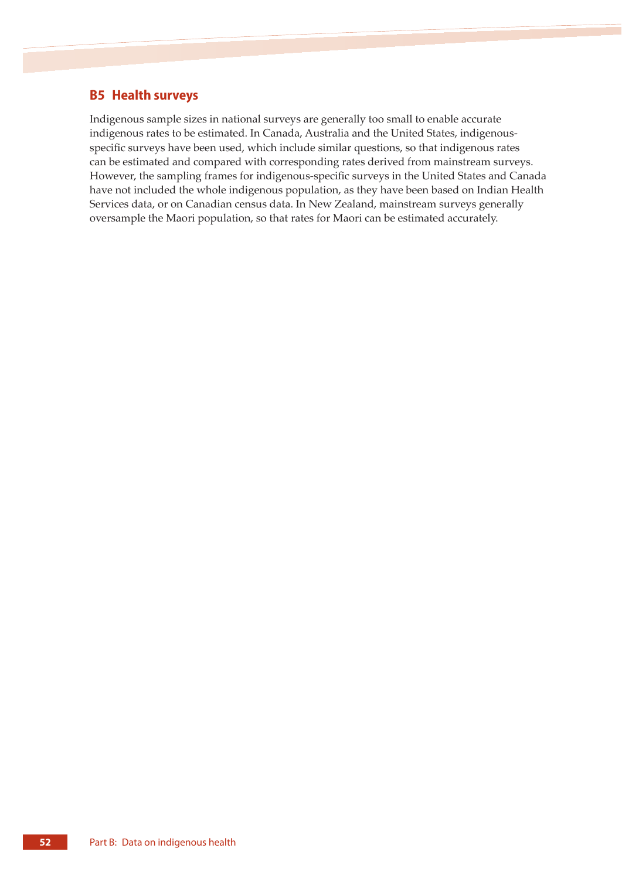# **B5 Health surveys**

Indigenous sample sizes in national surveys are generally too small to enable accurate indigenous rates to be estimated. In Canada, Australia and the United States, indigenousspecific surveys have been used, which include similar questions, so that indigenous rates can be estimated and compared with corresponding rates derived from mainstream surveys. However, the sampling frames for indigenous-specific surveys in the United States and Canada have not included the whole indigenous population, as they have been based on Indian Health Services data, or on Canadian census data. In New Zealand, mainstream surveys generally oversample the Maori population, so that rates for Maori can be estimated accurately.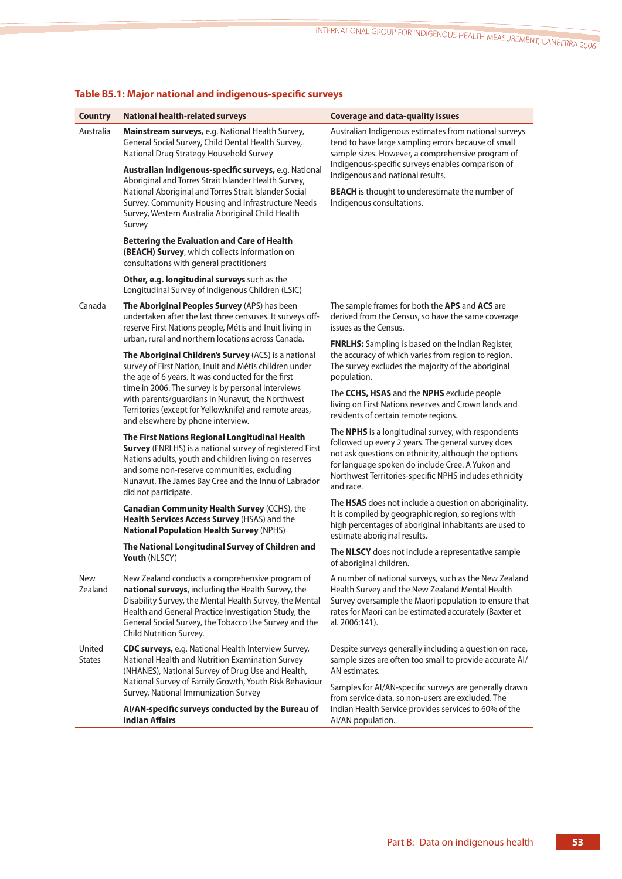| <b>Country</b>          | <b>National health-related surveys</b>                                                                                                                                                                                                                                                                       | <b>Coverage and data-quality issues</b>                                                                                                                                                                                                                                                             |
|-------------------------|--------------------------------------------------------------------------------------------------------------------------------------------------------------------------------------------------------------------------------------------------------------------------------------------------------------|-----------------------------------------------------------------------------------------------------------------------------------------------------------------------------------------------------------------------------------------------------------------------------------------------------|
| Australia               | Mainstream surveys, e.g. National Health Survey,<br>General Social Survey, Child Dental Health Survey,<br>National Drug Strategy Household Survey                                                                                                                                                            | Australian Indigenous estimates from national surveys<br>tend to have large sampling errors because of small<br>sample sizes. However, a comprehensive program of                                                                                                                                   |
|                         | Australian Indigenous-specific surveys, e.g. National<br>Aboriginal and Torres Strait Islander Health Survey,                                                                                                                                                                                                | Indigenous-specific surveys enables comparison of<br>Indigenous and national results.                                                                                                                                                                                                               |
|                         | National Aboriginal and Torres Strait Islander Social<br>Survey, Community Housing and Infrastructure Needs<br>Survey, Western Australia Aboriginal Child Health<br>Survey                                                                                                                                   | <b>BEACH</b> is thought to underestimate the number of<br>Indigenous consultations.                                                                                                                                                                                                                 |
|                         | <b>Bettering the Evaluation and Care of Health</b><br>(BEACH) Survey, which collects information on<br>consultations with general practitioners                                                                                                                                                              |                                                                                                                                                                                                                                                                                                     |
|                         | Other, e.g. longitudinal surveys such as the<br>Longitudinal Survey of Indigenous Children (LSIC)                                                                                                                                                                                                            |                                                                                                                                                                                                                                                                                                     |
| Canada                  | The Aboriginal Peoples Survey (APS) has been<br>undertaken after the last three censuses. It surveys off-<br>reserve First Nations people, Métis and Inuit living in                                                                                                                                         | The sample frames for both the APS and ACS are<br>derived from the Census, so have the same coverage<br>issues as the Census.                                                                                                                                                                       |
|                         | urban, rural and northern locations across Canada.<br>The Aboriginal Children's Survey (ACS) is a national<br>survey of First Nation, Inuit and Métis children under<br>the age of 6 years. It was conducted for the first                                                                                   | <b>FNRLHS:</b> Sampling is based on the Indian Register,<br>the accuracy of which varies from region to region.<br>The survey excludes the majority of the aboriginal<br>population.                                                                                                                |
|                         | time in 2006. The survey is by personal interviews<br>with parents/guardians in Nunavut, the Northwest<br>Territories (except for Yellowknife) and remote areas,<br>and elsewhere by phone interview.                                                                                                        | The CCHS, HSAS and the NPHS exclude people<br>living on First Nations reserves and Crown lands and<br>residents of certain remote regions.                                                                                                                                                          |
|                         | The First Nations Regional Longitudinal Health<br>Survey (FNRLHS) is a national survey of registered First<br>Nations adults, youth and children living on reserves<br>and some non-reserve communities, excluding<br>Nunavut. The James Bay Cree and the Innu of Labrador<br>did not participate.           | The <b>NPHS</b> is a longitudinal survey, with respondents<br>followed up every 2 years. The general survey does<br>not ask questions on ethnicity, although the options<br>for language spoken do include Cree. A Yukon and<br>Northwest Territories-specific NPHS includes ethnicity<br>and race. |
|                         | Canadian Community Health Survey (CCHS), the<br>Health Services Access Survey (HSAS) and the<br><b>National Population Health Survey (NPHS)</b>                                                                                                                                                              | The HSAS does not include a question on aboriginality.<br>It is compiled by geographic region, so regions with<br>high percentages of aboriginal inhabitants are used to<br>estimate aboriginal results.                                                                                            |
|                         | The National Longitudinal Survey of Children and<br>Youth (NLSCY)                                                                                                                                                                                                                                            | The NLSCY does not include a representative sample<br>of aboriginal children.                                                                                                                                                                                                                       |
| <b>New</b><br>Zealand   | New Zealand conducts a comprehensive program of<br>national surveys, including the Health Survey, the<br>Disability Survey, the Mental Health Survey, the Mental<br>Health and General Practice Investigation Study, the<br>General Social Survey, the Tobacco Use Survey and the<br>Child Nutrition Survey. | A number of national surveys, such as the New Zealand<br>Health Survey and the New Zealand Mental Health<br>Survey oversample the Maori population to ensure that<br>rates for Maori can be estimated accurately (Baxter et<br>al. 2006:141).                                                       |
| United<br><b>States</b> | CDC surveys, e.g. National Health Interview Survey,<br>National Health and Nutrition Examination Survey<br>(NHANES), National Survey of Drug Use and Health,                                                                                                                                                 | Despite surveys generally including a question on race,<br>sample sizes are often too small to provide accurate Al/<br>AN estimates.                                                                                                                                                                |
|                         | National Survey of Family Growth, Youth Risk Behaviour<br>Survey, National Immunization Survey                                                                                                                                                                                                               | Samples for AI/AN-specific surveys are generally drawn<br>from service data, so non-users are excluded. The                                                                                                                                                                                         |
|                         | AI/AN-specific surveys conducted by the Bureau of<br><b>Indian Affairs</b>                                                                                                                                                                                                                                   | Indian Health Service provides services to 60% of the<br>AI/AN population.                                                                                                                                                                                                                          |

# **Table B5.1: Major national and indigenous-specific surveys**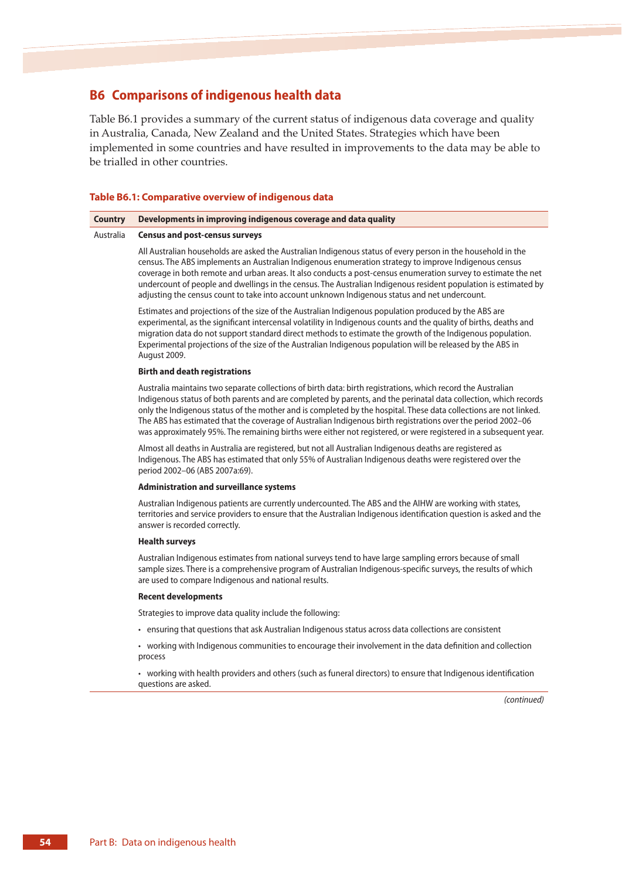# **B6 Comparisons of indigenous health data**

Table B6.1 provides a summary of the current status of indigenous data coverage and quality in Australia, Canada, New Zealand and the United States. Strategies which have been implemented in some countries and have resulted in improvements to the data may be able to be trialled in other countries.

#### **Table B6.1: Comparative overview of indigenous data**

#### **Country Developments in improving indigenous coverage and data quality**

#### Australia **Census and post-census surveys**

All Australian households are asked the Australian Indigenous status of every person in the household in the census. The ABS implements an Australian Indigenous enumeration strategy to improve Indigenous census coverage in both remote and urban areas. It also conducts a post-census enumeration survey to estimate the net undercount of people and dwellings in the census. The Australian Indigenous resident population is estimated by adjusting the census count to take into account unknown Indigenous status and net undercount.

Estimates and projections of the size of the Australian Indigenous population produced by the ABS are experimental, as the significant intercensal volatility in Indigenous counts and the quality of births, deaths and migration data do not support standard direct methods to estimate the growth of the Indigenous population. Experimental projections of the size of the Australian Indigenous population will be released by the ABS in August 2009.

#### **Birth and death registrations**

Australia maintains two separate collections of birth data: birth registrations, which record the Australian Indigenous status of both parents and are completed by parents, and the perinatal data collection, which records only the Indigenous status of the mother and is completed by the hospital. These data collections are not linked. The ABS has estimated that the coverage of Australian Indigenous birth registrations over the period 2002–06 was approximately 95%. The remaining births were either not registered, or were registered in a subsequent year.

Almost all deaths in Australia are registered, but not all Australian Indigenous deaths are registered as Indigenous. The ABS has estimated that only 55% of Australian Indigenous deaths were registered over the period 2002–06 (ABS 2007a:69).

#### **Administration and surveillance systems**

Australian Indigenous patients are currently undercounted. The ABS and the AIHW are working with states, territories and service providers to ensure that the Australian Indigenous identification question is asked and the answer is recorded correctly.

#### **Health surveys**

Australian Indigenous estimates from national surveys tend to have large sampling errors because of small sample sizes. There is a comprehensive program of Australian Indigenous-specific surveys, the results of which are used to compare Indigenous and national results.

#### **Recent developments**

Strategies to improve data quality include the following:

- ensuring that questions that ask Australian Indigenous status across data collections are consistent
- working with Indigenous communities to encourage their involvement in the data definition and collection process
- working with health providers and others (such as funeral directors) to ensure that Indigenous identification questions are asked.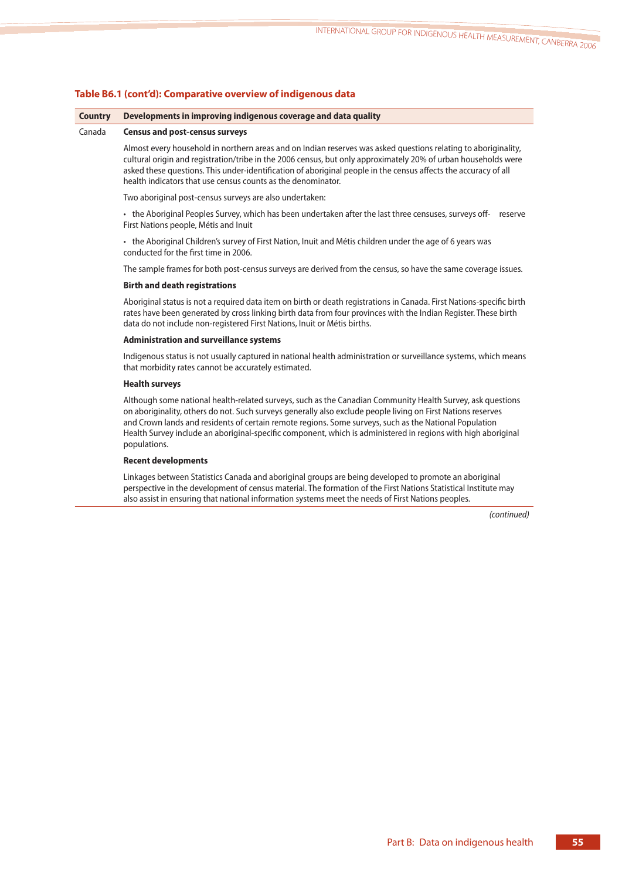### **Table B6.1 (cont'd): Comparative overview of indigenous data**

#### **Country Developments in improving indigenous coverage and data quality**

#### Canada **Census and post-census surveys**

Almost every household in northern areas and on Indian reserves was asked questions relating to aboriginality, cultural origin and registration/tribe in the 2006 census, but only approximately 20% of urban households were asked these questions. This under-identification of aboriginal people in the census affects the accuracy of all health indicators that use census counts as the denominator.

Two aboriginal post-census surveys are also undertaken:

• the Aboriginal Peoples Survey, which has been undertaken after the last three censuses, surveys off- reserve First Nations people, Métis and Inuit

• the Aboriginal Children's survey of First Nation, Inuit and Métis children under the age of 6 years was conducted for the first time in 2006.

The sample frames for both post-census surveys are derived from the census, so have the same coverage issues.

#### **Birth and death registrations**

Aboriginal status is not a required data item on birth or death registrations in Canada. First Nations-specific birth rates have been generated by cross linking birth data from four provinces with the Indian Register. These birth data do not include non-registered First Nations, Inuit or Métis births.

#### **Administration and surveillance systems**

Indigenous status is not usually captured in national health administration or surveillance systems, which means that morbidity rates cannot be accurately estimated.

#### **Health surveys**

Although some national health-related surveys, such as the Canadian Community Health Survey, ask questions on aboriginality, others do not. Such surveys generally also exclude people living on First Nations reserves and Crown lands and residents of certain remote regions. Some surveys, such as the National Population Health Survey include an aboriginal-specific component, which is administered in regions with high aboriginal populations.

#### **Recent developments**

Linkages between Statistics Canada and aboriginal groups are being developed to promote an aboriginal perspective in the development of census material. The formation of the First Nations Statistical Institute may also assist in ensuring that national information systems meet the needs of First Nations peoples.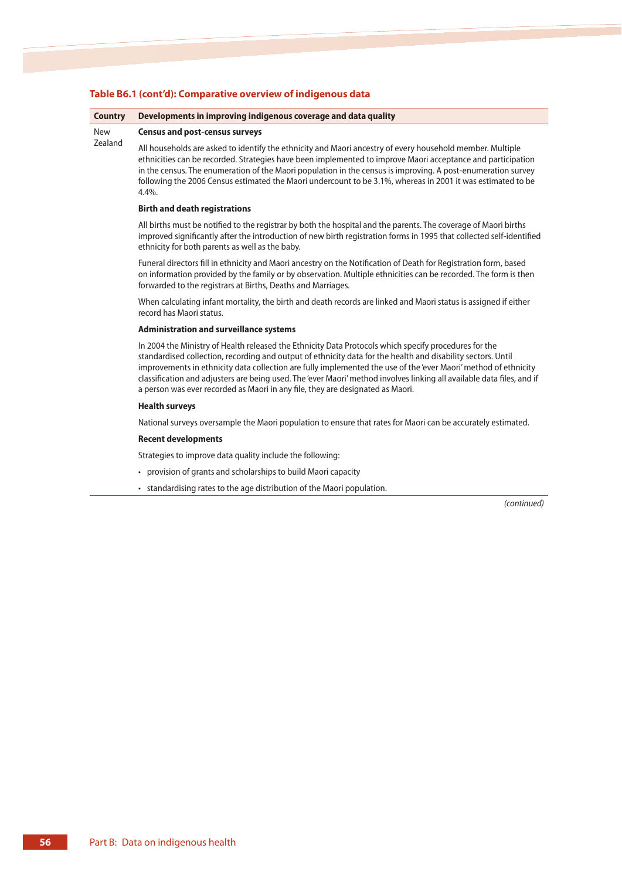#### **Table B6.1 (cont'd): Comparative overview of indigenous data**

#### **Country Developments in improving indigenous coverage and data quality**

#### New **Census and post-census surveys**

Zealand

All households are asked to identify the ethnicity and Maori ancestry of every household member. Multiple ethnicities can be recorded. Strategies have been implemented to improve Maori acceptance and participation in the census. The enumeration of the Maori population in the census is improving. A post-enumeration survey following the 2006 Census estimated the Maori undercount to be 3.1%, whereas in 2001 it was estimated to be 4.4%.

#### **Birth and death registrations**

All births must be notified to the registrar by both the hospital and the parents. The coverage of Maori births improved significantly after the introduction of new birth registration forms in 1995 that collected self-identified ethnicity for both parents as well as the baby.

Funeral directors fill in ethnicity and Maori ancestry on the Notification of Death for Registration form, based on information provided by the family or by observation. Multiple ethnicities can be recorded. The form is then forwarded to the registrars at Births, Deaths and Marriages.

When calculating infant mortality, the birth and death records are linked and Maori status is assigned if either record has Maori status.

#### **Administration and surveillance systems**

In 2004 the Ministry of Health released the Ethnicity Data Protocols which specify procedures for the standardised collection, recording and output of ethnicity data for the health and disability sectors. Until improvements in ethnicity data collection are fully implemented the use of the 'ever Maori' method of ethnicity classification and adjusters are being used. The 'ever Maori' method involves linking all available data files, and if a person was ever recorded as Maori in any file, they are designated as Maori.

#### **Health surveys**

National surveys oversample the Maori population to ensure that rates for Maori can be accurately estimated.

#### **Recent developments**

Strategies to improve data quality include the following:

- provision of grants and scholarships to build Maori capacity
- standardising rates to the age distribution of the Maori population.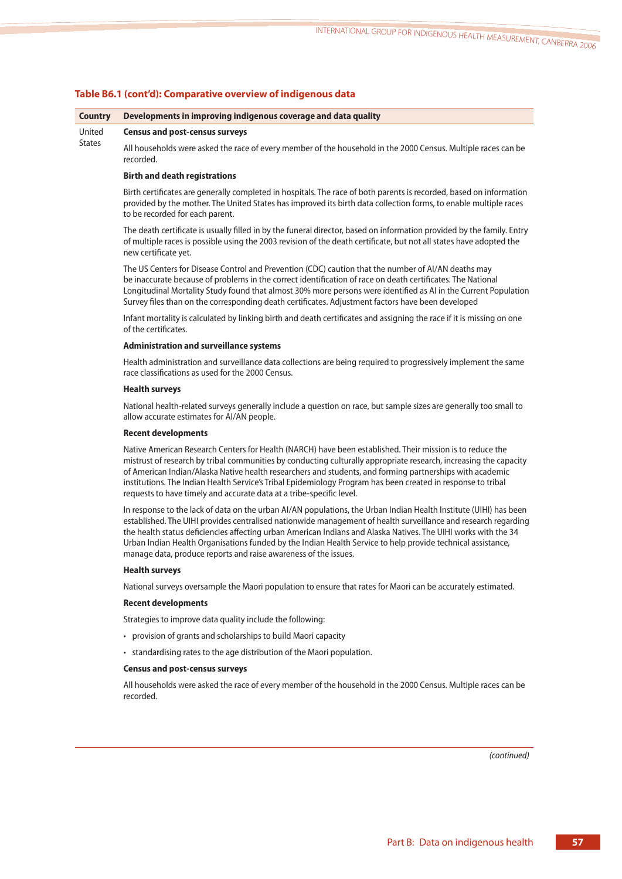|  |  |  |  | Table B6.1 (cont'd): Comparative overview of indigenous data |
|--|--|--|--|--------------------------------------------------------------|
|--|--|--|--|--------------------------------------------------------------|

#### **Country Developments in improving indigenous coverage and data quality**

#### United **Census and post-census surveys**

**States** 

All households were asked the race of every member of the household in the 2000 Census. Multiple races can be recorded.

#### **Birth and death registrations**

Birth certificates are generally completed in hospitals. The race of both parents is recorded, based on information provided by the mother. The United States has improved its birth data collection forms, to enable multiple races to be recorded for each parent.

The death certificate is usually filled in by the funeral director, based on information provided by the family. Entry of multiple races is possible using the 2003 revision of the death certificate, but not all states have adopted the new certificate yet.

The US Centers for Disease Control and Prevention (CDC) caution that the number of AI/AN deaths may be inaccurate because of problems in the correct identification of race on death certificates. The National Longitudinal Mortality Study found that almost 30% more persons were identified as AI in the Current Population Survey files than on the corresponding death certificates. Adjustment factors have been developed

Infant mortality is calculated by linking birth and death certificates and assigning the race if it is missing on one of the certificates.

#### **Administration and surveillance systems**

Health administration and surveillance data collections are being required to progressively implement the same race classifications as used for the 2000 Census.

#### **Health surveys**

National health-related surveys generally include a question on race, but sample sizes are generally too small to allow accurate estimates for AI/AN people.

#### **Recent developments**

Native American Research Centers for Health (NARCH) have been established. Their mission is to reduce the mistrust of research by tribal communities by conducting culturally appropriate research, increasing the capacity of American Indian/Alaska Native health researchers and students, and forming partnerships with academic institutions. The Indian Health Service's Tribal Epidemiology Program has been created in response to tribal requests to have timely and accurate data at a tribe-specific level.

In response to the lack of data on the urban AI/AN populations, the Urban Indian Health Institute (UIHI) has been established. The UIHI provides centralised nationwide management of health surveillance and research regarding the health status deficiencies affecting urban American Indians and Alaska Natives. The UIHI works with the 34 Urban Indian Health Organisations funded by the Indian Health Service to help provide technical assistance, manage data, produce reports and raise awareness of the issues.

#### **Health surveys**

National surveys oversample the Maori population to ensure that rates for Maori can be accurately estimated.

#### **Recent developments**

Strategies to improve data quality include the following:

- provision of grants and scholarships to build Maori capacity
- standardising rates to the age distribution of the Maori population.

#### **Census and post-census surveys**

All households were asked the race of every member of the household in the 2000 Census. Multiple races can be recorded.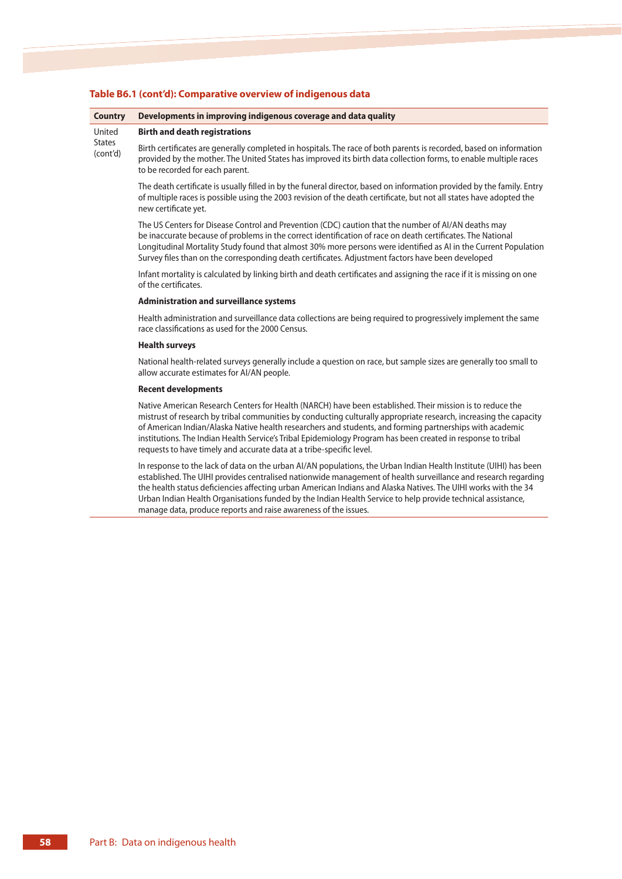| <b>Country</b>            | Developments in improving indigenous coverage and data quality                                                                                                                                                                                                                                                                                                                                                                             |
|---------------------------|--------------------------------------------------------------------------------------------------------------------------------------------------------------------------------------------------------------------------------------------------------------------------------------------------------------------------------------------------------------------------------------------------------------------------------------------|
| United                    | <b>Birth and death registrations</b>                                                                                                                                                                                                                                                                                                                                                                                                       |
| <b>States</b><br>(cont'd) | Birth certificates are generally completed in hospitals. The race of both parents is recorded, based on information<br>provided by the mother. The United States has improved its birth data collection forms, to enable multiple races<br>to be recorded for each parent.                                                                                                                                                                 |
|                           | The death certificate is usually filled in by the funeral director, based on information provided by the family. Entry<br>of multiple races is possible using the 2003 revision of the death certificate, but not all states have adopted the<br>new certificate yet.                                                                                                                                                                      |
|                           | The US Centers for Disease Control and Prevention (CDC) caution that the number of AI/AN deaths may<br>be inaccurate because of problems in the correct identification of race on death certificates. The National<br>Longitudinal Mortality Study found that almost 30% more persons were identified as AI in the Current Population<br>Survey files than on the corresponding death certificates. Adjustment factors have been developed |

#### **Table B6.1 (cont'd): Comparative overview of indigenous data**

Infant mortality is calculated by linking birth and death certificates and assigning the race if it is missing on one of the certificates.

#### **Administration and surveillance systems**

Health administration and surveillance data collections are being required to progressively implement the same race classifications as used for the 2000 Census.

#### **Health surveys**

National health-related surveys generally include a question on race, but sample sizes are generally too small to allow accurate estimates for AI/AN people.

#### **Recent developments**

Native American Research Centers for Health (NARCH) have been established. Their mission is to reduce the mistrust of research by tribal communities by conducting culturally appropriate research, increasing the capacity of American Indian/Alaska Native health researchers and students, and forming partnerships with academic institutions. The Indian Health Service's Tribal Epidemiology Program has been created in response to tribal requests to have timely and accurate data at a tribe-specific level.

In response to the lack of data on the urban AI/AN populations, the Urban Indian Health Institute (UIHI) has been established. The UIHI provides centralised nationwide management of health surveillance and research regarding the health status deficiencies affecting urban American Indians and Alaska Natives. The UIHI works with the 34 Urban Indian Health Organisations funded by the Indian Health Service to help provide technical assistance, manage data, produce reports and raise awareness of the issues.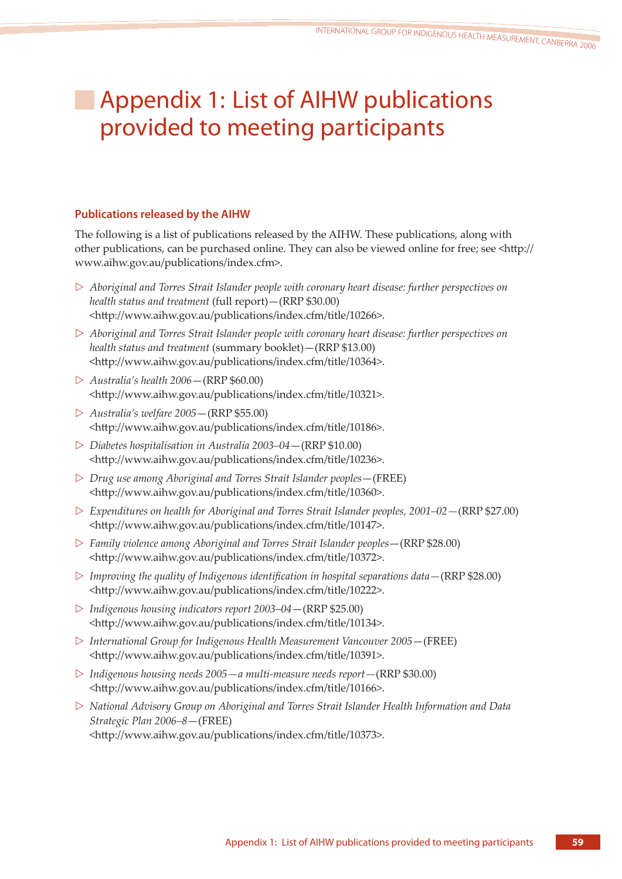# Appendix 1: List of AIHW publications provided to meeting participants

# **Publications released by the AIHW**

The following is a list of publications released by the AIHW. These publications, along with other publications, can be purchased online. They can also be viewed online for free; see <http:// www.aihw.gov.au/publications/index.cfm>.

- ▷ *Aboriginal and Torres Strait Islander people with coronary heart disease: further perspectives on health status and treatment* (full report)—(RRP \$30.00) <http://www.aihw.gov.au/publications/index.cfm/title/10266>.
- ▷ *Aboriginal and Torres Strait Islander people with coronary heart disease: further perspectives on health status and treatment* (summary booklet)—(RRP \$13.00) <http://www.aihw.gov.au/publications/index.cfm/title/10364>.
- ▷ *Australia's health 2006*—(RRP \$60.00) <http://www.aihw.gov.au/publications/index.cfm/title/10321>.
- ▷ *Australia's welfare 2005*—(RRP \$55.00) <http://www.aihw.gov.au/publications/index.cfm/title/10186>.
- ▷ *Diabetes hospitalisation in Australia 2003–04*—(RRP \$10.00) <http://www.aihw.gov.au/publications/index.cfm/title/10236>.
- ▷ *Drug use among Aboriginal and Torres Strait Islander peoples*—(FREE) <http://www.aihw.gov.au/publications/index.cfm/title/10360>.
- ▷ *Expenditures on health for Aboriginal and Torres Strait Islander peoples, 2001–02—*(RRP \$27.00) <http://www.aihw.gov.au/publications/index.cfm/title/10147>.
- ▷ *Family violence among Aboriginal and Torres Strait Islander peoples*—(RRP \$28.00) <http://www.aihw.gov.au/publications/index.cfm/title/10372>.
- ▷ *Improving the quality of Indigenous identification in hospital separations data—*(RRP \$28.00) <http://www.aihw.gov.au/publications/index.cfm/title/10222>.
- ▷ *Indigenous housing indicators report 2003–04*—(RRP \$25.00) <http://www.aihw.gov.au/publications/index.cfm/title/10134>.
- ▷ *International Group for Indigenous Health Measurement Vancouver 2005*—(FREE) <http://www.aihw.gov.au/publications/index.cfm/title/10391>.
- ▷ *Indigenous housing needs 2005—a multi-measure needs report—*(RRP \$30.00) <http://www.aihw.gov.au/publications/index.cfm/title/10166>.
- ▷ *National Advisory Group on Aboriginal and Torres Strait Islander Health Information and Data Strategic Plan 2006–8*—(FREE) <http://www.aihw.gov.au/publications/index.cfm/title/10373>.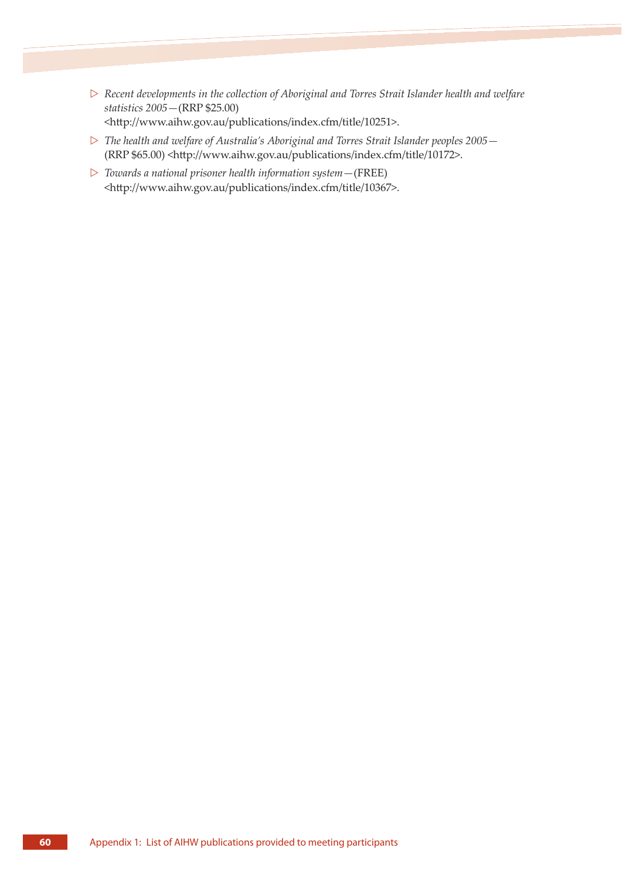- ▷ *Recent developments in the collection of Aboriginal and Torres Strait Islander health and welfare statistics 2005—*(RRP \$25.00) <http://www.aihw.gov.au/publications/index.cfm/title/10251>.
- ▷ *The health and welfare of Australia's Aboriginal and Torres Strait Islander peoples 2005—* (RRP \$65.00) <http://www.aihw.gov.au/publications/index.cfm/title/10172>.
- ▷ *Towards a national prisoner health information system—*(FREE) <http://www.aihw.gov.au/publications/index.cfm/title/10367>.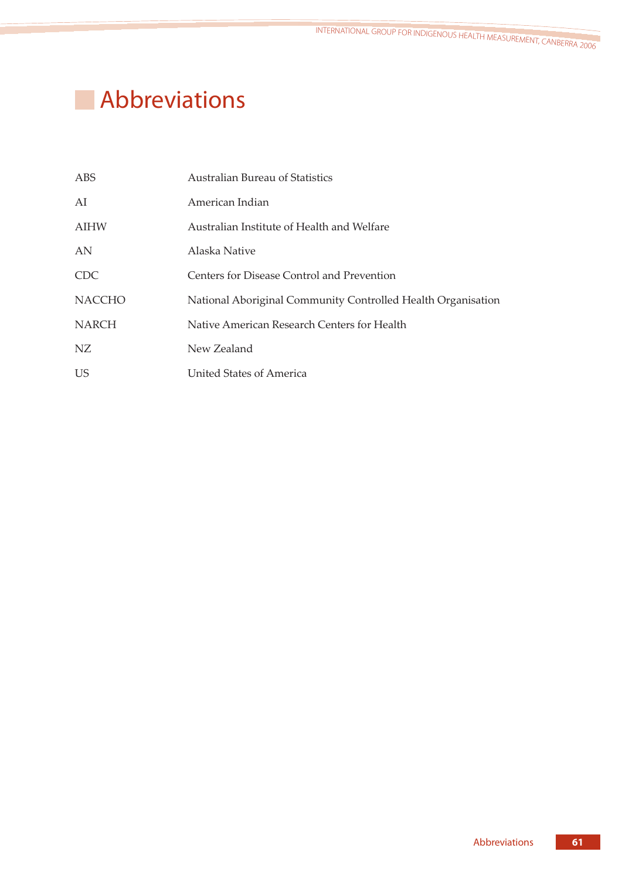# **Abbreviations**

| ABS           | <b>Australian Bureau of Statistics</b>                       |
|---------------|--------------------------------------------------------------|
| AI            | American Indian                                              |
| <b>AIHW</b>   | Australian Institute of Health and Welfare                   |
| AN            | Alaska Native                                                |
| <b>CDC</b>    | Centers for Disease Control and Prevention                   |
| <b>NACCHO</b> | National Aboriginal Community Controlled Health Organisation |
| <b>NARCH</b>  | Native American Research Centers for Health                  |
| NZ            | New Zealand                                                  |
| <b>US</b>     | United States of America                                     |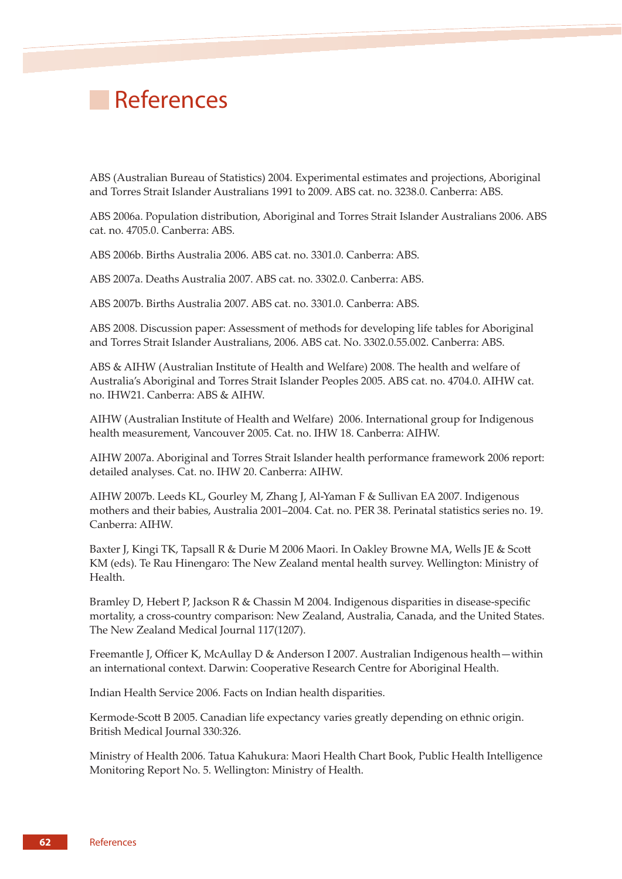# **References**

ABS (Australian Bureau of Statistics) 2004. Experimental estimates and projections, Aboriginal and Torres Strait Islander Australians 1991 to 2009. ABS cat. no. 3238.0. Canberra: ABS.

ABS 2006a. Population distribution, Aboriginal and Torres Strait Islander Australians 2006. ABS cat. no. 4705.0. Canberra: ABS.

ABS 2006b. Births Australia 2006. ABS cat. no. 3301.0. Canberra: ABS.

ABS 2007a. Deaths Australia 2007. ABS cat. no. 3302.0. Canberra: ABS.

ABS 2007b. Births Australia 2007. ABS cat. no. 3301.0. Canberra: ABS.

ABS 2008. Discussion paper: Assessment of methods for developing life tables for Aboriginal and Torres Strait Islander Australians, 2006. ABS cat. No. 3302.0.55.002. Canberra: ABS.

ABS & AIHW (Australian Institute of Health and Welfare) 2008. The health and welfare of Australia's Aboriginal and Torres Strait Islander Peoples 2005. ABS cat. no. 4704.0. AIHW cat. no. IHW21. Canberra: ABS & AIHW.

AIHW (Australian Institute of Health and Welfare) 2006. International group for Indigenous health measurement, Vancouver 2005. Cat. no. IHW 18. Canberra: AIHW.

AIHW 2007a. Aboriginal and Torres Strait Islander health performance framework 2006 report: detailed analyses. Cat. no. IHW 20. Canberra: AIHW.

AIHW 2007b. Leeds KL, Gourley M, Zhang J, Al-Yaman F & Sullivan EA 2007. Indigenous mothers and their babies, Australia 2001–2004. Cat. no. PER 38. Perinatal statistics series no. 19. Canberra: AIHW.

Baxter J, Kingi TK, Tapsall R & Durie M 2006 Maori. In Oakley Browne MA, Wells JE & Scott KM (eds). Te Rau Hinengaro: The New Zealand mental health survey. Wellington: Ministry of Health.

Bramley D, Hebert P, Jackson R & Chassin M 2004. Indigenous disparities in disease-specific mortality, a cross-country comparison: New Zealand, Australia, Canada, and the United States. The New Zealand Medical Journal 117(1207).

Freemantle J, Officer K, McAullay D & Anderson I 2007. Australian Indigenous health—within an international context. Darwin: Cooperative Research Centre for Aboriginal Health.

Indian Health Service 2006. Facts on Indian health disparities.

Kermode-Scott B 2005. Canadian life expectancy varies greatly depending on ethnic origin. British Medical Journal 330:326.

Ministry of Health 2006. Tatua Kahukura: Maori Health Chart Book, Public Health Intelligence Monitoring Report No. 5. Wellington: Ministry of Health.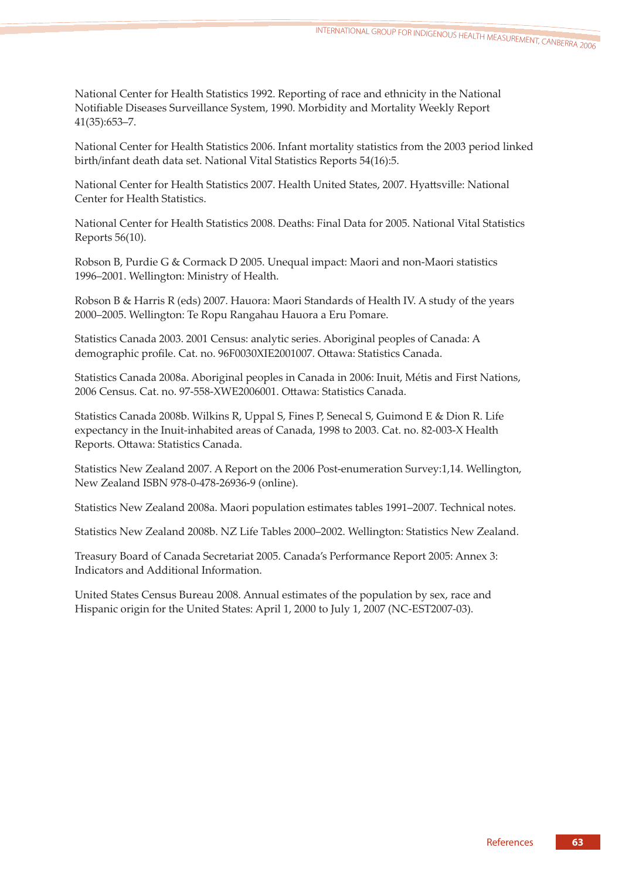National Center for Health Statistics 1992. Reporting of race and ethnicity in the National Notifiable Diseases Surveillance System, 1990. Morbidity and Mortality Weekly Report 41(35):653–7.

National Center for Health Statistics 2006. Infant mortality statistics from the 2003 period linked birth/infant death data set. National Vital Statistics Reports 54(16):5.

National Center for Health Statistics 2007. Health United States, 2007. Hyattsville: National Center for Health Statistics.

National Center for Health Statistics 2008. Deaths: Final Data for 2005. National Vital Statistics Reports 56(10).

Robson B, Purdie G & Cormack D 2005. Unequal impact: Maori and non-Maori statistics 1996–2001. Wellington: Ministry of Health.

Robson B & Harris R (eds) 2007. Hauora: Maori Standards of Health IV. A study of the years 2000–2005. Wellington: Te Ropu Rangahau Hauora a Eru Pomare.

Statistics Canada 2003. 2001 Census: analytic series. Aboriginal peoples of Canada: A demographic profile. Cat. no. 96F0030XIE2001007. Ottawa: Statistics Canada.

Statistics Canada 2008a. Aboriginal peoples in Canada in 2006: Inuit, Métis and First Nations, 2006 Census. Cat. no. 97-558-XWE2006001. Ottawa: Statistics Canada.

Statistics Canada 2008b. Wilkins R, Uppal S, Fines P, Senecal S, Guimond E & Dion R. Life expectancy in the Inuit-inhabited areas of Canada, 1998 to 2003. Cat. no. 82-003-X Health Reports. Ottawa: Statistics Canada.

Statistics New Zealand 2007. A Report on the 2006 Post-enumeration Survey:1,14. Wellington, New Zealand ISBN 978-0-478-26936-9 (online).

Statistics New Zealand 2008a. Maori population estimates tables 1991–2007. Technical notes.

Statistics New Zealand 2008b. NZ Life Tables 2000–2002. Wellington: Statistics New Zealand.

Treasury Board of Canada Secretariat 2005. Canada's Performance Report 2005: Annex 3: Indicators and Additional Information.

United States Census Bureau 2008. Annual estimates of the population by sex, race and Hispanic origin for the United States: April 1, 2000 to July 1, 2007 (NC-EST2007-03).